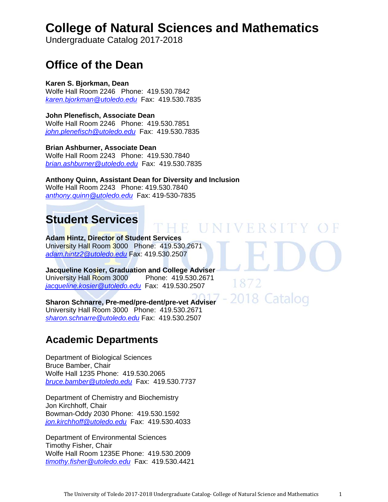# **College of Natural Sciences and Mathematics**

Undergraduate Catalog 2017-2018

# **Office of the Dean**

**Karen S. Bjorkman, Dean**  Wolfe Hall Room 2246 Phone: 419.530.7842 *karen.bjorkman@utoledo.edu* Fax: 419.530.7835

**John Plenefisch, Associate Dean**  Wolfe Hall Room 2246 Phone: 419.530.7851 *john.plenefisch@utoledo.edu* Fax: 419.530.7835

**Brian Ashburner, Associate Dean**  Wolfe Hall Room 2243 Phone: 419.530.7840 *brian.ashburner@utoledo.edu* Fax: 419.530.7835

**Anthony Quinn, Assistant Dean for Diversity and Inclusion**  Wolfe Hall Room 2243 Phone: 419.530.7840 *anthony.quinn@utoledo.edu* Fax: 419-530-7835

# **Student Services**

**Adam Hintz, Director of Student Services**  University Hall Room 3000 Phone: 419.530.2671 *adam.hintz2@utoledo.edu* Fax: 419.530.2507

**Jacqueline Kosier, Graduation and College Adviser**  University Hall Room 3000 Phone: 419.530.2671 *jacqueline.kosier@utoledo.edu* Fax: 419.530.2507

**Sharon Schnarre, Pre-med/pre-dent/pre-vet Adviser**  University Hall Room 3000 Phone: 419.530.2671 *sharon.schnarre@utoledo.edu* Fax: 419.530.2507

# **Academic Departments**

Department of Biological Sciences Bruce Bamber, Chair Wolfe Hall 1235 Phone: 419.530.2065 *bruce.bamber@utoledo.edu* Fax: 419.530.7737

Department of Chemistry and Biochemistry Jon Kirchhoff, Chair Bowman-Oddy 2030 Phone: 419.530.1592 *jon.kirchhoff@utoledo.edu* Fax: 419.530.4033

Department of Environmental Sciences Timothy Fisher, Chair Wolfe Hall Room 1235E Phone: 419.530.2009 *timothy.fisher@utoledo.edu* Fax: 419.530.4421

E UNIVERSITY OF

2018 Catalog

1872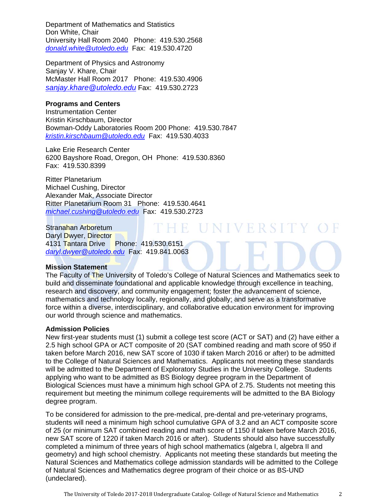Department of Mathematics and Statistics Don White, Chair University Hall Room 2040 Phone: 419.530.2568 *donald.white@utoledo.edu* Fax: 419.530.4720

Department of Physics and Astronomy Sanjay V. Khare, Chair McMaster Hall Room 2017 Phone: 419.530.4906 *sanjay.khare@utoledo.edu* Fax: 419.530.2723

#### **Programs and Centers**

Instrumentation Center Kristin Kirschbaum, Director Bowman-Oddy Laboratories Room 200 Phone: 419.530.7847 *kristin.kirschbaum@utoledo.edu* Fax: 419.530.4033

Lake Erie Research Center 6200 Bayshore Road, Oregon, OH Phone: 419.530.8360 Fax: 419.530.8399

Ritter Planetarium Michael Cushing, Director Alexander Mak, Associate Director Ritter Planetarium Room 31 Phone: 419.530.4641 *michael.cushing@utoledo.edu* Fax: 419.530.2723

**HE UNIVERSITY OF** Stranahan Arboretum Daryl Dwyer, Director 4131 Tantara Drive Phone: 419.530.6151 *daryl.dwyer@utoledo.edu* Fax: 419.841.0063

#### **Mission Statement**

The Faculty of The University of Toledo's College of Natural Sciences and Mathematics seek to build and disseminate foundational and applicable knowledge through excellence in teaching, research and discovery, and community engagement; foster the advancement of science, mathematics and technology locally, regionally, and globally; and serve as a transformative force within a diverse, interdisciplinary, and collaborative education environment for improving our world through science and mathematics.

#### **Admission Policies**

New first-year students must (1) submit a college test score (ACT or SAT) and (2) have either a 2.5 high school GPA or ACT composite of 20 (SAT combined reading and math score of 950 if taken before March 2016, new SAT score of 1030 if taken March 2016 or after) to be admitted to the College of Natural Sciences and Mathematics. Applicants not meeting these standards will be admitted to the Department of Exploratory Studies in the University College. Students applying who want to be admitted as BS Biology degree program in the Department of Biological Sciences must have a minimum high school GPA of 2.75. Students not meeting this requirement but meeting the minimum college requirements will be admitted to the BA Biology degree program.

To be considered for admission to the pre-medical, pre-dental and pre-veterinary programs, students will need a minimum high school cumulative GPA of 3.2 and an ACT composite score of 25 (or minimum SAT combined reading and math score of 1150 if taken before March 2016, new SAT score of 1220 if taken March 2016 or after). Students should also have successfully completed a minimum of three years of high school mathematics (algebra I, algebra II and geometry) and high school chemistry. Applicants not meeting these standards but meeting the Natural Sciences and Mathematics college admission standards will be admitted to the College of Natural Sciences and Mathematics degree program of their choice or as BS-UND (undeclared).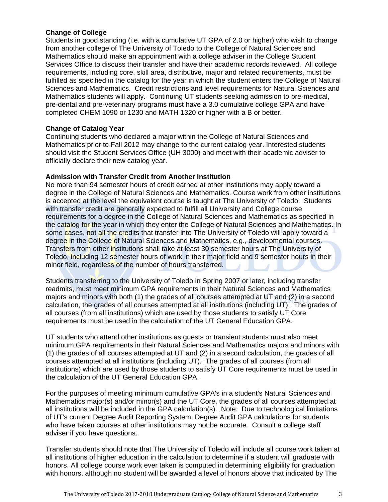# **Change of College**

Students in good standing (i.e. with a cumulative UT GPA of 2.0 or higher) who wish to change from another college of The University of Toledo to the College of Natural Sciences and Mathematics should make an appointment with a college adviser in the College Student Services Office to discuss their transfer and have their academic records reviewed. All college requirements, including core, skill area, distributive, major and related requirements, must be fulfilled as specified in the catalog for the year in which the student enters the College of Natural Sciences and Mathematics. Credit restrictions and level requirements for Natural Sciences and Mathematics students will apply. Continuing UT students seeking admission to pre-medical, pre-dental and pre-veterinary programs must have a 3.0 cumulative college GPA and have completed CHEM 1090 or 1230 and MATH 1320 or higher with a B or better.

#### **Change of Catalog Year**

Continuing students who declared a major within the College of Natural Sciences and Mathematics prior to Fall 2012 may change to the current catalog year. Interested students should visit the Student Services Office (UH 3000) and meet with their academic adviser to officially declare their new catalog year.

#### **Admission with Transfer Credit from Another Institution**

No more than 94 semester hours of credit earned at other institutions may apply toward a degree in the College of Natural Sciences and Mathematics. Course work from other institutions is accepted at the level the equivalent course is taught at The University of Toledo. Students with transfer credit are generally expected to fulfill all University and College course requirements for a degree in the College of Natural Sciences and Mathematics as specified in the catalog for the year in which they enter the College of Natural Sciences and Mathematics. In some cases, not all the credits that transfer into The University of Toledo will apply toward a degree in the College of Natural Sciences and Mathematics, e.g., developmental courses. Transfers from other institutions shall take at least 30 semester hours at The University of Toledo, including 12 semester hours of work in their major field and 9 semester hours in their minor field, regardless of the number of hours transferred.

Students transferring to the University of Toledo in Spring 2007 or later, including transfer readmits, must meet minimum GPA requirements in their Natural Sciences and Mathematics majors and minors with both (1) the grades of all courses attempted at UT and (2) in a second calculation, the grades of all courses attempted at all institutions (including UT). The grades of all courses (from all institutions) which are used by those students to satisfy UT Core requirements must be used in the calculation of the UT General Education GPA.

UT students who attend other institutions as guests or transient students must also meet minimum GPA requirements in their Natural Sciences and Mathematics majors and minors with (1) the grades of all courses attempted at UT and (2) in a second calculation, the grades of all courses attempted at all institutions (including UT). The grades of all courses (from all institutions) which are used by those students to satisfy UT Core requirements must be used in the calculation of the UT General Education GPA.

For the purposes of meeting minimum cumulative GPA's in a student's Natural Sciences and Mathematics major(s) and/or minor(s) and the UT Core, the grades of all courses attempted at all institutions will be included in the GPA calculation(s). Note: Due to technological limitations of UT's current Degree Audit Reporting System, Degree Audit GPA calculations for students who have taken courses at other institutions may not be accurate. Consult a college staff adviser if you have questions.

Transfer students should note that The University of Toledo will include all course work taken at all institutions of higher education in the calculation to determine if a student will graduate with honors. All college course work ever taken is computed in determining eligibility for graduation with honors, although no student will be awarded a level of honors above that indicated by The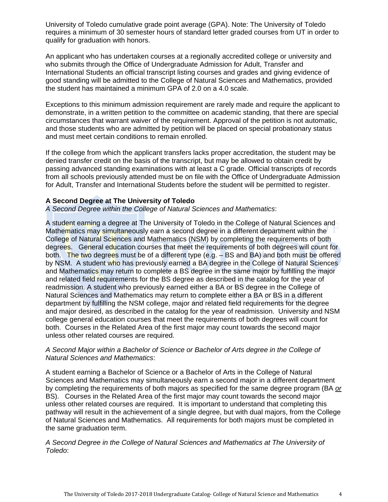University of Toledo cumulative grade point average (GPA). Note: The University of Toledo requires a minimum of 30 semester hours of standard letter graded courses from UT in order to qualify for graduation with honors.

An applicant who has undertaken courses at a regionally accredited college or university and who submits through the Office of Undergraduate Admission for Adult, Transfer and International Students an official transcript listing courses and grades and giving evidence of good standing will be admitted to the College of Natural Sciences and Mathematics, provided the student has maintained a minimum GPA of 2.0 on a 4.0 scale.

Exceptions to this minimum admission requirement are rarely made and require the applicant to demonstrate, in a written petition to the committee on academic standing, that there are special circumstances that warrant waiver of the requirement. Approval of the petition is not automatic, and those students who are admitted by petition will be placed on special probationary status and must meet certain conditions to remain enrolled.

If the college from which the applicant transfers lacks proper accreditation, the student may be denied transfer credit on the basis of the transcript, but may be allowed to obtain credit by passing advanced standing examinations with at least a C grade. Official transcripts of records from all schools previously attended must be on file with the Office of Undergraduate Admission for Adult, Transfer and International Students before the student will be permitted to register.

#### **A Second Degree at The University of Toledo**

*A Second Degree within the College of Natural Sciences and Mathematics*:

A student earning a degree at The University of Toledo in the College of Natural Sciences and Mathematics may simultaneously earn a second degree in a different department within the College of Natural Sciences and Mathematics (NSM) by completing the requirements of both degrees. General education courses that meet the requirements of both degrees will count for both. The two degrees must be of a different type (e.g.  $-$  BS and BA) and both must be offered by NSM. A student who has previously earned a BA degree in the College of Natural Sciences and Mathematics may return to complete a BS degree in the same major by fulfilling the major and related field requirements for the BS degree as described in the catalog for the year of readmission. A student who previously earned either a BA or BS degree in the College of Natural Sciences and Mathematics may return to complete either a BA or BS in a different department by fulfilling the NSM college, major and related field requirements for the degree and major desired, as described in the catalog for the year of readmission. University and NSM college general education courses that meet the requirements of both degrees will count for both. Courses in the Related Area of the first major may count towards the second major unless other related courses are required.

# *A Second Major within a Bachelor of Science or Bachelor of Arts degree in the College of Natural Sciences and Mathematics*:

A student earning a Bachelor of Science or a Bachelor of Arts in the College of Natural Sciences and Mathematics may simultaneously earn a second major in a different department by completing the requirements of both majors as specified for the same degree program (BA *or* BS). Courses in the Related Area of the first major may count towards the second major unless other related courses are required. It is important to understand that completing this pathway will result in the achievement of a single degree, but with dual majors, from the College of Natural Sciences and Mathematics. All requirements for both majors must be completed in the same graduation term.

# *A Second Degree in the College of Natural Sciences and Mathematics at The University of Toledo*: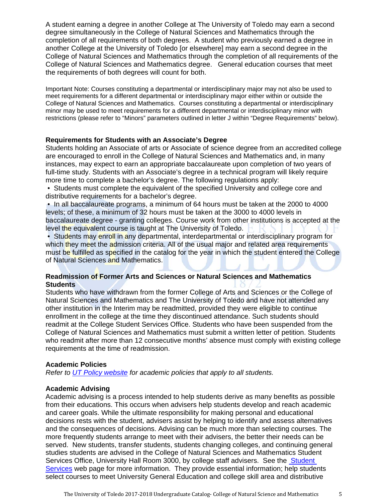A student earning a degree in another College at The University of Toledo may earn a second degree simultaneously in the College of Natural Sciences and Mathematics through the completion of all requirements of both degrees. A student who previously earned a degree in another College at the University of Toledo [or elsewhere] may earn a second degree in the College of Natural Sciences and Mathematics through the completion of all requirements of the College of Natural Sciences and Mathematics degree. General education courses that meet the requirements of both degrees will count for both.

Important Note: Courses constituting a departmental or interdisciplinary major may not also be used to meet requirements for a different departmental or interdisciplinary major either within or outside the College of Natural Sciences and Mathematics. Courses constituting a departmental or interdisciplinary minor may be used to meet requirements for a different departmental or interdisciplinary minor with restrictions (please refer to "Minors" parameters outlined in letter J within "Degree Requirements" below).

#### **Requirements for Students with an Associate's Degree**

Students holding an Associate of arts or Associate of science degree from an accredited college are encouraged to enroll in the College of Natural Sciences and Mathematics and, in many instances, may expect to earn an appropriate baccalaureate upon completion of two years of full-time study. Students with an Associate's degree in a technical program will likely require more time to complete a bachelor's degree. The following regulations apply:

 • Students must complete the equivalent of the specified University and college core and distributive requirements for a bachelor's degree.

 • In all baccalaureate programs, a minimum of 64 hours must be taken at the 2000 to 4000 levels; of these, a minimum of 32 hours must be taken at the 3000 to 4000 levels in baccalaureate degree - granting colleges. Course work from other institutions is accepted at the level the equivalent course is taught at The University of Toledo.

• Students may enroll in any departmental, interdepartmental or interdisciplinary program for which they meet the admission criteria. All of the usual major and related area requirements must be fulfilled as specified in the catalog for the year in which the student entered the College of Natural Sciences and Mathematics.

# **Readmission of Former Arts and Sciences or Natural Sciences and Mathematics Students**

Students who have withdrawn from the former College of Arts and Sciences or the College of Natural Sciences and Mathematics and The University of Toledo and have not attended any other institution in the Interim may be readmitted, provided they were eligible to continue enrollment in the college at the time they discontinued attendance. Such students should readmit at the College Student Services Office. Students who have been suspended from the College of Natural Sciences and Mathematics must submit a written letter of petition. Students who readmit after more than 12 consecutive months' absence must comply with existing college requirements at the time of readmission.

#### **Academic Policies**

*Refer to UT Policy website for academic policies that apply to all students.*

#### **Academic Advising**

Academic advising is a process intended to help students derive as many benefits as possible from their educations. This occurs when advisers help students develop and reach academic and career goals. While the ultimate responsibility for making personal and educational decisions rests with the student, advisers assist by helping to identify and assess alternatives and the consequences of decisions. Advising can be much more than selecting courses. The more frequently students arrange to meet with their advisers, the better their needs can be served. New students, transfer students, students changing colleges, and continuing general studies students are advised in the College of Natural Sciences and Mathematics Student Services Office, University Hall Room 3000, by college staff advisers. See the Student Services web page for more information. They provide essential information; help students select courses to meet University General Education and college skill area and distributive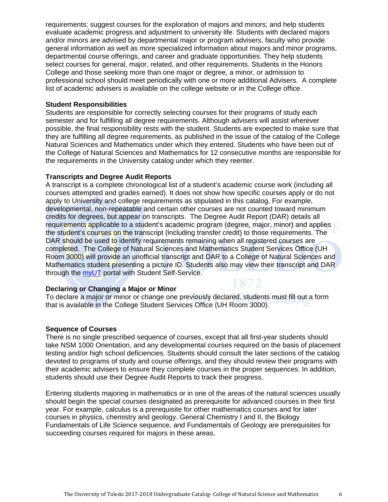requirements; suggest courses for the exploration of majors and minors; and help students evaluate academic progress and adjustment to university life. Students with declared majors and/or minors are advised by departmental major or program advisers, faculty who provide general information as well as more specialized information about majors and minor programs, departmental course offerings, and career and graduate opportunities. They help students select courses for general, major, related, and other requirements. Students in the Honors College and those seeking more than one major or degree, a minor, or admission to professional school should meet periodically with one or more additional Advisers. A complete list of academic advisers is available on the college website or in the College office.

#### **Student Responsibilities**

Students are responsible for correctly selecting courses for their programs of study each semester and for fulfilling all degree requirements. Although advisers will assist wherever possible, the final responsibility rests with the student. Students are expected to make sure that they are fulfilling all degree requirements, as published in the issue of the catalog of the College Natural Sciences and Mathematics under which they entered. Students who have been out of the College of Natural Sciences and Mathematics for 12 consecutive months are responsible for the requirements in the University catalog under which they reenter.

#### **Transcripts and Degree Audit Reports**

A transcript is a complete chronological list of a student's academic course work (including all courses attempted and grades earned). It does not show how specific courses apply or do not apply to University and college requirements as stipulated in this catalog. For example, developmental, non-repeatable and certain other courses are not counted toward minimum credits for degrees, but appear on transcripts. The Degree Audit Report (DAR) details all requirements applicable to a student's academic program (degree, major, minor) and applies the student's courses on the transcript (including transfer credit) to those requirements. The DAR should be used to identify requirements remaining when all registered courses are completed. The College of Natural Sciences and Mathematics Student Services Office (UH Room 3000) will provide an unofficial transcript and DAR to a College of Natural Sciences and Mathematics student presenting a picture ID. Students also may view their transcript and DAR through the myUT portal with Student Self-Service.

#### **Declaring or Changing a Major or Minor**

1872

To declare a major or minor or change one previously declared, students must fill out a form that is available in the College Student Services Office (UH Room 3000).

#### **Sequence of Courses**

There is no single prescribed sequence of courses, except that all first-year students should take NSM 1000 Orientation, and any developmental courses required on the basis of placement testing and/or high school deficiencies. Students should consult the later sections of the catalog devoted to programs of study and course offerings, and they should review their programs with their academic advisers to ensure they complete courses in the proper sequences. In addition, students should use their Degree Audit Reports to track their progress.

Entering students majoring in mathematics or in one of the areas of the natural sciences usually should begin the special courses designated as prerequisite for advanced courses in their first year. For example, calculus is a prerequisite for other mathematics courses and for later courses in physics, chemistry and geology. General Chemistry I and II, the Biology Fundamentals of Life Science sequence, and Fundamentals of Geology are prerequisites for succeeding courses required for majors in these areas.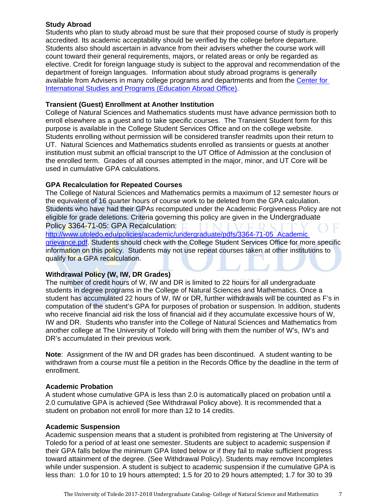# **Study Abroad**

Students who plan to study abroad must be sure that their proposed course of study is properly accredited. Its academic acceptability should be verified by the college before departure. Students also should ascertain in advance from their advisers whether the course work will count toward their general requirements, majors, or related areas or only be regarded as elective. Credit for foreign language study is subject to the approval and recommendation of the department of foreign languages. Information about study abroad programs is generally available from Advisers in many college programs and departments and from the Center for International Studies and Programs (Education Abroad Office).

# **Transient (Guest) Enrollment at Another Institution**

College of Natural Sciences and Mathematics students must have advance permission both to enroll elsewhere as a guest and to take specific courses. The Transient Student form for this purpose is available in the College Student Services Office and on the college website. Students enrolling without permission will be considered transfer readmits upon their return to UT. Natural Sciences and Mathematics students enrolled as transients or guests at another institution must submit an official transcript to the UT Office of Admission at the conclusion of the enrolled term. Grades of all courses attempted in the major, minor, and UT Core will be used in cumulative GPA calculations.

# **GPA Recalculation for Repeated Courses**

The College of Natural Sciences and Mathematics permits a maximum of 12 semester hours or the equivalent of 16 quarter hours of course work to be deleted from the GPA calculation. Students who have had their GPAs recomputed under the Academic Forgiveness Policy are not eligible for grade deletions. Criteria governing this policy are given in the Undergraduate Policy 3364-71-05: GPA Recalculation:

http://www.utoledo.edu/policies/academic/undergraduate/pdfs/3364-71-05 Academic grievance.pdf. Students should check with the College Student Services Office for more specific information on this policy. Students may not use repeat courses taken at other institutions to qualify for a GPA recalculation.

# **Withdrawal Policy (W, IW, DR Grades)**

The number of credit hours of W, IW and DR is limited to 22 hours for all undergraduate students in degree programs in the College of Natural Sciences and Mathematics. Once a student has accumulated 22 hours of W, IW or DR, further withdrawals will be counted as F's in computation of the student's GPA for purposes of probation or suspension. In addition, students who receive financial aid risk the loss of financial aid if they accumulate excessive hours of W, IW and DR. Students who transfer into the College of Natural Sciences and Mathematics from another college at The University of Toledo will bring with them the number of W's, IW's and DR's accumulated in their previous work.

**Note**: Assignment of the IW and DR grades has been discontinued. A student wanting to be withdrawn from a course must file a petition in the Records Office by the deadline in the term of enrollment.

# **Academic Probation**

A student whose cumulative GPA is less than 2.0 is automatically placed on probation until a 2.0 cumulative GPA is achieved (See Withdrawal Policy above). It is recommended that a student on probation not enroll for more than 12 to 14 credits.

# **Academic Suspension**

Academic suspension means that a student is prohibited from registering at The University of Toledo for a period of at least one semester. Students are subject to academic suspension if their GPA falls below the minimum GPA listed below or if they fail to make sufficient progress toward attainment of the degree. (See Withdrawal Policy). Students may remove Incompletes while under suspension. A student is subject to academic suspension if the cumulative GPA is less than: 1.0 for 10 to 19 hours attempted; 1.5 for 20 to 29 hours attempted; 1.7 for 30 to 39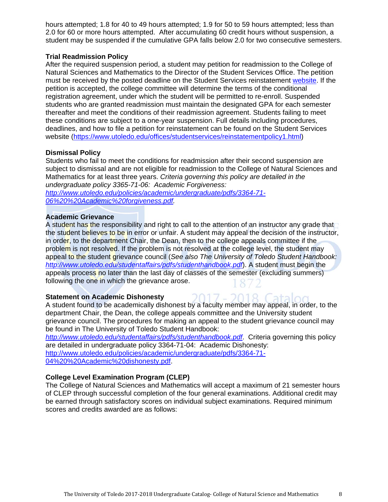hours attempted; 1.8 for 40 to 49 hours attempted; 1.9 for 50 to 59 hours attempted; less than 2.0 for 60 or more hours attempted. After accumulating 60 credit hours without suspension, a student may be suspended if the cumulative GPA falls below 2.0 for two consecutive semesters.

# **Trial Readmission Policy**

After the required suspension period, a student may petition for readmission to the College of Natural Sciences and Mathematics to the Director of the Student Services Office. The petition must be received by the posted deadline on the Student Services reinstatement website. If the petition is accepted, the college committee will determine the terms of the conditional registration agreement, under which the student will be permitted to re-enroll. Suspended students who are granted readmission must maintain the designated GPA for each semester thereafter and meet the conditions of their readmission agreement. Students failing to meet these conditions are subject to a one-year suspension. Full details including procedures, deadlines, and how to file a petition for reinstatement can be found on the Student Services website (https://www.utoledo.edu/offices/studentservices/reinstatementpolicy1.html)

# **Dismissal Policy**

Students who fail to meet the conditions for readmission after their second suspension are subject to dismissal and are not eligible for readmission to the College of Natural Sciences and Mathematics for at least three years. *Criteria governing this policy are detailed in the undergraduate policy 3365-71-06: Academic Forgiveness:* 

*http://www.utoledo.edu/policies/academic/undergraduate/pdfs/3364-71- 06%20%20Academic%20forgiveness.pdf.* 

# **Academic Grievance**

A student has the responsibility and right to call to the attention of an instructor any grade that the student believes to be in error or unfair. A student may appeal the decision of the instructor, in order, to the department Chair, the Dean, then to the college appeals committee if the problem is not resolved. If the problem is not resolved at the college level, the student may appeal to the student grievance council (*See also The University of Toledo Student Handbook: http://www.utoledo.edu/studentaffairs/pdfs/studenthandbook.pdf*). A student must begin the appeals process no later than the last day of classes of the semester (excluding summers) following the one in which the grievance arose.

# **Statement on Academic Dishonesty**

A student found to be academically dishonest by a faculty member may appeal, in order, to the department Chair, the Dean, the college appeals committee and the University student grievance council. The procedures for making an appeal to the student grievance council may be found in The University of Toledo Student Handbook:

 $-2$ 

*http://www.utoledo.edu/studentaffairs/pdfs/studenthandbook.pdf*. Criteria governing this policy are detailed in undergraduate policy 3364-71-04: Academic Dishonesty: http://www.utoledo.edu/policies/academic/undergraduate/pdfs/3364-71- 04%20%20Academic%20dishonesty.pdf.

# **College Level Examination Program (CLEP)**

The College of Natural Sciences and Mathematics will accept a maximum of 21 semester hours of CLEP through successful completion of the four general examinations. Additional credit may be earned through satisfactory scores on individual subject examinations. Required minimum scores and credits awarded are as follows: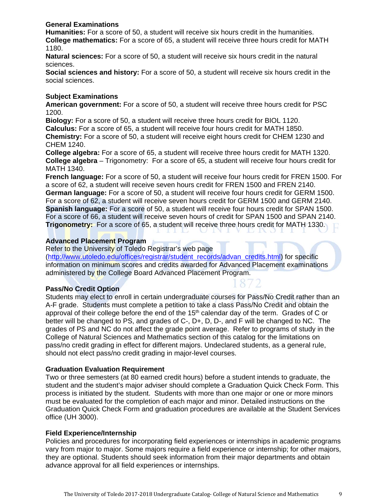# **General Examinations**

**Humanities:** For a score of 50, a student will receive six hours credit in the humanities. **College mathematics:** For a score of 65, a student will receive three hours credit for MATH 1180.

**Natural sciences:** For a score of 50, a student will receive six hours credit in the natural sciences.

**Social sciences and history:** For a score of 50, a student will receive six hours credit in the social sciences.

# **Subject Examinations**

**American government:** For a score of 50, a student will receive three hours credit for PSC 1200.

**Biology:** For a score of 50, a student will receive three hours credit for BIOL 1120. **Calculus:** For a score of 65, a student will receive four hours credit for MATH 1850. **Chemistry:** For a score of 50, a student will receive eight hours credit for CHEM 1230 and CHEM 1240.

**College algebra:** For a score of 65, a student will receive three hours credit for MATH 1320. **College algebra** – Trigonometry: For a score of 65, a student will receive four hours credit for MATH 1340.

**French language:** For a score of 50, a student will receive four hours credit for FREN 1500. For a score of 62, a student will receive seven hours credit for FREN 1500 and FREN 2140. **German language:** For a score of 50, a student will receive four hours credit for GERM 1500. For a score of 62, a student will receive seven hours credit for GERM 1500 and GERM 2140. **Spanish language:** For a score of 50, a student will receive four hours credit for SPAN 1500. For a score of 66, a student will receive seven hours of credit for SPAN 1500 and SPAN 2140. **Trigonometry:** For a score of 65, a student will receive three hours credit for MATH 1330.

# **Advanced Placement Program**

Refer to the University of Toledo Registrar's web page

(http://www.utoledo.edu/offices/registrar/student\_records/advan\_credits.html) for specific information on minimum scores and credits awarded for Advanced Placement examinations administered by the College Board Advanced Placement Program.

# **Pass/No Credit Option**

Students may elect to enroll in certain undergraduate courses for Pass/No Credit rather than an A-F grade. Students must complete a petition to take a class Pass/No Credit and obtain the approval of their college before the end of the  $15<sup>th</sup>$  calendar day of the term. Grades of C or better will be changed to PS, and grades of C-, D+, D, D-, and F will be changed to NC. The grades of PS and NC do not affect the grade point average. Refer to programs of study in the College of Natural Sciences and Mathematics section of this catalog for the limitations on pass/no credit grading in effect for different majors. Undeclared students, as a general rule, should not elect pass/no credit grading in major-level courses.

# **Graduation Evaluation Requirement**

Two or three semesters (at 80 earned credit hours) before a student intends to graduate, the student and the student's major adviser should complete a Graduation Quick Check Form. This process is initiated by the student. Students with more than one major or one or more minors must be evaluated for the completion of each major and minor. Detailed instructions on the Graduation Quick Check Form and graduation procedures are available at the Student Services office (UH 3000).

# **Field Experience/Internship**

Policies and procedures for incorporating field experiences or internships in academic programs vary from major to major. Some majors require a field experience or internship; for other majors, they are optional. Students should seek information from their major departments and obtain advance approval for all field experiences or internships.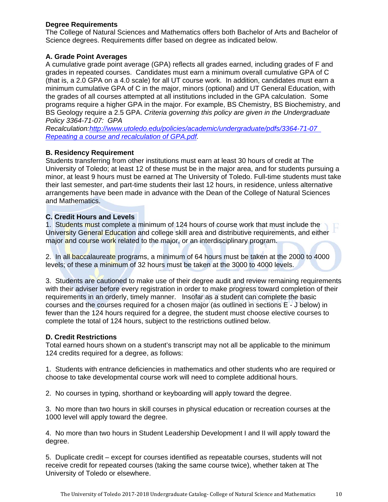# **Degree Requirements**

The College of Natural Sciences and Mathematics offers both Bachelor of Arts and Bachelor of Science degrees. Requirements differ based on degree as indicated below.

# **A. Grade Point Averages**

A cumulative grade point average (GPA) reflects all grades earned, including grades of F and grades in repeated courses. Candidates must earn a minimum overall cumulative GPA of C (that is, a 2.0 GPA on a 4.0 scale) for all UT course work. In addition, candidates must earn a minimum cumulative GPA of C in the major, minors (optional) and UT General Education, with the grades of all courses attempted at all institutions included in the GPA calculation. Some programs require a higher GPA in the major. For example, BS Chemistry, BS Biochemistry, and BS Geology require a 2.5 GPA. *Criteria governing this policy are given in the Undergraduate Policy 3364-71-07: GPA* 

*Recalculation:http://www.utoledo.edu/policies/academic/undergraduate/pdfs/3364-71-07 Repeating a course and recalculation of GPA.pdf.*

# **B. Residency Requirement**

Students transferring from other institutions must earn at least 30 hours of credit at The University of Toledo; at least 12 of these must be in the major area, and for students pursuing a minor, at least 9 hours must be earned at The University of Toledo. Full-time students must take their last semester, and part-time students their last 12 hours, in residence, unless alternative arrangements have been made in advance with the Dean of the College of Natural Sciences and Mathematics.

# **C. Credit Hours and Levels**

1. Students must complete a minimum of 124 hours of course work that must include the University General Education and college skill area and distributive requirements, and either major and course work related to the major, or an interdisciplinary program.

2. In all baccalaureate programs, a minimum of 64 hours must be taken at the 2000 to 4000 levels; of these a minimum of 32 hours must be taken at the 3000 to 4000 levels.

3. Students are cautioned to make use of their degree audit and review remaining requirements with their adviser before every registration in order to make progress toward completion of their requirements in an orderly, timely manner. Insofar as a student can complete the basic courses and the courses required for a chosen major (as outlined in sections E - J below) in fewer than the 124 hours required for a degree, the student must choose elective courses to complete the total of 124 hours, subject to the restrictions outlined below.

#### **D. Credit Restrictions**

Total earned hours shown on a student's transcript may not all be applicable to the minimum 124 credits required for a degree, as follows:

1. Students with entrance deficiencies in mathematics and other students who are required or choose to take developmental course work will need to complete additional hours.

2. No courses in typing, shorthand or keyboarding will apply toward the degree.

3. No more than two hours in skill courses in physical education or recreation courses at the 1000 level will apply toward the degree.

4. No more than two hours in Student Leadership Development I and II will apply toward the degree.

5. Duplicate credit – except for courses identified as repeatable courses, students will not receive credit for repeated courses (taking the same course twice), whether taken at The University of Toledo or elsewhere.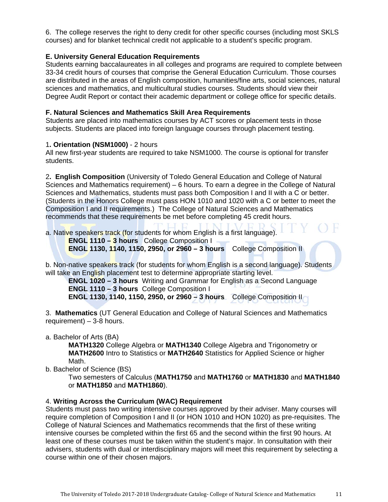6. The college reserves the right to deny credit for other specific courses (including most SKLS courses) and for blanket technical credit not applicable to a student's specific program.

# **E. University General Education Requirements**

Students earning baccalaureates in all colleges and programs are required to complete between 33-34 credit hours of courses that comprise the General Education Curriculum. Those courses are distributed in the areas of English composition, humanities/fine arts, social sciences, natural sciences and mathematics, and multicultural studies courses. Students should view their Degree Audit Report or contact their academic department or college office for specific details.

# **F. Natural Sciences and Mathematics Skill Area Requirements**

Students are placed into mathematics courses by ACT scores or placement tests in those subjects. Students are placed into foreign language courses through placement testing.

# 1**. Orientation (NSM1000)** - 2 hours

All new first-year students are required to take NSM1000. The course is optional for transfer students.

2**. English Composition** (University of Toledo General Education and College of Natural Sciences and Mathematics requirement) – 6 hours. To earn a degree in the College of Natural Sciences and Mathematics, students must pass both Composition I and II with a C or better. (Students in the Honors College must pass HON 1010 and 1020 with a C or better to meet the Composition I and II requirements.) The College of Natural Sciences and Mathematics recommends that these requirements be met before completing 45 credit hours.

a. Native speakers track (for students for whom English is a first language).

 **ENGL 1110 – 3 hours** College Composition I **ENGL 1130, 1140, 1150, 2950, or 2960 – 3 hours** College Composition II

b. Non-native speakers track (for students for whom English is a second language). Students will take an English placement test to determine appropriate starting level.

**ENGL 1020 – 3 hours** Writing and Grammar for English as a Second Language  **ENGL 1110 – 3 hours** College Composition I  **ENGL 1130, 1140, 1150, 2950, or 2960 – 3 hours** College Composition II

3. **Mathematics** (UT General Education and College of Natural Sciences and Mathematics requirement) – 3-8 hours.

a. Bachelor of Arts (BA)

**MATH1320** College Algebra or **MATH1340** College Algebra and Trigonometry or **MATH2600** Intro to Statistics or **MATH2640** Statistics for Applied Science or higher Math.

b. Bachelor of Science (BS)

Two semesters of Calculus (**MATH1750** and **MATH1760** or **MATH1830** and **MATH1840** or **MATH1850** and **MATH1860**).

# 4. **Writing Across the Curriculum (WAC) Requirement**

Students must pass two writing intensive courses approved by their adviser. Many courses will require completion of Composition I and II (or HON 1010 and HON 1020) as pre-requisites. The College of Natural Sciences and Mathematics recommends that the first of these writing intensive courses be completed within the first 65 and the second within the first 90 hours. At least one of these courses must be taken within the student's major. In consultation with their advisers, students with dual or interdisciplinary majors will meet this requirement by selecting a course within one of their chosen majors.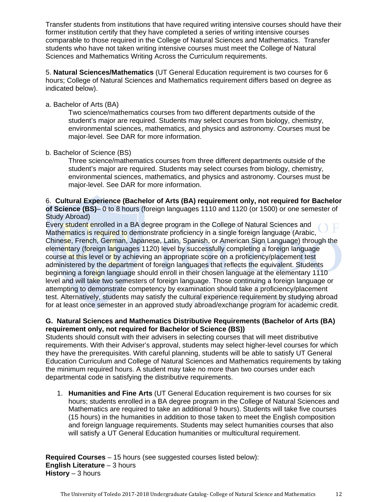Transfer students from institutions that have required writing intensive courses should have their former institution certify that they have completed a series of writing intensive courses comparable to those required in the College of Natural Sciences and Mathematics. Transfer students who have not taken writing intensive courses must meet the College of Natural Sciences and Mathematics Writing Across the Curriculum requirements.

5. **Natural Sciences/Mathematics** (UT General Education requirement is two courses for 6 hours; College of Natural Sciences and Mathematics requirement differs based on degree as indicated below).

# a. Bachelor of Arts (BA)

Two science/mathematics courses from two different departments outside of the student's major are required. Students may select courses from biology, chemistry, environmental sciences, mathematics, and physics and astronomy. Courses must be major-level. See DAR for more information.

# b. Bachelor of Science (BS)

Three science/mathematics courses from three different departments outside of the student's major are required. Students may select courses from biology, chemistry, environmental sciences, mathematics, and physics and astronomy. Courses must be major-level. See DAR for more information.

### 6. **Cultural Experience (Bachelor of Arts (BA) requirement only, not required for Bachelor of Science (BS)**– 0 to 8 hours (foreign languages 1110 and 1120 (or 1500) or one semester of Study Abroad)

Every student enrolled in a BA degree program in the College of Natural Sciences and Mathematics is required to demonstrate proficiency in a single foreign language (Arabic, Chinese, French, German, Japanese, Latin, Spanish, or American Sign Language) through the elementary (foreign languages 1120) level by successfully completing a foreign language course at this level or by achieving an appropriate score on a proficiency/placement test administered by the department of foreign languages that reflects the equivalent. Students beginning a foreign language should enroll in their chosen language at the elementary 1110 level and will take two semesters of foreign language. Those continuing a foreign language or attempting to demonstrate competency by examination should take a proficiency/placement test. Alternatively, students may satisfy the cultural experience requirement by studying abroad for at least once semester in an approved study abroad/exchange program for academic credit.

# **G. Natural Sciences and Mathematics Distributive Requirements (Bachelor of Arts (BA) requirement only, not required for Bachelor of Science (BS))**

Students should consult with their advisers in selecting courses that will meet distributive requirements. With their Adviser's approval, students may select higher-level courses for which they have the prerequisites. With careful planning, students will be able to satisfy UT General Education Curriculum and College of Natural Sciences and Mathematics requirements by taking the minimum required hours. A student may take no more than two courses under each departmental code in satisfying the distributive requirements.

1. **Humanities and Fine Arts** (UT General Education requirement is two courses for six hours; students enrolled in a BA degree program in the College of Natural Sciences and Mathematics are required to take an additional 9 hours). Students will take five courses (15 hours) in the humanities in addition to those taken to meet the English composition and foreign language requirements. Students may select humanities courses that also will satisfy a UT General Education humanities or multicultural requirement.

**Required Courses** – 15 hours (see suggested courses listed below): **English Literature** – 3 hours **History** – 3 hours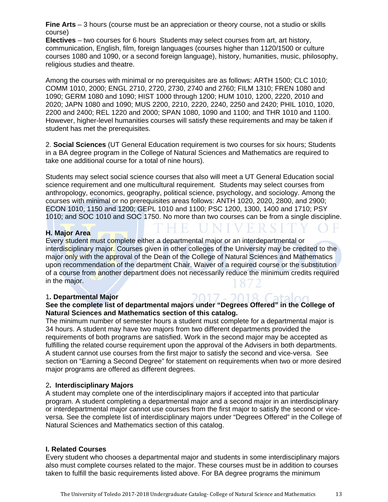**Fine Arts** – 3 hours (course must be an appreciation or theory course, not a studio or skills course)

**Electives** – two courses for 6 hours Students may select courses from art, art history, communication, English, film, foreign languages (courses higher than 1120/1500 or culture courses 1080 and 1090, or a second foreign language), history, humanities, music, philosophy, religious studies and theatre.

Among the courses with minimal or no prerequisites are as follows: ARTH 1500; CLC 1010; COMM 1010, 2000; ENGL 2710, 2720, 2730, 2740 and 2760; FILM 1310; FREN 1080 and 1090; GERM 1080 and 1090; HIST 1000 through 1200; HUM 1010, 1200, 2220, 2010 and 2020; JAPN 1080 and 1090; MUS 2200, 2210, 2220, 2240, 2250 and 2420; PHIL 1010, 1020, 2200 and 2400; REL 1220 and 2000; SPAN 1080, 1090 and 1100; and THR 1010 and 1100. However, higher-level humanities courses will satisfy these requirements and may be taken if student has met the prerequisites.

2. **Social Sciences** (UT General Education requirement is two courses for six hours; Students in a BA degree program in the College of Natural Sciences and Mathematics are required to take one additional course for a total of nine hours).

Students may select social science courses that also will meet a UT General Education social science requirement and one multicultural requirement. Students may select courses from anthropology, economics, geography, political science, psychology, and sociology. Among the courses with minimal or no prerequisites areas follows: ANTH 1020, 2020, 2800, and 2900; ECON 1010, 1150 and 1200; GEPL 1010 and 1100; PSC 1200, 1300, 1400 and 1710; PSY 1010; and SOC 1010 and SOC 1750. No more than two courses can be from a single discipline.

# **H. Major Area**

Every student must complete either a departmental major or an interdepartmental or interdisciplinary major. Courses given in other colleges of the University may be credited to the major only with the approval of the Dean of the College of Natural Sciences and Mathematics upon recommendation of the department Chair. Waiver of a required course or the substitution of a course from another department does not necessarily reduce the minimum credits required in the major.

#### 1**. Departmental Major**

# **See the complete list of departmental majors under "Degrees Offered" in the College of Natural Sciences and Mathematics section of this catalog.**

The minimum number of semester hours a student must complete for a departmental major is 34 hours. A student may have two majors from two different departments provided the requirements of both programs are satisfied. Work in the second major may be accepted as fulfilling the related course requirement upon the approval of the Advisers in both departments. A student cannot use courses from the first major to satisfy the second and vice-versa. See section on "Earning a Second Degree" for statement on requirements when two or more desired major programs are offered as different degrees.

#### 2**. Interdisciplinary Majors**

A student may complete one of the interdisciplinary majors if accepted into that particular program. A student completing a departmental major and a second major in an interdisciplinary or interdepartmental major cannot use courses from the first major to satisfy the second or viceversa. See the complete list of interdisciplinary majors under "Degrees Offered" in the College of Natural Sciences and Mathematics section of this catalog.

#### **I. Related Courses**

Every student who chooses a departmental major and students in some interdisciplinary majors also must complete courses related to the major. These courses must be in addition to courses taken to fulfill the basic requirements listed above. For BA degree programs the minimum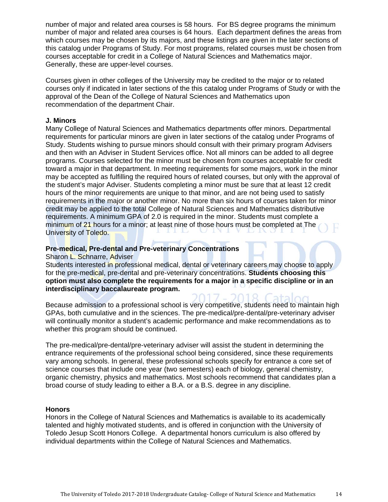number of major and related area courses is 58 hours. For BS degree programs the minimum number of major and related area courses is 64 hours. Each department defines the areas from which courses may be chosen by its majors, and these listings are given in the later sections of this catalog under Programs of Study. For most programs, related courses must be chosen from courses acceptable for credit in a College of Natural Sciences and Mathematics major. Generally, these are upper-level courses.

Courses given in other colleges of the University may be credited to the major or to related courses only if indicated in later sections of the this catalog under Programs of Study or with the approval of the Dean of the College of Natural Sciences and Mathematics upon recommendation of the department Chair.

#### **J. Minors**

Many College of Natural Sciences and Mathematics departments offer minors. Departmental requirements for particular minors are given in later sections of the catalog under Programs of Study. Students wishing to pursue minors should consult with their primary program Advisers and then with an Adviser in Student Services office. Not all minors can be added to all degree programs. Courses selected for the minor must be chosen from courses acceptable for credit toward a major in that department. In meeting requirements for some majors, work in the minor may be accepted as fulfilling the required hours of related courses, but only with the approval of the student's major Adviser. Students completing a minor must be sure that at least 12 credit hours of the minor requirements are unique to that minor, and are not being used to satisfy requirements in the major or another minor. No more than six hours of courses taken for minor credit may be applied to the total College of Natural Sciences and Mathematics distributive requirements. A minimum GPA of 2.0 is required in the minor. Students must complete a minimum of 21 hours for a minor; at least nine of those hours must be completed at The University of Toledo.

#### **Pre-medical, Pre-dental and Pre-veterinary Concentrations**

Sharon L. Schnarre, Adviser

Students interested in professional medical, dental or veterinary careers may choose to apply for the pre-medical, pre-dental and pre-veterinary concentrations. **Students choosing this option must also complete the requirements for a major in a specific discipline or in an interdisciplinary baccalaureate program.** 

Because admission to a professional school is very competitive, students need to maintain high GPAs, both cumulative and in the sciences. The pre-medical/pre-dental/pre-veterinary adviser will continually monitor a student's academic performance and make recommendations as to whether this program should be continued.

The pre-medical/pre-dental/pre-veterinary adviser will assist the student in determining the entrance requirements of the professional school being considered, since these requirements vary among schools. In general, these professional schools specify for entrance a core set of science courses that include one year (two semesters) each of biology, general chemistry, organic chemistry, physics and mathematics. Most schools recommend that candidates plan a broad course of study leading to either a B.A. or a B.S. degree in any discipline.

#### **Honors**

Honors in the College of Natural Sciences and Mathematics is available to its academically talented and highly motivated students, and is offered in conjunction with the University of Toledo Jesup Scott Honors College. A departmental honors curriculum is also offered by individual departments within the College of Natural Sciences and Mathematics.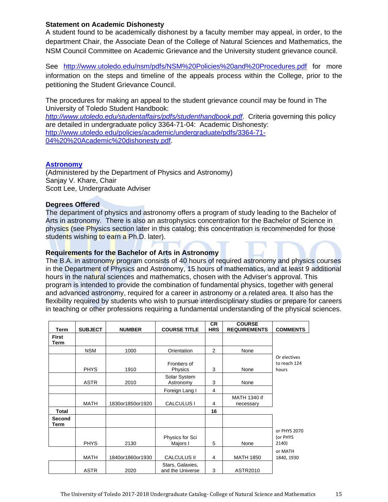# **Statement on Academic Dishonesty**

A student found to be academically dishonest by a faculty member may appeal, in order, to the department Chair, the Associate Dean of the College of Natural Sciences and Mathematics, the NSM Council Committee on Academic Grievance and the University student grievance council.

See http://www.utoledo.edu/nsm/pdfs/NSM%20Policies%20and%20Procedures.pdf for more information on the steps and timeline of the appeals process within the College, prior to the petitioning the Student Grievance Council.

The procedures for making an appeal to the student grievance council may be found in The University of Toledo Student Handbook:

*http://www.utoledo.edu/studentaffairs/pdfs/studenthandbook.pdf*. Criteria governing this policy are detailed in undergraduate policy 3364-71-04: Academic Dishonesty: http://www.utoledo.edu/policies/academic/undergraduate/pdfs/3364-71- 04%20%20Academic%20dishonesty.pdf.

# **Astronomy**

(Administered by the Department of Physics and Astronomy) Sanjay V. Khare, Chair Scott Lee, Undergraduate Adviser

#### **Degrees Offered**

The department of physics and astronomy offers a program of study leading to the Bachelor of Arts in astronomy. There is also an astrophysics concentration for the Bachelor of Science in physics (see Physics section later in this catalog; this concentration is recommended for those students wishing to earn a Ph.D. later).

# **Requirements for the Bachelor of Arts in Astronomy**

The B.A. in astronomy program consists of 40 hours of required astronomy and physics courses in the Department of Physics and Astronomy, 15 hours of mathematics, and at least 9 additional hours in the natural sciences and mathematics, chosen with the Adviser's approval. This program is intended to provide the combination of fundamental physics, together with general and advanced astronomy, required for a career in astronomy or a related area. It also has the flexibility required by students who wish to pursue interdisciplinary studies or prepare for careers in teaching or other professions requiring a fundamental understanding of the physical sciences.

| Term                 | <b>SUBJECT</b> | <b>NUMBER</b>    | <b>COURSE TITLE</b>                  | <b>CR</b><br><b>HRS</b> | <b>COURSE</b><br><b>REQUIREMENTS</b> | <b>COMMENTS</b>                       |
|----------------------|----------------|------------------|--------------------------------------|-------------------------|--------------------------------------|---------------------------------------|
| <b>First</b><br>Term |                |                  |                                      |                         |                                      |                                       |
|                      | <b>NSM</b>     | 1000             | Orientation                          | 2                       | None                                 |                                       |
|                      | <b>PHYS</b>    | 1910             | Frontiers of<br>Physics              | 3                       | None                                 | Or electives<br>to reach 124<br>hours |
|                      | <b>ASTR</b>    | 2010             | Solar System<br>Astronomy            | 3                       | None                                 |                                       |
|                      |                |                  | Foreign Lang I                       | 4                       |                                      |                                       |
|                      | <b>MATH</b>    | 1830or1850or1920 | CALCULUS I                           | 4                       | MATH 1340 if<br>necessary            |                                       |
| <b>Total</b>         |                |                  |                                      | 16                      |                                      |                                       |
| Second<br>Term       |                |                  |                                      |                         |                                      |                                       |
|                      | <b>PHYS</b>    | 2130             | Physics for Sci<br>Majors I          | 5                       | None                                 | or PHYS 2070<br>(or PHYS<br>2140)     |
|                      | <b>MATH</b>    | 1840or1860or1930 | <b>CALCULUS II</b>                   | 4                       | <b>MATH 1850</b>                     | or MATH<br>1840, 1930                 |
|                      | <b>ASTR</b>    | 2020             | Stars, Galaxies,<br>and the Universe | 3                       | ASTR2010                             |                                       |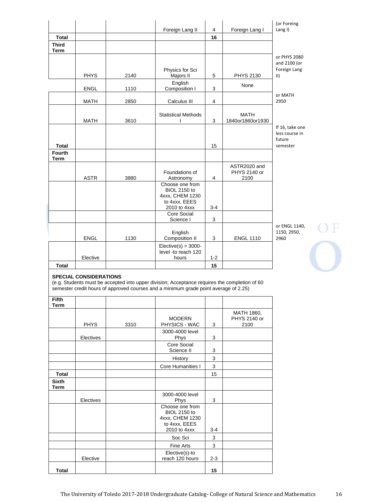|                              |             |      |                                        |                |                                 | (or Foreing                 |
|------------------------------|-------------|------|----------------------------------------|----------------|---------------------------------|-----------------------------|
|                              |             |      | Foreign Lang II                        | $\overline{4}$ | Foreign Lang I                  | Lang I)                     |
| <b>Total</b>                 |             |      |                                        | 16             |                                 |                             |
| <b>Third</b><br><b>Term</b>  |             |      |                                        |                |                                 |                             |
|                              |             |      |                                        |                |                                 | or PHYS 2080                |
|                              |             |      |                                        |                |                                 | and 2100 (or                |
|                              | <b>PHYS</b> | 2140 | Physics for Sci                        | 5              | <b>PHYS 2130</b>                | Foreign Lang<br>$\parallel$ |
|                              |             |      | Majors II<br>English                   |                |                                 |                             |
|                              | <b>ENGL</b> | 1110 | Composition I                          | 3              | None                            |                             |
|                              |             |      |                                        |                |                                 | or MATH                     |
|                              | <b>MATH</b> | 2850 | Calculus III                           | 4              |                                 | 2950                        |
|                              |             |      |                                        |                |                                 |                             |
|                              | <b>MATH</b> | 3610 | <b>Statistical Methods</b>             | 3              | <b>MATH</b><br>1840or1860or1930 |                             |
|                              |             |      |                                        |                |                                 | If 16, take one             |
|                              |             |      |                                        |                |                                 | less course in              |
|                              |             |      |                                        |                |                                 | future                      |
| <b>Total</b>                 |             |      |                                        | 15             |                                 | semester                    |
| <b>Fourth</b><br><b>Term</b> |             |      |                                        |                |                                 |                             |
|                              |             |      |                                        |                | ASTR2020 and                    |                             |
|                              |             |      | Foundations of                         |                | PHYS 2140 or                    |                             |
|                              | <b>ASTR</b> | 3880 | Astronomy                              | $\overline{4}$ | 2100                            |                             |
|                              |             |      | Choose one from<br><b>BIOL 2150 to</b> |                |                                 |                             |
|                              |             |      | 4xxx, CHEM 1230                        |                |                                 |                             |
|                              |             |      | to 4xxx, EEES                          |                |                                 |                             |
|                              |             |      | 2010 to 4xxx                           | $3 - 4$        |                                 |                             |
|                              |             |      | <b>Core Social</b><br>Science I        | 3              |                                 |                             |
|                              |             |      |                                        |                |                                 | or ENGL 1140,               |
|                              |             |      | English                                |                |                                 | 1150, 2950,                 |
|                              | <b>ENGL</b> | 1130 | Composition II                         | 3              | <b>ENGL 1110</b>                | 2960                        |
|                              |             |      | $Elective(s) > 3000 -$                 |                |                                 |                             |
|                              | Elective    |      | level -to reach 120<br>hours           | $1 - 2$        |                                 |                             |
| <b>Total</b>                 |             |      |                                        | 15             |                                 |                             |
|                              |             |      |                                        |                |                                 |                             |

OF<sub>OF</sub>

#### **SPECIAL CONSIDERATIONS**

(e.g. Students must be accepted into upper division; Acceptance requires the completion of 60 semester credit hours of approved courses and a minimum grade point average of 2.25)

| Fifth                       |             |      |                                                                                            |         |                                    |
|-----------------------------|-------------|------|--------------------------------------------------------------------------------------------|---------|------------------------------------|
| <b>Term</b>                 |             |      |                                                                                            |         |                                    |
|                             | <b>PHYS</b> | 3310 | <b>MODERN</b><br>PHYSICS - WAC                                                             | 3       | MATH 1860,<br>PHYS 2140 or<br>2100 |
|                             | Electives   |      | 3000-4000 level<br>Phys                                                                    | 3       |                                    |
|                             |             |      | Core Social<br>Science II                                                                  | 3       |                                    |
|                             |             |      | History                                                                                    | 3       |                                    |
|                             |             |      | <b>Core Humanities I</b>                                                                   | 3       |                                    |
| <b>Total</b>                |             |      |                                                                                            | 15      |                                    |
| <b>Sixth</b><br><b>Term</b> |             |      |                                                                                            |         |                                    |
|                             | Electives   |      | 3000-4000 level<br>Phys                                                                    | 3       |                                    |
|                             |             |      | Choose one from<br><b>BIOL 2150 to</b><br>4xxx, CHEM 1230<br>to 4xxx, EEES<br>2010 to 4xxx | $3 - 4$ |                                    |
|                             |             |      | Soc Sci                                                                                    | 3       |                                    |
|                             |             |      | <b>Fine Arts</b>                                                                           | 3       |                                    |
|                             | Elective    |      | Elective(s)-to<br>reach 120 hours                                                          | $2 - 3$ |                                    |
| <b>Total</b>                |             |      |                                                                                            | 15      |                                    |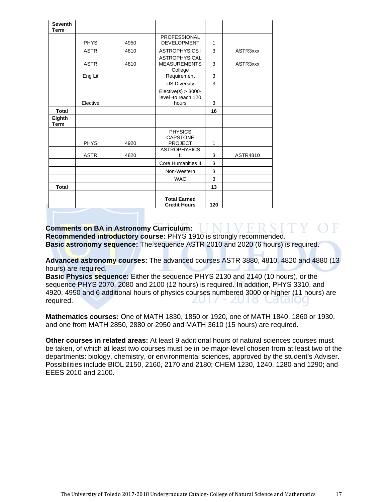| <b>Seventh</b><br><b>Term</b> |             |      |                                                        |     |          |
|-------------------------------|-------------|------|--------------------------------------------------------|-----|----------|
|                               | <b>PHYS</b> | 4950 | <b>PROFESSIONAL</b><br><b>DEVELOPMENT</b>              | 1   |          |
|                               | <b>ASTR</b> | 4810 | <b>ASTROPHYSICS I</b>                                  | 3   | ASTR3xxx |
|                               | <b>ASTR</b> | 4810 | <b>ASTROPHYSICAL</b><br><b>MEASUREMENTS</b>            | 3   | ASTR3xxx |
|                               | Eng Lit     |      | College<br>Requirement                                 | 3   |          |
|                               |             |      | <b>US Diversity</b>                                    | 3   |          |
|                               | Elective    |      | $Elective(s) > 3000 -$<br>level -to reach 120<br>hours | 3   |          |
| <b>Total</b>                  |             |      |                                                        | 16  |          |
| Eighth<br><b>Term</b>         |             |      |                                                        |     |          |
|                               | <b>PHYS</b> | 4920 | <b>PHYSICS</b><br><b>CAPSTONE</b><br><b>PROJECT</b>    | 1   |          |
|                               | <b>ASTR</b> | 4820 | <b>ASTROPHYSICS</b><br>Ш                               | 3   | ASTR4810 |
|                               |             |      | <b>Core Humanities II</b>                              | 3   |          |
|                               |             |      | Non-Western                                            | 3   |          |
|                               |             |      | <b>WAC</b>                                             | 3   |          |
| <b>Total</b>                  |             |      |                                                        | 13  |          |
|                               |             |      | <b>Total Earned</b><br><b>Credit Hours</b>             | 120 |          |

**Comments on BA in Astronomy Curriculum: Recommended introductory course:** PHYS 1910 is strongly recommended. **Basic astronomy sequence:** The sequence ASTR 2010 and 2020 (6 hours) is required.

**Advanced astronomy courses:** The advanced courses ASTR 3880, 4810, 4820 and 4880 (13 hours) are required.

**Basic Physics sequence:** Either the sequence PHYS 2130 and 2140 (10 hours), or the sequence PHYS 2070, 2080 and 2100 (12 hours) is required. In addition, PHYS 3310, and 4920, 4950 and 6 additional hours of physics courses numbered 3000 or higher (11 hours) are required. **Cald**l

**Mathematics courses:** One of MATH 1830, 1850 or 1920, one of MATH 1840, 1860 or 1930, and one from MATH 2850, 2880 or 2950 and MATH 3610 (15 hours) are required.

**Other courses in related areas:** At least 9 additional hours of natural sciences courses must be taken, of which at least two courses must be in be major-level chosen from at least two of the departments: biology, chemistry, or environmental sciences, approved by the student's Adviser. Possibilities include BIOL 2150, 2160, 2170 and 2180; CHEM 1230, 1240, 1280 and 1290; and EEES 2010 and 2100.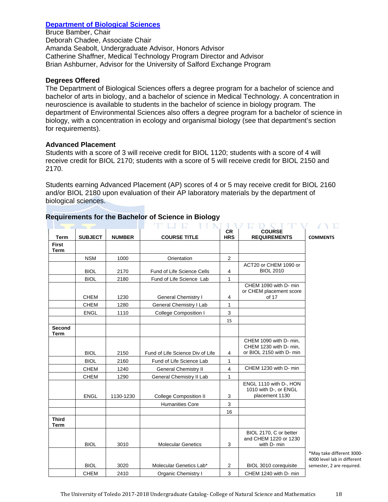# **Department of Biological Sciences**

Bruce Bamber, Chair Deborah Chadee, Associate Chair Amanda Seabolt, Undergraduate Advisor, Honors Advisor Catherine Shaffner, Medical Technology Program Director and Advisor Brian Ashburner, Advisor for the University of Salford Exchange Program

### **Degrees Offered**

The Department of Biological Sciences offers a degree program for a bachelor of science and bachelor of arts in biology, and a bachelor of science in Medical Technology. A concentration in neuroscience is available to students in the bachelor of science in biology program. The department of Environmental Sciences also offers a degree program for a bachelor of science in biology, with a concentration in ecology and organismal biology (see that department's section for requirements).

# **Advanced Placement**

Students with a score of 3 will receive credit for BIOL 1120; students with a score of 4 will receive credit for BIOL 2170; students with a score of 5 will receive credit for BIOL 2150 and 2170.

Students earning Advanced Placement (AP) scores of 4 or 5 may receive credit for BIOL 2160 and/or BIOL 2180 upon evaluation of their AP laboratory materials by the department of biological sciences.

|                             |                |               |                                  | <b>CR</b>      | <b>COURSE</b>                                                                |                                       |
|-----------------------------|----------------|---------------|----------------------------------|----------------|------------------------------------------------------------------------------|---------------------------------------|
| <b>Term</b>                 | <b>SUBJECT</b> | <b>NUMBER</b> | <b>COURSE TITLE</b>              | <b>HRS</b>     | <b>REQUIREMENTS</b>                                                          | <b>COMMENTS</b>                       |
| <b>First</b><br><b>Term</b> |                |               |                                  |                |                                                                              |                                       |
|                             | <b>NSM</b>     | 1000          | Orientation                      | $\overline{2}$ |                                                                              |                                       |
|                             | <b>BIOL</b>    | 2170          | Fund of Life Science Cells       | 4              | ACT20 or CHEM 1090 or<br><b>BIOL 2010</b>                                    |                                       |
|                             | <b>BIOL</b>    | 2180          | Fund of Life Science Lab         | $\mathbf{1}$   |                                                                              |                                       |
|                             |                |               |                                  |                | CHEM 1090 with D- min<br>or CHEM placement score                             |                                       |
|                             | <b>CHEM</b>    | 1230          | <b>General Chemistry I</b>       | $\overline{4}$ | of 17                                                                        |                                       |
|                             | <b>CHEM</b>    | 1280          | General Chemistry I Lab          | 1              |                                                                              |                                       |
|                             | <b>ENGL</b>    | 1110          | <b>College Composition I</b>     | 3              |                                                                              |                                       |
|                             |                |               |                                  | 15             |                                                                              |                                       |
| Second<br><b>Term</b>       |                |               |                                  |                |                                                                              |                                       |
|                             | <b>BIOL</b>    |               | Fund of Life Science Div of Life |                | CHEM 1090 with D- min,<br>CHEM 1230 with D- min,<br>or BIOL 2150 with D- min |                                       |
|                             |                | 2150          |                                  | 4              |                                                                              |                                       |
|                             | <b>BIOL</b>    | 2160          | Fund of Life Science Lab         | 1              | CHEM 1230 with D- min                                                        |                                       |
|                             | <b>CHEM</b>    | 1240          | <b>General Chemistry II</b>      | $\overline{4}$ |                                                                              |                                       |
|                             | <b>CHEM</b>    | 1290          | General Chemistry II Lab         | 1              |                                                                              |                                       |
|                             | <b>ENGL</b>    | 1130-1230     | <b>College Composition II</b>    | 3              | ENGL 1110 with D-, HON<br>1010 with D-, or ENGL<br>placement 1130            |                                       |
|                             |                |               | <b>Humanities Core</b>           | 3              |                                                                              |                                       |
|                             |                |               |                                  | 16             |                                                                              |                                       |
| <b>Third</b><br><b>Term</b> |                |               |                                  |                |                                                                              |                                       |
|                             | <b>BIOL</b>    | 3010          | <b>Molecular Genetics</b>        | 3              | BIOL 2170, C or better<br>and CHEM 1220 or 1230<br>with D- min               |                                       |
|                             |                |               |                                  |                |                                                                              | *May take differ<br>4000 level lab in |
|                             | <b>BIOL</b>    | 3020          | Molecular Genetics Lab*          | $\overline{c}$ | BIOL 3010 corequisite                                                        | semester, 2 are i                     |
|                             | <b>CHEM</b>    | 2410          | Organic Chemistry I              | 3              | CHEM 1240 with D- min                                                        |                                       |

# **Requirements for the Bachelor of Science in Biology**

ent 3000different required.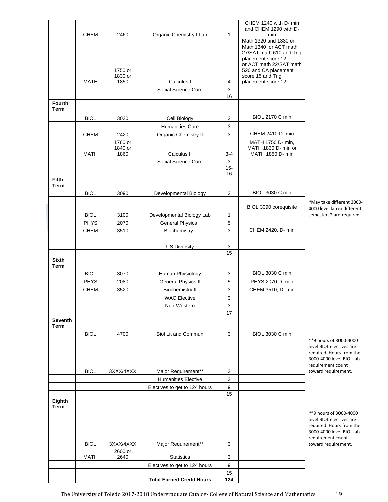|                        |                            |                            |                                                   |                  | CHEM 1240 with D- min<br>and CHEM 1290 with D-                                                                                                                           |
|------------------------|----------------------------|----------------------------|---------------------------------------------------|------------------|--------------------------------------------------------------------------------------------------------------------------------------------------------------------------|
|                        | <b>CHEM</b>                | 2460                       | Organic Chemistry I Lab                           | 1                | min                                                                                                                                                                      |
|                        |                            | 1750 or<br>1830 or         |                                                   |                  | Math 1320 and 1330 or<br>Math 1340 or ACT math<br>27/SAT math 610 and Trig<br>placement score 12<br>or ACT math 22/SAT math<br>520 and CA placement<br>score 15 and Trig |
|                        | MATH                       | 1850                       | Calculus I                                        | 4                | placement score 12                                                                                                                                                       |
|                        |                            |                            | Social Science Core                               | 3                |                                                                                                                                                                          |
| <b>Fourth</b>          |                            |                            |                                                   | 16               |                                                                                                                                                                          |
| Term                   |                            |                            |                                                   |                  |                                                                                                                                                                          |
|                        | <b>BIOL</b>                | 3030                       | Cell Biology                                      | 3                | BIOL 2170 C min                                                                                                                                                          |
|                        |                            |                            | <b>Humanities Core</b>                            | 3                |                                                                                                                                                                          |
|                        | CHEM                       | 2420                       | Organic Chemistry II                              | 3                | CHEM 2410 D- min                                                                                                                                                         |
|                        | MATH                       | 1760 or<br>1840 or<br>1860 | Calculus II                                       | $3 - 4$          | MATH 1750 D- min,<br>MATH 1830 D- min or<br>MATH 1850 D- min                                                                                                             |
|                        |                            |                            | Social Science Core                               | 3                |                                                                                                                                                                          |
|                        |                            |                            |                                                   | $15 -$<br>16     |                                                                                                                                                                          |
| <b>Fifth</b>           |                            |                            |                                                   |                  |                                                                                                                                                                          |
| Term                   |                            |                            |                                                   |                  | <b>BIOL 3030 C min</b>                                                                                                                                                   |
|                        | <b>BIOL</b>                | 3090                       | Developmental Biology                             | 3                |                                                                                                                                                                          |
|                        |                            |                            |                                                   |                  | $*M$<br>BIOL 3090 corequisite<br>400                                                                                                                                     |
|                        | <b>BIOL</b>                | 3100                       | Developmental Biology Lab                         | $\mathbf 1$      | sem                                                                                                                                                                      |
|                        | <b>PHYS</b><br><b>CHEM</b> | 2070<br>3510               | <b>General Physics I</b><br><b>Biochemistry I</b> | 5<br>3           | CHEM 2420, D- min                                                                                                                                                        |
|                        |                            |                            |                                                   |                  |                                                                                                                                                                          |
|                        |                            |                            | <b>US Diversity</b>                               | 3                |                                                                                                                                                                          |
|                        |                            |                            |                                                   | 15               |                                                                                                                                                                          |
| <b>Sixth</b><br>Term   |                            |                            |                                                   |                  |                                                                                                                                                                          |
|                        | <b>BIOL</b>                | 3070                       | Human Physiology                                  | 3                | <b>BIOL 3030 C min</b>                                                                                                                                                   |
|                        | <b>PHYS</b>                | 2080                       | <b>General Physics II</b>                         | 5                | PHYS 2070 D- min                                                                                                                                                         |
|                        | CHEM                       | 3520                       | <b>Biochemistry II</b>                            | 3                | CHEM 3510, D- min                                                                                                                                                        |
|                        |                            |                            | <b>WAC Elective</b>                               | 3                |                                                                                                                                                                          |
|                        |                            |                            | Non-Western                                       | 3                |                                                                                                                                                                          |
|                        |                            |                            |                                                   | 17               |                                                                                                                                                                          |
| <b>Seventh</b><br>Term |                            |                            |                                                   |                  |                                                                                                                                                                          |
|                        | <b>BIOL</b>                | 4700                       | Biol Lit and Commun                               | 3                | BIOL 3030 C min                                                                                                                                                          |
|                        |                            |                            |                                                   |                  | $**9$                                                                                                                                                                    |
|                        |                            |                            |                                                   |                  | leve                                                                                                                                                                     |
|                        |                            |                            |                                                   |                  | req<br>300                                                                                                                                                               |
|                        |                            |                            |                                                   |                  | req                                                                                                                                                                      |
|                        | <b>BIOL</b>                | 3XXX/4XXX                  | Major Requirement**                               | 3                | tow                                                                                                                                                                      |
|                        |                            |                            | <b>Humanities Elective</b>                        | 3                |                                                                                                                                                                          |
|                        |                            |                            | Electives to get to 124 hours                     | 9<br>15          |                                                                                                                                                                          |
| Eighth                 |                            |                            |                                                   |                  |                                                                                                                                                                          |
| <b>Term</b>            |                            |                            |                                                   |                  | $**g$                                                                                                                                                                    |
|                        |                            |                            |                                                   |                  | leve<br>req                                                                                                                                                              |
|                        | <b>BIOL</b>                | 3XXX/4XXX                  | Major Requirement**                               | 3                | 300<br>req<br>tow                                                                                                                                                        |
|                        |                            | 2600 or                    |                                                   |                  |                                                                                                                                                                          |
|                        | MATH                       | 2640                       | <b>Statistics</b>                                 | 3                |                                                                                                                                                                          |
|                        |                            |                            | Electives to get to 124 hours                     | $\boldsymbol{9}$ |                                                                                                                                                                          |
|                        |                            |                            | <b>Total Earned Credit Hours</b>                  | 15<br>124        |                                                                                                                                                                          |
|                        |                            |                            |                                                   |                  |                                                                                                                                                                          |

ay take different 3000-00 level lab in different ester, 2 are required.

hours of 3000-4000 el BIOL electives are uired. Hours from the 00-4000 level BIOL lab uirement count ard requirement.

hours of 3000-4000 el BIOL electives are uired. Hours from the 00-4000 level BIOL lab uirement count ard requirement.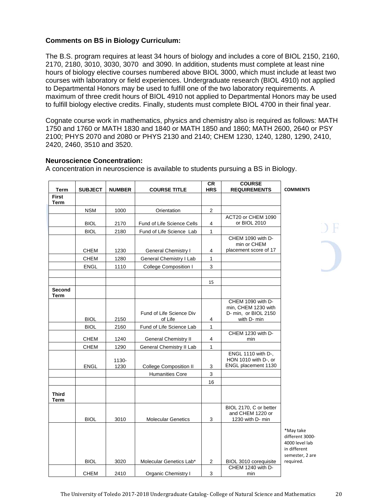# **Comments on BS in Biology Curriculum:**

The B.S. program requires at least 34 hours of biology and includes a core of BIOL 2150, 2160, 2170, 2180, 3010, 3030, 3070 and 3090. In addition, students must complete at least nine hours of biology elective courses numbered above BIOL 3000, which must include at least two courses with laboratory or field experiences. Undergraduate research (BIOL 4910) not applied to Departmental Honors may be used to fulfill one of the two laboratory requirements. A maximum of three credit hours of BIOL 4910 not applied to Departmental Honors may be used to fulfill biology elective credits. Finally, students must complete BIOL 4700 in their final year.

Cognate course work in mathematics, physics and chemistry also is required as follows: MATH 1750 and 1760 or MATH 1830 and 1840 or MATH 1850 and 1860; MATH 2600, 2640 or PSY 2100; PHYS 2070 and 2080 or PHYS 2130 and 2140; CHEM 1230, 1240, 1280, 1290, 2410, 2420, 2460, 3510 and 3520.

#### **Neuroscience Concentration:**

| Term                 | <b>SUBJECT</b> | <b>NUMBER</b> | <b>COURSE TITLE</b>                 | <b>CR</b><br><b>HRS</b> | <b>COURSE</b><br><b>REQUIREMENTS</b>                                            | <b>COMMENTS</b>                                                                   |
|----------------------|----------------|---------------|-------------------------------------|-------------------------|---------------------------------------------------------------------------------|-----------------------------------------------------------------------------------|
| <b>First</b><br>Term |                |               |                                     |                         |                                                                                 |                                                                                   |
|                      | <b>NSM</b>     | 1000          | Orientation                         | 2                       |                                                                                 |                                                                                   |
|                      | <b>BIOL</b>    | 2170          | Fund of Life Science Cells          | 4                       | ACT20 or CHEM 1090<br>or BIOL 2010                                              |                                                                                   |
|                      | <b>BIOL</b>    | 2180          | Fund of Life Science Lab            | $\mathbf{1}$            |                                                                                 |                                                                                   |
|                      |                |               |                                     |                         | CHEM 1090 with D-<br>min or CHEM                                                |                                                                                   |
|                      | <b>CHEM</b>    | 1230          | General Chemistry I                 | 4                       | placement score of 17                                                           |                                                                                   |
|                      | <b>CHEM</b>    | 1280          | General Chemistry I Lab             | $\mathbf{1}$            |                                                                                 |                                                                                   |
|                      | <b>ENGL</b>    | 1110          | College Composition I               | 3                       |                                                                                 |                                                                                   |
|                      |                |               |                                     | 15                      |                                                                                 |                                                                                   |
| Second<br>Term       |                |               |                                     |                         |                                                                                 |                                                                                   |
|                      | <b>BIOL</b>    | 2150          | Fund of Life Science Div<br>of Life | 4                       | CHEM 1090 with D-<br>min, CHEM 1230 with<br>D- min, or BIOL 2150<br>with D- min |                                                                                   |
|                      | <b>BIOL</b>    | 2160          | Fund of Life Science Lab            | $\mathbf{1}$            |                                                                                 |                                                                                   |
|                      | <b>CHEM</b>    | 1240          | <b>General Chemistry II</b>         | 4                       | CHEM 1230 with D-<br>min                                                        |                                                                                   |
|                      | <b>CHEM</b>    | 1290          | General Chemistry II Lab            | $\mathbf{1}$            |                                                                                 |                                                                                   |
|                      | <b>ENGL</b>    | 1130-<br>1230 | <b>College Composition II</b>       | 3                       | ENGL 1110 with D-,<br>HON 1010 with D-, or<br>ENGL placement 1130               |                                                                                   |
|                      |                |               | <b>Humanities Core</b>              | 3                       |                                                                                 |                                                                                   |
|                      |                |               |                                     | 16                      |                                                                                 |                                                                                   |
| <b>Third</b><br>Term |                |               |                                     |                         |                                                                                 |                                                                                   |
|                      | <b>BIOL</b>    | 3010          | <b>Molecular Genetics</b>           | 3                       | BIOL 2170, C or better<br>and CHEM 1220 or<br>1230 with D- min                  |                                                                                   |
|                      |                |               |                                     |                         |                                                                                 | *May take<br>different 3000-<br>4000 level lab<br>in different<br>semester, 2 are |
|                      | <b>BIOL</b>    | 3020          | Molecular Genetics Lab*             | $\overline{2}$          | BIOL 3010 corequisite                                                           | required.                                                                         |
|                      | <b>CHEM</b>    | 2410          | <b>Organic Chemistry I</b>          | 3                       | CHEM 1240 with D-<br>min                                                        |                                                                                   |

A concentration in neuroscience is available to students pursuing a BS in Biology.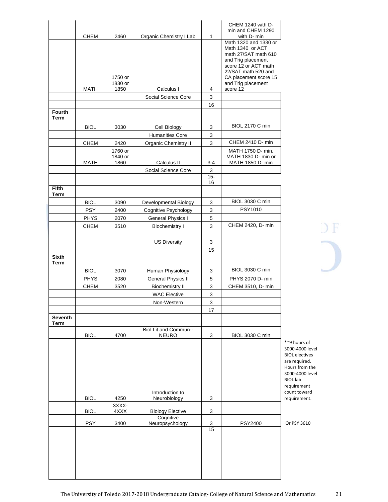|                       | <b>CHEM</b> | 2460                       | Organic Chemistry I Lab         | 1            | CHEM 1240 with D-<br>min and CHEM 1290<br>with D- min                                                                                                                                 |
|-----------------------|-------------|----------------------------|---------------------------------|--------------|---------------------------------------------------------------------------------------------------------------------------------------------------------------------------------------|
|                       |             | 1750 or<br>1830 or         |                                 |              | Math 1320 and 1330 or<br>Math 1340 or ACT<br>math 27/SAT math 610<br>and Trig placement<br>score 12 or ACT math<br>22/SAT math 520 and<br>CA placement score 15<br>and Trig placement |
|                       | <b>MATH</b> | 1850                       | Calculus I                      | 4            | score 12                                                                                                                                                                              |
|                       |             |                            | Social Science Core             | 3            |                                                                                                                                                                                       |
| <b>Fourth</b><br>Term |             |                            |                                 | 16           |                                                                                                                                                                                       |
|                       | <b>BIOL</b> | 3030                       | Cell Biology                    | 3            | <b>BIOL 2170 C min</b>                                                                                                                                                                |
|                       |             |                            | <b>Humanities Core</b>          | 3            |                                                                                                                                                                                       |
|                       | <b>CHEM</b> | 2420                       | <b>Organic Chemistry II</b>     | 3            | CHEM 2410 D- min                                                                                                                                                                      |
|                       | MATH        | 1760 or<br>1840 or<br>1860 | Calculus II                     | $3 - 4$      | MATH 1750 D- min,<br>MATH 1830 D- min or<br>MATH 1850 D- min                                                                                                                          |
|                       |             |                            | Social Science Core             | 3            |                                                                                                                                                                                       |
|                       |             |                            |                                 | $15 -$<br>16 |                                                                                                                                                                                       |
| <b>Fifth</b><br>Term  |             |                            |                                 |              |                                                                                                                                                                                       |
|                       | <b>BIOL</b> | 3090                       | Developmental Biology           | 3            | <b>BIOL 3030 C min</b>                                                                                                                                                                |
|                       | <b>PSY</b>  | 2400                       | Cognitive Psychology            | 3            | <b>PSY1010</b>                                                                                                                                                                        |
|                       | <b>PHYS</b> | 2070                       | General Physics I               | 5            |                                                                                                                                                                                       |
|                       | <b>CHEM</b> | 3510                       | <b>Biochemistry I</b>           | 3            | CHEM 2420, D- min                                                                                                                                                                     |
|                       |             |                            | <b>US Diversity</b>             | 3<br>15      |                                                                                                                                                                                       |
| <b>Sixth</b><br>Term  |             |                            |                                 |              |                                                                                                                                                                                       |
|                       | <b>BIOL</b> | 3070                       | Human Physiology                | 3            | <b>BIOL 3030 C min</b>                                                                                                                                                                |
|                       | <b>PHYS</b> | 2080                       | General Physics II              | 5            | PHYS 2070 D- min                                                                                                                                                                      |
|                       | <b>CHEM</b> | 3520                       | <b>Biochemistry II</b>          | 3            | CHEM 3510, D- min                                                                                                                                                                     |
|                       |             |                            | <b>WAC Elective</b>             | 3            |                                                                                                                                                                                       |
|                       |             |                            | Non-Western                     | 3            |                                                                                                                                                                                       |
| Seventh               |             |                            |                                 | 17           |                                                                                                                                                                                       |
| <b>Term</b>           |             |                            | Biol Lit and Commun--           |              |                                                                                                                                                                                       |
|                       | <b>BIOL</b> | 4700                       | <b>NEURO</b>                    | 3            | <b>BIOL 3030 C min</b>                                                                                                                                                                |
|                       |             |                            |                                 |              |                                                                                                                                                                                       |
|                       | <b>BIOL</b> | 4250                       | Introduction to<br>Neurobiology | 3            |                                                                                                                                                                                       |
|                       | <b>BIOL</b> | 3XXX-<br>4XXX              | <b>Biology Elective</b>         | 3            |                                                                                                                                                                                       |
|                       | <b>PSY</b>  | 3400                       | Cognitive<br>Neuropsychology    | 3            | <b>PSY2400</b>                                                                                                                                                                        |
|                       |             |                            |                                 | 15           |                                                                                                                                                                                       |
|                       |             |                            |                                 |              |                                                                                                                                                                                       |

 $\overline{)}$  F

'9 hours of 00-4000 level OL electives e required. . .<br>burs from the 00-4000 level OL lab quirement unt toward quirement.

 $P$ SY 3610

The University of Toledo 2017-2018 Undergraduate Catalog- College of Natural Science and Mathematics 21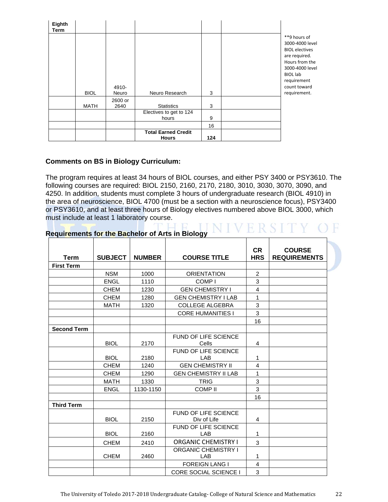| Eighth<br>Term |             |                 |                                            |     |                                                                                                                                                                                  |
|----------------|-------------|-----------------|--------------------------------------------|-----|----------------------------------------------------------------------------------------------------------------------------------------------------------------------------------|
|                | <b>BIOL</b> | 4910-<br>Neuro  | Neuro Research                             | 3   | **9 hours of<br>3000-4000 level<br><b>BIOL</b> electives<br>are required.<br>Hours from the<br>3000-4000 level<br><b>BIOL</b> lab<br>requirement<br>count toward<br>requirement. |
|                | <b>MATH</b> | 2600 or<br>2640 | <b>Statistics</b>                          | 3   |                                                                                                                                                                                  |
|                |             |                 | Electives to get to 124<br>hours           | 9   |                                                                                                                                                                                  |
|                |             |                 |                                            | 16  |                                                                                                                                                                                  |
|                |             |                 | <b>Total Earned Credit</b><br><b>Hours</b> | 124 |                                                                                                                                                                                  |

# **Comments on BS in Biology Curriculum:**

The program requires at least 34 hours of BIOL courses, and either PSY 3400 or PSY3610. The following courses are required: BIOL 2150, 2160, 2170, 2180, 3010, 3030, 3070, 3090, and 4250. In addition, students must complete 3 hours of undergraduate research (BIOL 4910) in the area of neuroscience, BIOL 4700 (must be a section with a neuroscience focus), PSY3400 or PSY3610, and at least three hours of Biology electives numbered above BIOL 3000, which must include at least 1 laboratory course.

|                    |                |               |                                            | <b>CR</b>                 | <b>COURSE</b>       |
|--------------------|----------------|---------------|--------------------------------------------|---------------------------|---------------------|
| <b>Term</b>        | <b>SUBJECT</b> | <b>NUMBER</b> | <b>COURSE TITLE</b>                        | <b>HRS</b>                | <b>REQUIREMENTS</b> |
| <b>First Term</b>  |                |               |                                            |                           |                     |
|                    | <b>NSM</b>     | 1000          | <b>ORIENTATION</b>                         | $\overline{2}$            |                     |
|                    | <b>ENGL</b>    | 1110          | COMP <sub>1</sub>                          | 3                         |                     |
|                    | <b>CHEM</b>    | 1230          | <b>GEN CHEMISTRY I</b>                     | $\overline{4}$            |                     |
|                    | <b>CHEM</b>    | 1280          | <b>GEN CHEMISTRY I LAB</b>                 | 1                         |                     |
|                    | <b>MATH</b>    | 1320          | <b>COLLEGE ALGEBRA</b>                     | 3                         |                     |
|                    |                |               | <b>CORE HUMANITIES I</b>                   | 3                         |                     |
|                    |                |               |                                            | 16                        |                     |
| <b>Second Term</b> |                |               |                                            |                           |                     |
|                    |                |               | FUND OF LIFE SCIENCE                       |                           |                     |
|                    | <b>BIOL</b>    | 2170          | Cells                                      | 4                         |                     |
|                    |                |               | FUND OF LIFE SCIENCE                       |                           |                     |
|                    | <b>BIOL</b>    | 2180          | <b>LAB</b>                                 | 1                         |                     |
|                    | <b>CHEM</b>    | 1240          | <b>GEN CHEMISTRY II</b>                    | 4                         |                     |
|                    | <b>CHEM</b>    | 1290          | <b>GEN CHEMISTRY II LAB</b>                | 1                         |                     |
|                    | <b>MATH</b>    | 1330          | <b>TRIG</b>                                | $\ensuremath{\mathsf{3}}$ |                     |
|                    | <b>ENGL</b>    | 1130-1150     | <b>COMP II</b>                             | 3                         |                     |
| <b>Third Term</b>  |                |               |                                            | 16                        |                     |
|                    | <b>BIOL</b>    | 2150          | <b>FUND OF LIFE SCIENCE</b><br>Div of Life | 4                         |                     |
|                    | <b>BIOL</b>    | 2160          | <b>FUND OF LIFE SCIENCE</b><br>LAB         | 1                         |                     |
|                    | <b>CHEM</b>    | 2410          | <b>ORGANIC CHEMISTRY I</b>                 | 3                         |                     |
|                    | <b>CHEM</b>    | 2460          | <b>ORGANIC CHEMISTRY I</b><br><b>LAB</b>   | 1                         |                     |
|                    |                |               | <b>FOREIGN LANG I</b>                      | $\overline{\mathbf{4}}$   |                     |
|                    |                |               | <b>CORE SOCIAL SCIENCE I</b>               | 3                         |                     |

# **Requirements for the Bachelor of Arts in Biology NIVERSITY O**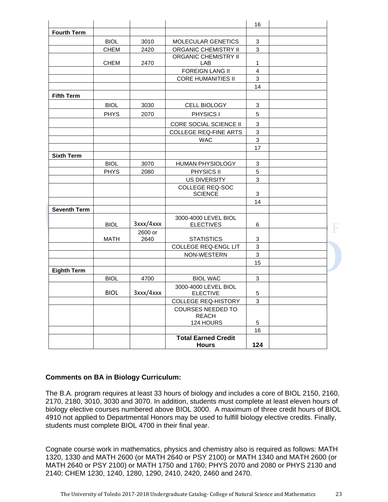|                     |             |                 |                                            | 16                        |  |
|---------------------|-------------|-----------------|--------------------------------------------|---------------------------|--|
| <b>Fourth Term</b>  |             |                 |                                            |                           |  |
|                     | <b>BIOL</b> | 3010            | MOLECULAR GENETICS                         | 3                         |  |
|                     | <b>CHEM</b> | 2420            | <b>ORGANIC CHEMISTRY II</b>                | 3                         |  |
|                     |             |                 | <b>ORGANIC CHEMISTRY II</b>                |                           |  |
|                     | CHEM        | 2470            | LAB                                        | 1                         |  |
|                     |             |                 | <b>FOREIGN LANG II</b>                     | 4                         |  |
|                     |             |                 | <b>CORE HUMANITIES II</b>                  | 3                         |  |
|                     |             |                 |                                            | 14                        |  |
| <b>Fifth Term</b>   |             |                 |                                            |                           |  |
|                     | <b>BIOL</b> | 3030            | <b>CELL BIOLOGY</b>                        | 3                         |  |
|                     | <b>PHYS</b> | 2070            | <b>PHYSICS I</b>                           | 5                         |  |
|                     |             |                 | CORE SOCIAL SCIENCE II                     | 3                         |  |
|                     |             |                 | <b>COLLEGE REQ-FINE ARTS</b>               | 3                         |  |
|                     |             |                 | <b>WAC</b>                                 | $\ensuremath{\mathsf{3}}$ |  |
|                     |             |                 |                                            | 17                        |  |
| <b>Sixth Term</b>   |             |                 |                                            |                           |  |
|                     | <b>BIOL</b> | 3070            | HUMAN PHYSIOLOGY                           | 3                         |  |
|                     | <b>PHYS</b> | 2080            | PHYSICS II                                 | 5                         |  |
|                     |             |                 | <b>US DIVERSITY</b>                        | 3                         |  |
|                     |             |                 | <b>COLLEGE REQ-SOC</b>                     |                           |  |
|                     |             |                 | <b>SCIENCE</b>                             | 3                         |  |
|                     |             |                 |                                            | 14                        |  |
| <b>Seventh Term</b> |             |                 |                                            |                           |  |
|                     | <b>BIOL</b> | 3xxx/4xxx       | 3000-4000 LEVEL BIOL<br><b>ELECTIVES</b>   | 6                         |  |
|                     | MATH        | 2600 or<br>2640 | <b>STATISTICS</b>                          | 3                         |  |
|                     |             |                 | <b>COLLEGE REQ-ENGL LIT</b>                | 3                         |  |
|                     |             |                 | NON-WESTERN                                | 3                         |  |
|                     |             |                 |                                            | 15                        |  |
| <b>Eighth Term</b>  |             |                 |                                            |                           |  |
|                     | <b>BIOL</b> | 4700            | <b>BIOL WAC</b>                            | 3                         |  |
|                     | <b>BIOL</b> | 3xxx/4xxx       | 3000-4000 LEVEL BIOL<br><b>ELECTIVE</b>    | 5                         |  |
|                     |             |                 | <b>COLLEGE REQ-HISTORY</b>                 | 3                         |  |
|                     |             |                 | <b>COURSES NEEDED TO</b><br><b>REACH</b>   |                           |  |
|                     |             |                 | 124 HOURS                                  | 5                         |  |
|                     |             |                 |                                            | 16                        |  |
|                     |             |                 | <b>Total Earned Credit</b><br><b>Hours</b> | 124                       |  |

#### **Comments on BA in Biology Curriculum:**

The B.A. program requires at least 33 hours of biology and includes a core of BIOL 2150, 2160, 2170, 2180, 3010, 3030 and 3070. In addition, students must complete at least eleven hours of biology elective courses numbered above BIOL 3000. A maximum of three credit hours of BIOL 4910 not applied to Departmental Honors may be used to fulfill biology elective credits. Finally, students must complete BIOL 4700 in their final year.

Cognate course work in mathematics, physics and chemistry also is required as follows: MATH 1320, 1330 and MATH 2600 (or MATH 2640 or PSY 2100) or MATH 1340 and MATH 2600 (or MATH 2640 or PSY 2100) or MATH 1750 and 1760; PHYS 2070 and 2080 or PHYS 2130 and 2140; CHEM 1230, 1240, 1280, 1290, 2410, 2420, 2460 and 2470.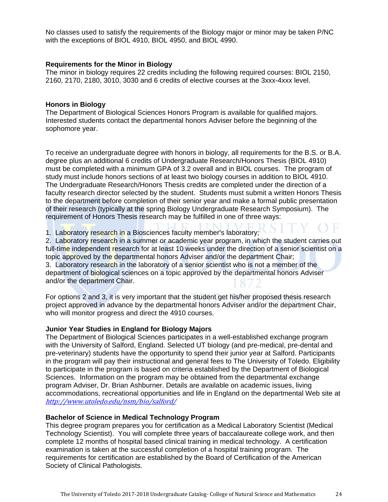No classes used to satisfy the requirements of the Biology major or minor may be taken P/NC with the exceptions of BIOL 4910, BIOL 4950, and BIOL 4990.

#### **Requirements for the Minor in Biology**

The minor in biology requires 22 credits including the following required courses: BIOL 2150, 2160, 2170, 2180, 3010, 3030 and 6 credits of elective courses at the 3xxx-4xxx level.

#### **Honors in Biology**

The Department of Biological Sciences Honors Program is available for qualified majors. Interested students contact the departmental honors Adviser before the beginning of the sophomore year.

To receive an undergraduate degree with honors in biology, all requirements for the B.S. or B.A. degree plus an additional 6 credits of Undergraduate Research/Honors Thesis (BIOL 4910) must be completed with a minimum GPA of 3.2 overall and in BIOL courses. The program of study must include honors sections of at least two biology courses in addition to BIOL 4910. The Undergraduate Research/Honors Thesis credits are completed under the direction of a faculty research director selected by the student. Students must submit a written Honors Thesis to the department before completion of their senior year and make a formal public presentation of their research (typically at the spring Biology Undergraduate Research Symposium). The requirement of Honors Thesis research may be fulfilled in one of three ways:

1. Laboratory research in a Biosciences faculty member's laboratory;

2. Laboratory research in a summer or academic year program, in which the student carries out full-time independent research for at least 10 weeks under the direction of a senior scientist on a topic approved by the departmental honors Adviser and/or the department Chair; 3. Laboratory research in the laboratory of a senior scientist who is not a member of the

department of biological sciences on a topic approved by the departmental honors Adviser and/or the department Chair.

For options 2 and 3, it is very important that the student get his/her proposed thesis research project approved in advance by the departmental honors Adviser and/or the department Chair, who will monitor progress and direct the 4910 courses.

#### **Junior Year Studies in England for Biology Majors**

The Department of Biological Sciences participates in a well-established exchange program with the University of Salford, England. Selected UT biology (and pre-medical, pre-dental and pre-veterinary) students have the opportunity to spend their junior year at Salford. Participants in the program will pay their instructional and general fees to The University of Toledo. Eligibility to participate in the program is based on criteria established by the Department of Biological Sciences. Information on the program may be obtained from the departmental exchange program Adviser, Dr. Brian Ashburner. Details are available on academic issues, living accommodations, recreational opportunities and life in England on the departmental Web site at http://www.utoledo.edu/nsm/bio/salford/

#### **Bachelor of Science in Medical Technology Program**

This degree program prepares you for certification as a Medical Laboratory Scientist (Medical Technology Scientist). You will complete three years of baccalaureate college work, and then complete 12 months of hospital based clinical training in medical technology. A certification examination is taken at the successful completion of a hospital training program. The requirements for certification are established by the Board of Certification of the American Society of Clinical Pathologists.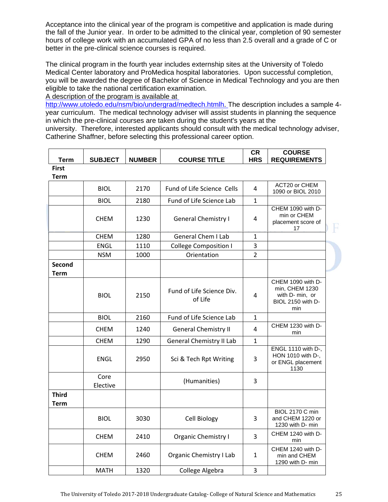Acceptance into the clinical year of the program is competitive and application is made during the fall of the Junior year. In order to be admitted to the clinical year, completion of 90 semester hours of college work with an accumulated GPA of no less than 2.5 overall and a grade of C or better in the pre-clinical science courses is required.

The clinical program in the fourth year includes externship sites at the University of Toledo Medical Center laboratory and ProMedica hospital laboratories. Upon successful completion, you will be awarded the degree of Bachelor of Science in Medical Technology and you are then eligible to take the national certification examination.

A description of the program is available at

http://www.utoledo.edu/nsm/bio/undergrad/medtech.htmlh. The description includes a sample 4year curriculum. The medical technology adviser will assist students in planning the sequence in which the pre-clinical courses are taken during the student's years at the university. Therefore, interested applicants should consult with the medical technology adviser, Catherine Shaffner, before selecting this professional career option.

| <b>Term</b>          | <b>SUBJECT</b>   | <b>NUMBER</b> | <b>COURSE TITLE</b>                  | <b>CR</b><br><b>HRS</b> | <b>COURSE</b><br><b>REQUIREMENTS</b>                                               |
|----------------------|------------------|---------------|--------------------------------------|-------------------------|------------------------------------------------------------------------------------|
| <b>First</b>         |                  |               |                                      |                         |                                                                                    |
| <b>Term</b>          |                  |               |                                      |                         |                                                                                    |
|                      | <b>BIOL</b>      | 2170          | Fund of Life Science Cells           | 4                       | ACT20 or CHEM<br>1090 or BIOL 2010                                                 |
|                      | <b>BIOL</b>      | 2180          | Fund of Life Science Lab             | 1                       |                                                                                    |
|                      | <b>CHEM</b>      | 1230          | <b>General Chemistry I</b>           | 4                       | CHEM 1090 with D-<br>min or CHEM<br>placement score of<br>17                       |
|                      | <b>CHEM</b>      | 1280          | <b>General Chem I Lab</b>            | 1                       |                                                                                    |
|                      | <b>ENGL</b>      | 1110          | <b>College Composition I</b>         | 3                       |                                                                                    |
|                      | <b>NSM</b>       | 1000          | Orientation                          | $\overline{2}$          |                                                                                    |
| Second<br>Term       |                  |               |                                      |                         |                                                                                    |
|                      | <b>BIOL</b>      | 2150          | Fund of Life Science Div.<br>of Life | 4                       | CHEM 1090 with D-<br>min, CHEM 1230<br>with D- min, or<br>BIOL 2150 with D-<br>min |
|                      | <b>BIOL</b>      | 2160          | Fund of Life Science Lab             | $\mathbf{1}$            |                                                                                    |
|                      | <b>CHEM</b>      | 1240          | <b>General Chemistry II</b>          | 4                       | CHEM 1230 with D-<br>min                                                           |
|                      | <b>CHEM</b>      | 1290          | <b>General Chemistry II Lab</b>      | $\mathbf{1}$            |                                                                                    |
|                      | ENGL             | 2950          | Sci & Tech Rpt Writing               | 3                       | ENGL 1110 with D-,<br>HON 1010 with D-,<br>or ENGL placement<br>1130               |
|                      | Core<br>Elective |               | (Humanities)                         | 3                       |                                                                                    |
| <b>Third</b><br>Term |                  |               |                                      |                         |                                                                                    |
|                      | <b>BIOL</b>      | 3030          | Cell Biology                         | 3                       | <b>BIOL 2170 C min</b><br>and CHEM 1220 or<br>1230 with D- min                     |
|                      | <b>CHEM</b>      | 2410          | <b>Organic Chemistry I</b>           | 3                       | CHEM 1240 with D-<br>min                                                           |
|                      | <b>CHEM</b>      | 2460          | <b>Organic Chemistry I Lab</b>       | $\mathbf{1}$            | CHEM 1240 with D-<br>min and CHEM<br>1290 with D- min                              |
|                      | <b>MATH</b>      | 1320          | College Algebra                      | 3                       |                                                                                    |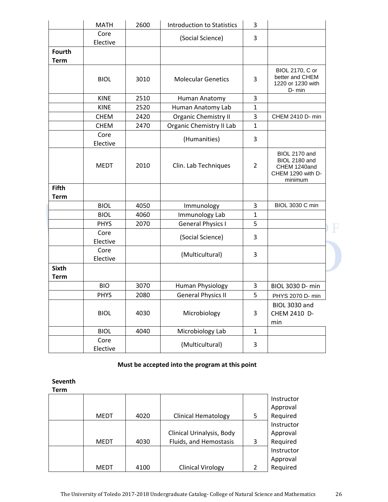|                              | <b>MATH</b>      | 2600 | <b>Introduction to Statistics</b> | 3              |                                                                                |
|------------------------------|------------------|------|-----------------------------------|----------------|--------------------------------------------------------------------------------|
|                              | Core<br>Elective |      | (Social Science)                  | 3              |                                                                                |
| <b>Fourth</b><br><b>Term</b> |                  |      |                                   |                |                                                                                |
|                              | <b>BIOL</b>      | 3010 | <b>Molecular Genetics</b>         | 3              | BIOL 2170, C or<br>better and CHEM<br>1220 or 1230 with<br>D-min               |
|                              | <b>KINE</b>      | 2510 | Human Anatomy                     | 3              |                                                                                |
|                              | <b>KINE</b>      | 2520 | Human Anatomy Lab                 | $\mathbf{1}$   |                                                                                |
|                              | <b>CHEM</b>      | 2420 | Organic Chemistry II              | 3              | CHEM 2410 D- min                                                               |
|                              | <b>CHEM</b>      | 2470 | Organic Chemistry II Lab          | $\mathbf{1}$   |                                                                                |
|                              | Core<br>Elective |      | (Humanities)                      | 3              |                                                                                |
|                              | <b>MEDT</b>      | 2010 | Clin. Lab Techniques              | $\overline{2}$ | BIOL 2170 and<br>BIOL 2180 and<br>CHEM 1240and<br>CHEM 1290 with D-<br>minimum |
| <b>Fifth</b><br><b>Term</b>  |                  |      |                                   |                |                                                                                |
|                              | <b>BIOL</b>      | 4050 | Immunology                        | 3              | <b>BIOL 3030 C min</b>                                                         |
|                              | <b>BIOL</b>      | 4060 | Immunology Lab                    | $\mathbf{1}$   |                                                                                |
|                              | <b>PHYS</b>      | 2070 | <b>General Physics I</b>          | 5              |                                                                                |
|                              | Core<br>Elective |      | (Social Science)                  | 3              |                                                                                |
|                              | Core<br>Elective |      | (Multicultural)                   | 3              |                                                                                |
| <b>Sixth</b><br><b>Term</b>  |                  |      |                                   |                |                                                                                |
|                              | <b>BIO</b>       | 3070 | Human Physiology                  | 3              | BIOL 3030 D- min                                                               |
|                              | <b>PHYS</b>      | 2080 | <b>General Physics II</b>         | 5              | PHYS 2070 D- min                                                               |
|                              | <b>BIOL</b>      | 4030 | Microbiology                      | 3              | BIOL 3030 and<br>CHEM 2410 D-<br>min                                           |
|                              | <b>BIOL</b>      | 4040 | Microbiology Lab                  | $\mathbf{1}$   |                                                                                |
|                              | Core<br>Elective |      | (Multicultural)                   | 3              |                                                                                |

# **Must be accepted into the program at this point**

**Seventh**

| Term |      |      |                            |   |            |
|------|------|------|----------------------------|---|------------|
|      |      |      |                            |   | Instructor |
|      |      |      |                            |   | Approval   |
|      | MEDT | 4020 | <b>Clinical Hematology</b> | 5 | Required   |
|      |      |      |                            |   | Instructor |
|      |      |      | Clinical Urinalysis, Body  |   | Approval   |
|      | MEDT | 4030 | Fluids, and Hemostasis     | 3 | Required   |
|      |      |      |                            |   | Instructor |
|      |      |      |                            |   | Approval   |
|      | MEDT | 4100 | <b>Clinical Virology</b>   |   | Required   |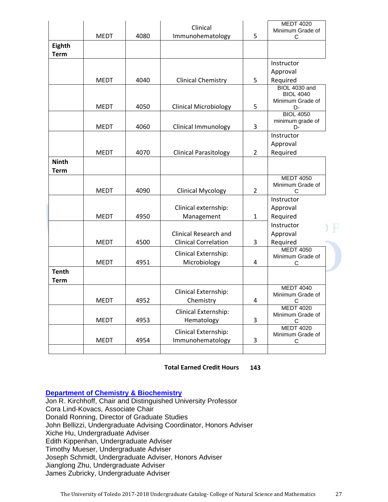|                             |             |      | Clinical                                                    |                | <b>MEDT 4020</b><br>Minimum Grade of                         |
|-----------------------------|-------------|------|-------------------------------------------------------------|----------------|--------------------------------------------------------------|
|                             | <b>MEDT</b> | 4080 | Immunohematology                                            | 5              | С                                                            |
| Eighth<br><b>Term</b>       |             |      |                                                             |                |                                                              |
|                             |             |      |                                                             |                | Instructor                                                   |
|                             | <b>MEDT</b> | 4040 | <b>Clinical Chemistry</b>                                   | 5              | Approval<br>Required                                         |
|                             | <b>MEDT</b> | 4050 | <b>Clinical Microbiology</b>                                | 5              | <b>BIOL 4030 and</b><br><b>BIOL 4040</b><br>Minimum Grade of |
|                             | <b>MEDT</b> | 4060 | <b>Clinical Immunology</b>                                  | 3              | D-<br><b>BIOL 4050</b><br>minimum grade of                   |
|                             |             |      |                                                             |                | D-<br>Instructor                                             |
|                             | <b>MEDT</b> | 4070 | <b>Clinical Parasitology</b>                                | 2              | Approval<br>Required                                         |
| <b>Ninth</b><br><b>Term</b> |             |      |                                                             |                |                                                              |
|                             | <b>MEDT</b> | 4090 | <b>Clinical Mycology</b>                                    | $\overline{2}$ | <b>MEDT 4050</b><br>Minimum Grade of<br>C                    |
|                             |             |      | Clinical externship:                                        |                | Instructor<br>Approval                                       |
|                             | <b>MEDT</b> | 4950 | Management                                                  | $\mathbf{1}$   | Required                                                     |
|                             | <b>MEDT</b> | 4500 | <b>Clinical Research and</b><br><b>Clinical Correlation</b> | 3              | Instructor<br>Approval<br>Required                           |
|                             | <b>MEDT</b> | 4951 | Clinical Externship:<br>Microbiology                        | 4              | <b>MEDT 4050</b><br>Minimum Grade of<br>С                    |
| <b>Tenth</b><br><b>Term</b> |             |      |                                                             |                |                                                              |
|                             | <b>MEDT</b> | 4952 | Clinical Externship:<br>Chemistry                           | 4              | <b>MEDT 4040</b><br>Minimum Grade of<br>C                    |
|                             | <b>MEDT</b> | 4953 | Clinical Externship:<br>Hematology                          | 3              | <b>MEDT 4020</b><br>Minimum Grade of<br>C                    |
|                             | <b>MEDT</b> | 4954 | Clinical Externship:<br>Immunohematology                    | 3              | <b>MEDT 4020</b><br>Minimum Grade of<br>С                    |
|                             |             |      |                                                             |                |                                                              |

 **Total Earned Credit Hours 143** 

**Department of Chemistry & Biochemistry** 

Jon R. Kirchhoff, Chair and Distinguished University Professor Cora Lind-Kovacs, Associate Chair Donald Ronning, Director of Graduate Studies John Bellizzi, Undergraduate Advising Coordinator, Honors Adviser Xiche Hu, Undergraduate Adviser Edith Kippenhan, Undergraduate Adviser Timothy Mueser, Undergraduate Adviser Joseph Schmidt, Undergraduate Adviser, Honors Adviser Jianglong Zhu, Undergraduate Adviser James Zubricky, Undergraduate Adviser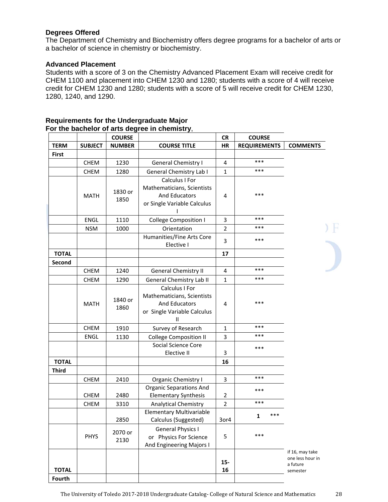# **Degrees Offered**

The Department of Chemistry and Biochemistry offers degree programs for a bachelor of arts or a bachelor of science in chemistry or biochemistry.

# **Advanced Placement**

Students with a score of 3 on the Chemistry Advanced Placement Exam will receive credit for CHEM 1100 and placement into CHEM 1230 and 1280; students with a score of 4 will receive credit for CHEM 1230 and 1280; students with a score of 5 will receive credit for CHEM 1230, 1280, 1240, and 1290.

|              |                | <b>COURSE</b>   |                                                                                                                      | <b>CR</b>      | <b>COURSE</b>       |                                                             |
|--------------|----------------|-----------------|----------------------------------------------------------------------------------------------------------------------|----------------|---------------------|-------------------------------------------------------------|
| <b>TERM</b>  | <b>SUBJECT</b> | <b>NUMBER</b>   | <b>COURSE TITLE</b>                                                                                                  | <b>HR</b>      | <b>REQUIREMENTS</b> | <b>COMMENTS</b>                                             |
| <b>First</b> |                |                 |                                                                                                                      |                |                     |                                                             |
|              | <b>CHEM</b>    | 1230            | <b>General Chemistry I</b>                                                                                           | 4              | ***                 |                                                             |
|              | <b>CHEM</b>    | 1280            | General Chemistry Lab I                                                                                              | $\mathbf{1}$   | ***                 |                                                             |
|              | <b>MATH</b>    | 1830 or<br>1850 | Calculus I For<br>Mathematicians, Scientists<br>And Educators<br>or Single Variable Calculus                         | 4              | $***$               |                                                             |
|              | ENGL           | 1110            | <b>College Composition I</b>                                                                                         | 3              | ***                 |                                                             |
|              | <b>NSM</b>     | 1000            | Orientation                                                                                                          | $\overline{2}$ | ***                 |                                                             |
|              |                |                 | Humanities/Fine Arts Core<br>Elective I                                                                              | 3              | ***                 |                                                             |
| <b>TOTAL</b> |                |                 |                                                                                                                      | 17             |                     |                                                             |
| Second       |                |                 |                                                                                                                      |                |                     |                                                             |
|              | <b>CHEM</b>    | 1240            | <b>General Chemistry II</b>                                                                                          | 4              | ***                 |                                                             |
|              | <b>CHEM</b>    | 1290            | General Chemistry Lab II                                                                                             | $\mathbf{1}$   | ***                 |                                                             |
|              | <b>MATH</b>    | 1840 or<br>1860 | Calculus I For<br>Mathematicians, Scientists<br><b>And Educators</b><br>or Single Variable Calculus<br>$\mathbf{II}$ | 4              | ***                 |                                                             |
|              | <b>CHEM</b>    | 1910            | Survey of Research                                                                                                   | $\mathbf{1}$   | ***                 |                                                             |
|              | ENGL           | 1130            | <b>College Composition II</b>                                                                                        | 3              | ***                 |                                                             |
|              |                |                 | Social Science Core<br>Elective II                                                                                   | 3              | ***                 |                                                             |
| <b>TOTAL</b> |                |                 |                                                                                                                      | 16             |                     |                                                             |
| <b>Third</b> |                |                 |                                                                                                                      |                |                     |                                                             |
|              | <b>CHEM</b>    | 2410            | Organic Chemistry I                                                                                                  | 3              | ***                 |                                                             |
|              | CHEM           | 2480            | <b>Organic Separations And</b><br><b>Elementary Synthesis</b>                                                        | $\overline{2}$ | ***                 |                                                             |
|              | <b>CHEM</b>    | 3310            | <b>Analytical Chemistry</b>                                                                                          | $\overline{2}$ | ***                 |                                                             |
|              |                | 2850            | <b>Elementary Multivariable</b><br>Calculus (Suggested)                                                              | 3or4           | ***<br>1            |                                                             |
|              | <b>PHYS</b>    | 2070 or<br>2130 | <b>General Physics I</b><br>or Physics For Science<br>And Engineering Majors I                                       | 5              | ***                 |                                                             |
| <b>TOTAL</b> |                |                 |                                                                                                                      | $15-$<br>16    |                     | if 16, may take<br>one less hour in<br>a future<br>semester |

#### **Requirements for the Undergraduate Major For the bachelor of arts degree in chemistry**,

**Fourth**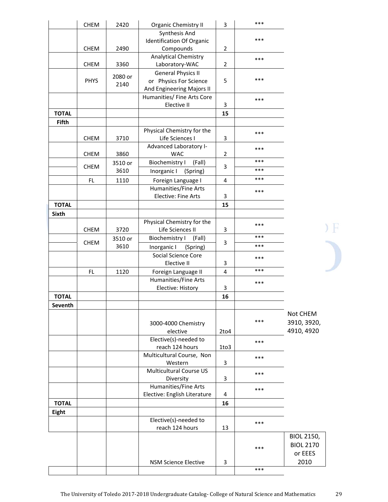|              | <b>CHEM</b> | 2420            | Organic Chemistry II                           | 3              | *** |                                |
|--------------|-------------|-----------------|------------------------------------------------|----------------|-----|--------------------------------|
|              |             |                 | Synthesis And                                  |                |     |                                |
|              |             |                 | <b>Identification Of Organic</b>               |                | *** |                                |
|              | <b>CHEM</b> | 2490            | Compounds                                      | $\overline{2}$ |     |                                |
|              | <b>CHEM</b> | 3360            | <b>Analytical Chemistry</b><br>Laboratory-WAC  | $\overline{2}$ | *** |                                |
|              |             |                 | <b>General Physics II</b>                      |                |     |                                |
|              | <b>PHYS</b> | 2080 or<br>2140 | or Physics For Science                         | 5              | *** |                                |
|              |             |                 | And Engineering Majors II                      |                |     |                                |
|              |             |                 | Humanities/ Fine Arts Core                     |                | *** |                                |
|              |             |                 | Elective II                                    | 3              |     |                                |
| <b>TOTAL</b> |             |                 |                                                | 15             |     |                                |
| <b>Fifth</b> |             |                 | Physical Chemistry for the                     |                |     |                                |
|              | <b>CHEM</b> | 3710            | Life Sciences I                                | 3              | *** |                                |
|              |             |                 | Advanced Laboratory I-                         |                |     |                                |
|              | <b>CHEM</b> | 3860            | <b>WAC</b>                                     | $\overline{2}$ | *** |                                |
|              |             | 3510 or         | <b>Biochemistry I</b><br>(Fall)                |                | *** |                                |
|              | <b>CHEM</b> | 3610            | Inorganic I<br>(Spring)                        | 3              | *** |                                |
|              | FL.         | 1110            | Foreign Language I                             | 4              | *** |                                |
|              |             |                 | <b>Humanities/Fine Arts</b>                    |                | *** |                                |
|              |             |                 | Elective: Fine Arts                            | 3              |     |                                |
| <b>TOTAL</b> |             |                 |                                                | 15             |     |                                |
| <b>Sixth</b> |             |                 |                                                |                |     |                                |
|              |             |                 | Physical Chemistry for the                     |                | *** |                                |
|              | <b>CHEM</b> | 3720            | Life Sciences II                               | 3              | *** |                                |
|              | <b>CHEM</b> | 3510 or<br>3610 | <b>Biochemistry I</b><br>(Fall)                | 3              | *** |                                |
|              |             |                 | Inorganic I<br>(Spring)<br>Social Science Core |                |     |                                |
|              |             |                 | Elective II                                    | 3              | *** |                                |
|              | FL.         | 1120            | Foreign Language II                            | 4              | *** |                                |
|              |             |                 | Humanities/Fine Arts                           |                | *** |                                |
|              |             |                 | Elective: History                              | 3              |     |                                |
| <b>TOTAL</b> |             |                 |                                                | 16             |     |                                |
| Seventh      |             |                 |                                                |                |     |                                |
|              |             |                 |                                                |                |     | Not CHEM                       |
|              |             |                 | 3000-4000 Chemistry                            |                | *** | 3910, 3920,                    |
|              |             |                 | elective                                       | 2to4           |     | 4910, 4920                     |
|              |             |                 | Elective(s)-needed to                          |                | *** |                                |
|              |             |                 | reach 124 hours<br>Multicultural Course, Non   | 1to3           |     |                                |
|              |             |                 | Western                                        | 3              | *** |                                |
|              |             |                 | <b>Multicultural Course US</b>                 |                | *** |                                |
|              |             |                 | Diversity                                      | 3              |     |                                |
|              |             |                 | <b>Humanities/Fine Arts</b>                    |                | *** |                                |
|              |             |                 | Elective: English Literature                   | 4              |     |                                |
| <b>TOTAL</b> |             |                 |                                                | 16             |     |                                |
| Eight        |             |                 |                                                |                |     |                                |
|              |             |                 | Elective(s)-needed to                          |                | *** |                                |
|              |             |                 | reach 124 hours                                | 13             |     |                                |
|              |             |                 |                                                |                |     | BIOL 2150,<br><b>BIOL 2170</b> |
|              |             |                 |                                                |                | *** | or EEES                        |
|              |             |                 | <b>NSM Science Elective</b>                    | 3              |     | 2010                           |
|              |             |                 |                                                |                | *** |                                |
|              |             |                 |                                                |                |     |                                |

 $\sum_{i=1}^{n}$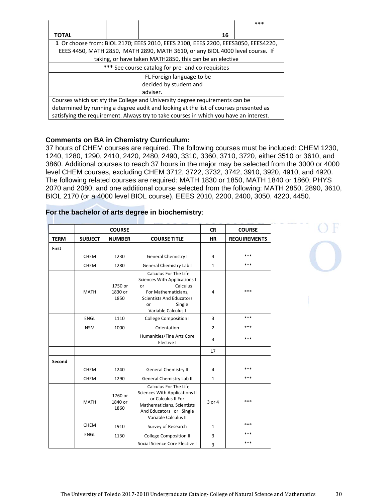|       |                                                                                       |  |  |    | $***$ |  |  |  |
|-------|---------------------------------------------------------------------------------------|--|--|----|-------|--|--|--|
| TOTAL |                                                                                       |  |  | 16 |       |  |  |  |
|       | 1 Or choose from: BIOL 2170; EEES 2010, EEES 2100, EEES 2200, EEES3050, EEES4220,     |  |  |    |       |  |  |  |
|       | EEES 4450, MATH 2850, MATH 2890, MATH 3610, or any BIOL 4000 level course. If         |  |  |    |       |  |  |  |
|       | taking, or have taken MATH2850, this can be an elective                               |  |  |    |       |  |  |  |
|       | *** See course catalog for pre- and co-requisites                                     |  |  |    |       |  |  |  |
|       | FL Foreign language to be                                                             |  |  |    |       |  |  |  |
|       | decided by student and                                                                |  |  |    |       |  |  |  |
|       | adviser.                                                                              |  |  |    |       |  |  |  |
|       | Courses which satisfy the College and University degree requirements can be           |  |  |    |       |  |  |  |
|       | determined by running a degree audit and looking at the list of courses presented as  |  |  |    |       |  |  |  |
|       | satisfying the requirement. Always try to take courses in which you have an interest. |  |  |    |       |  |  |  |

# **Comments on BA in Chemistry Curriculum:**

37 hours of CHEM courses are required. The following courses must be included: CHEM 1230, 1240, 1280, 1290, 2410, 2420, 2480, 2490, 3310, 3360, 3710, 3720, either 3510 or 3610, and 3860. Additional courses to reach 37 hours in the major may be selected from the 3000 or 4000 level CHEM courses, excluding CHEM 3712, 3722, 3732, 3742, 3910, 3920, 4910, and 4920. The following related courses are required: MATH 1830 or 1850, MATH 1840 or 1860; PHYS 2070 and 2080; and one additional course selected from the following: MATH 2850, 2890, 3610, BIOL 2170 (or a 4000 level BIOL course), EEES 2010, 2200, 2400, 3050, 4220, 4450.

|              |                | <b>COURSE</b>              |                                                                                                                                                                            | <b>CR</b>      | <b>COURSE</b>       |
|--------------|----------------|----------------------------|----------------------------------------------------------------------------------------------------------------------------------------------------------------------------|----------------|---------------------|
| <b>TERM</b>  | <b>SUBJECT</b> | <b>NUMBER</b>              | <b>COURSE TITLE</b>                                                                                                                                                        | <b>HR</b>      | <b>REQUIREMENTS</b> |
| <b>First</b> |                |                            |                                                                                                                                                                            |                |                     |
|              | <b>CHEM</b>    | 1230                       | <b>General Chemistry I</b>                                                                                                                                                 | 4              | ***                 |
|              | <b>CHEM</b>    | 1280                       | General Chemistry Lab I                                                                                                                                                    | $\mathbf{1}$   | ***                 |
|              | <b>MATH</b>    | 1750 or<br>1830 or<br>1850 | Calculus For The Life<br>Sciences With Applications I<br>Calculus I<br>or<br>For Mathematicians,<br><b>Scientists And Educators</b><br>Single<br>or<br>Variable Calculus I | 4              | $***$               |
|              | <b>ENGL</b>    | 1110                       | <b>College Composition I</b>                                                                                                                                               | $\overline{3}$ | ***                 |
|              | <b>NSM</b>     | 1000                       | Orientation                                                                                                                                                                | $\overline{2}$ | ***                 |
|              |                |                            | Humanities/Fine Arts Core<br>Elective I                                                                                                                                    | 3              | ***                 |
|              |                |                            |                                                                                                                                                                            | 17             |                     |
| Second       |                |                            |                                                                                                                                                                            |                |                     |
|              | <b>CHEM</b>    | 1240                       | <b>General Chemistry II</b>                                                                                                                                                | 4              | ***                 |
|              | <b>CHEM</b>    | 1290                       | General Chemistry Lab II                                                                                                                                                   | $\mathbf{1}$   | $***$               |
|              | <b>MATH</b>    | 1760 or<br>1840 or<br>1860 | Calculus For The Life<br><b>Sciences With Applications II</b><br>or Calculus II For<br>Mathematicians, Scientists<br>And Educators or Single<br>Variable Calculus II       | 3 or 4         | ***                 |
|              | <b>CHEM</b>    | 1910                       | Survey of Research                                                                                                                                                         | $\mathbf{1}$   | ***                 |
|              | ENGL           | 1130                       | <b>College Composition II</b>                                                                                                                                              | 3              | ***                 |
|              |                |                            | Social Science Core Elective I                                                                                                                                             | 3              | ***                 |
|              |                |                            |                                                                                                                                                                            |                |                     |

# **For the bachelor of arts degree in biochemistry**: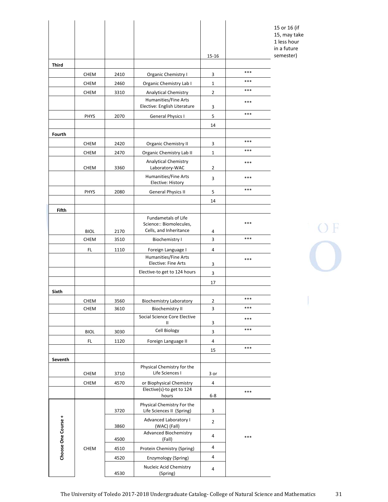|                     |                            |              |                                                         | 15-16          |       |
|---------------------|----------------------------|--------------|---------------------------------------------------------|----------------|-------|
| <b>Third</b>        |                            |              |                                                         |                |       |
|                     | <b>CHEM</b>                | 2410         | Organic Chemistry I                                     | 3              | ***   |
|                     | <b>CHEM</b>                | 2460         | Organic Chemistry Lab I                                 | $\mathbf{1}$   | ***   |
|                     | <b>CHEM</b>                | 3310         | <b>Analytical Chemistry</b>                             | $\overline{2}$ | ***   |
|                     |                            |              | Humanities/Fine Arts<br>Elective: English Literature    | 3              | ***   |
|                     | PHYS                       | 2070         | <b>General Physics I</b>                                | 5              | ***   |
|                     |                            |              |                                                         | 14             |       |
| Fourth              |                            |              |                                                         |                |       |
|                     | <b>CHEM</b>                | 2420         | <b>Organic Chemistry II</b>                             | 3              | $***$ |
|                     | <b>CHEM</b>                | 2470         | Organic Chemistry Lab II                                | $\mathbf{1}$   | ***   |
|                     | <b>CHEM</b>                | 3360         | <b>Analytical Chemistry</b><br>Laboratory-WAC           | 2              | ***   |
|                     |                            |              | Humanities/Fine Arts<br>Elective: History               | 3              | ***   |
|                     | <b>PHYS</b>                | 2080         | <b>General Physics II</b>                               | 5              | ***   |
|                     |                            |              |                                                         | 14             |       |
| Fifth               |                            |              |                                                         |                |       |
|                     |                            |              | <b>Fundametals of Life</b>                              |                |       |
|                     |                            |              | Science:: Biomolecules,<br>Cells, and Inheritance       |                | ***   |
|                     | <b>BIOL</b><br><b>CHEM</b> | 2170<br>3510 | <b>Biochemistry I</b>                                   | 4<br>3         | $***$ |
|                     |                            |              |                                                         |                |       |
|                     | <b>FL</b>                  | 1110         | Foreign Language I<br>Humanities/Fine Arts              | 4              |       |
|                     |                            |              | Elective: Fine Arts                                     | 3              | $***$ |
|                     |                            |              | Elective-to get to 124 hours                            | 3              |       |
|                     |                            |              |                                                         | 17             |       |
| Sixth               |                            |              |                                                         |                |       |
|                     | CHEM                       | 3560         | <b>Biochemistry Laboratory</b>                          | 2              | $***$ |
|                     | <b>CHEM</b>                | 3610         | <b>Biochemistry II</b>                                  | 3              | ***   |
|                     |                            |              | Social Science Core Elective                            |                | ***   |
|                     |                            |              | $\mathbf{H}$                                            | 3              | $***$ |
|                     | <b>BIOL</b>                | 3030         | Cell Biology                                            | 3              |       |
|                     | FL.                        | 1120         | Foreign Language II                                     | $\overline{4}$ | $***$ |
|                     |                            |              |                                                         | 15             |       |
| Seventh             |                            |              |                                                         |                |       |
|                     | <b>CHEM</b>                | 3710         | Physical Chemistry for the<br>Life Sciences I           | 3 or           |       |
|                     | <b>CHEM</b>                | 4570         | or Biophysical Chemistry                                | 4              |       |
|                     |                            |              | Elective(s)-to get to 124<br>hours                      | $6 - 8$        | ***   |
|                     |                            | 3720         | Physical Chemistry For the<br>Life Sciences II (Spring) | 3              |       |
| Choose One Course + |                            | 3860         | Advanced Laboratory I<br>(WAC) (Fall)                   | $\overline{2}$ |       |
|                     |                            | 4500         | <b>Advanced Biochemistry</b><br>(Fall)                  | 4              | ***   |
|                     | <b>CHEM</b>                | 4510         | Protein Chemistry (Spring)                              | $\overline{4}$ |       |
|                     |                            | 4520         | Enzymology (Spring)                                     | 4              |       |
|                     |                            | 4530         | Nucleic Acid Chemistry<br>(Spring)                      | 4              |       |

15 or 16 (if 15, may take 1 less hour in a future semester)

 $O F$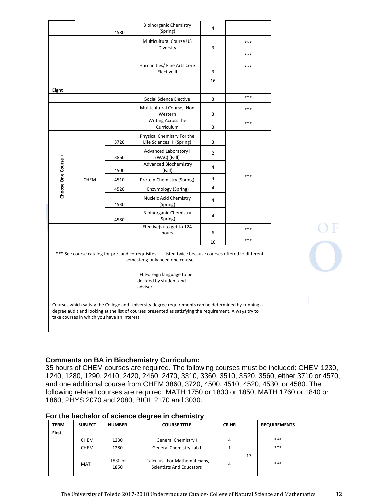| 3720<br>3860<br>4500<br>4510 | Multicultural Course US<br>Diversity<br>Humanities/ Fine Arts Core<br>Elective II<br>Social Science Elective<br>Multicultural Course, Non<br>Western<br>Writing Across the<br>Curriculum<br>Physical Chemistry For the<br>Life Sciences II (Spring)<br>Advanced Laboratory I<br>(WAC) (Fall)<br><b>Advanced Biochemistry</b><br>(Fall) | 3<br>3<br>16<br>3<br>3<br>3<br>3<br>$\overline{2}$<br>4 | ***<br>***<br>***<br>***<br>***<br>***                                                                                                                                                                                                                                                                                 |
|------------------------------|----------------------------------------------------------------------------------------------------------------------------------------------------------------------------------------------------------------------------------------------------------------------------------------------------------------------------------------|---------------------------------------------------------|------------------------------------------------------------------------------------------------------------------------------------------------------------------------------------------------------------------------------------------------------------------------------------------------------------------------|
|                              |                                                                                                                                                                                                                                                                                                                                        |                                                         |                                                                                                                                                                                                                                                                                                                        |
|                              |                                                                                                                                                                                                                                                                                                                                        |                                                         |                                                                                                                                                                                                                                                                                                                        |
|                              |                                                                                                                                                                                                                                                                                                                                        |                                                         |                                                                                                                                                                                                                                                                                                                        |
|                              |                                                                                                                                                                                                                                                                                                                                        |                                                         |                                                                                                                                                                                                                                                                                                                        |
|                              |                                                                                                                                                                                                                                                                                                                                        |                                                         |                                                                                                                                                                                                                                                                                                                        |
|                              |                                                                                                                                                                                                                                                                                                                                        |                                                         |                                                                                                                                                                                                                                                                                                                        |
|                              |                                                                                                                                                                                                                                                                                                                                        |                                                         |                                                                                                                                                                                                                                                                                                                        |
|                              |                                                                                                                                                                                                                                                                                                                                        |                                                         |                                                                                                                                                                                                                                                                                                                        |
|                              |                                                                                                                                                                                                                                                                                                                                        |                                                         |                                                                                                                                                                                                                                                                                                                        |
|                              |                                                                                                                                                                                                                                                                                                                                        |                                                         |                                                                                                                                                                                                                                                                                                                        |
|                              |                                                                                                                                                                                                                                                                                                                                        |                                                         | ***                                                                                                                                                                                                                                                                                                                    |
|                              | Protein Chemistry (Spring)                                                                                                                                                                                                                                                                                                             | $\overline{a}$                                          |                                                                                                                                                                                                                                                                                                                        |
| 4520                         | Enzymology (Spring)                                                                                                                                                                                                                                                                                                                    | $\overline{a}$                                          |                                                                                                                                                                                                                                                                                                                        |
| 4530                         | Nucleic Acid Chemistry<br>(Spring)                                                                                                                                                                                                                                                                                                     | 4                                                       |                                                                                                                                                                                                                                                                                                                        |
| 4580                         | <b>Bioinorganic Chemistry</b><br>(Spring)                                                                                                                                                                                                                                                                                              | 4                                                       |                                                                                                                                                                                                                                                                                                                        |
|                              | Elective(s)-to get to 124<br>hours                                                                                                                                                                                                                                                                                                     | 6                                                       | ***                                                                                                                                                                                                                                                                                                                    |
|                              |                                                                                                                                                                                                                                                                                                                                        | 16                                                      | ***                                                                                                                                                                                                                                                                                                                    |
|                              |                                                                                                                                                                                                                                                                                                                                        |                                                         |                                                                                                                                                                                                                                                                                                                        |
|                              | FL Foreign language to be<br>decided by student and                                                                                                                                                                                                                                                                                    |                                                         |                                                                                                                                                                                                                                                                                                                        |
|                              |                                                                                                                                                                                                                                                                                                                                        | semesters; only need one course<br>adviser.             | *** See course catalog for pre- and co-requisites + listed twice because courses offered in different<br>Courses which satisfy the College and University degree requirements can be determined by running a<br>degree audit and looking at the list of courses presented as satisfying the requirement. Always try to |

# **Comments on BA in Biochemistry Curriculum:**

35 hours of CHEM courses are required. The following courses must be included: CHEM 1230, 1240, 1280, 1290, 2410, 2420, 2460, 2470, 3310, 3360, 3510, 3520, 3560, either 3710 or 4570, and one additional course from CHEM 3860, 3720, 4500, 4510, 4520, 4530, or 4580. The following related courses are required: MATH 1750 or 1830 or 1850, MATH 1760 or 1840 or 1860; PHYS 2070 and 2080; BIOL 2170 and 3030.

O F

#### **For the bachelor of science degree in chemistry**

| <b>TERM</b>  | <b>SUBJECT</b> | <b>NUMBER</b>   | <b>COURSE TITLE</b>                                        | <b>CR HR</b> |    | <b>REQUIREMENTS</b> |
|--------------|----------------|-----------------|------------------------------------------------------------|--------------|----|---------------------|
| <b>First</b> |                |                 |                                                            |              |    |                     |
|              | <b>CHEM</b>    | 1230            | General Chemistry I                                        |              |    | ***                 |
|              | <b>CHEM</b>    | 1280            | General Chemistry Lab I                                    |              |    | ***                 |
|              | MATH           | 1830 or<br>1850 | Calculus I For Mathematicians,<br>Scientists And Educators | 4            | 17 | ***                 |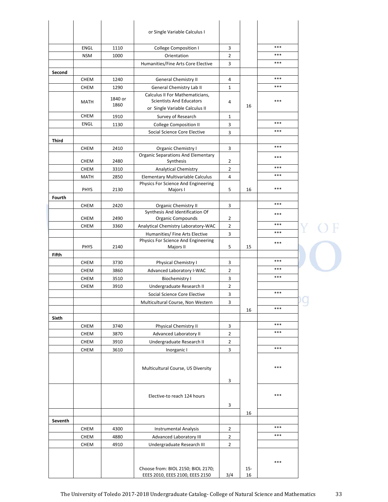|              |                            |                 | or Single Variable Calculus I                                                                        |                                  |              |       |                       |
|--------------|----------------------------|-----------------|------------------------------------------------------------------------------------------------------|----------------------------------|--------------|-------|-----------------------|
|              | <b>ENGL</b>                | 1110            | College Composition I                                                                                | 3                                |              | ***   |                       |
|              | <b>NSM</b>                 | 1000            | Orientation                                                                                          | $\overline{2}$                   |              | ***   |                       |
|              |                            |                 | Humanities/Fine Arts Core Elective                                                                   | 3                                |              | $***$ |                       |
| Second       |                            |                 |                                                                                                      |                                  |              |       |                       |
|              | <b>CHEM</b>                | 1240            | <b>General Chemistry II</b>                                                                          | 4                                |              | ***   |                       |
|              | <b>CHEM</b>                | 1290            | General Chemistry Lab II                                                                             | 1                                |              | ***   |                       |
|              | MATH                       | 1840 or<br>1860 | Calculus II For Mathematicians,<br><b>Scientists And Educators</b><br>or Single Variable Calculus II | 4                                | 16           | ***   |                       |
|              | <b>CHEM</b>                | 1910            | Survey of Research                                                                                   | $\mathbf{1}$                     |              |       |                       |
|              | <b>ENGL</b>                | 1130            | <b>College Composition II</b>                                                                        | 3                                |              | ***   |                       |
|              |                            |                 | Social Science Core Elective                                                                         | 3                                |              | ***   |                       |
| <b>Third</b> |                            |                 |                                                                                                      |                                  |              |       |                       |
|              | <b>CHEM</b>                | 2410            | <b>Organic Chemistry I</b>                                                                           | 3                                |              | ***   |                       |
|              | <b>CHEM</b>                | 2480            | <b>Organic Separations And Elementary</b><br>Synthesis                                               | 2                                |              | ***   |                       |
|              | <b>CHEM</b>                | 3310            | <b>Analytical Chemistry</b>                                                                          | $\overline{2}$                   |              | ***   |                       |
|              | MATH                       | 2850            | Elementary Multivariable Calculus                                                                    | $\overline{4}$                   |              | ***   |                       |
|              | <b>PHYS</b>                | 2130            | Physics For Science And Engineering<br>Majors I                                                      | 5                                | 16           | ***   |                       |
| Fourth       |                            |                 |                                                                                                      |                                  |              |       |                       |
|              | <b>CHEM</b>                | 2420            | <b>Organic Chemistry II</b>                                                                          | 3                                |              | ***   |                       |
|              | <b>CHEM</b>                | 2490            | Synthesis And Identification Of<br><b>Organic Compounds</b>                                          | $\overline{2}$                   |              | ***   |                       |
|              | <b>CHEM</b>                | 3360            | Analytical Chemistry Laboratory-WAC                                                                  | $\overline{2}$                   |              | ***   |                       |
|              |                            |                 | Humanities/ Fine Arts Elective                                                                       | $\mathbf{3}$                     |              | ***   |                       |
|              | PHYS                       | 2140            | Physics For Science And Engineering<br>Majors II                                                     | 5                                | 15           | ***   |                       |
| Fifth        |                            |                 |                                                                                                      |                                  |              |       |                       |
|              | <b>CHEM</b>                | 3730            | Physical Chemistry I                                                                                 | 3                                |              | ***   |                       |
|              | <b>CHEM</b>                | 3860            | Advanced Laboratory I-WAC                                                                            | $\overline{2}$                   |              | ***   |                       |
|              | <b>CHEM</b>                | 3510            | <b>Biochemistry I</b>                                                                                | 3                                |              | ***   |                       |
|              | <b>CHEM</b>                | 3910            | Undergraduate Research II                                                                            | $\overline{2}$                   |              |       |                       |
|              |                            |                 | Social Science Core Elective                                                                         | 3                                |              | ***   |                       |
|              |                            |                 | Multicultural Course, Non Western                                                                    | 3                                |              | ***   | $\tilde{\phantom{a}}$ |
|              |                            |                 |                                                                                                      |                                  | 16           |       |                       |
| <b>Sixth</b> |                            |                 |                                                                                                      |                                  |              | ***   |                       |
|              | CHEM                       | 3740            | <b>Physical Chemistry II</b>                                                                         | 3                                |              | ***   |                       |
|              | CHEM                       | 3870            | <b>Advanced Laboratory II</b>                                                                        | $\overline{2}$<br>$\overline{2}$ |              |       |                       |
|              | <b>CHEM</b><br><b>CHEM</b> | 3910<br>3610    | Undergraduate Research II<br>Inorganic I                                                             | 3                                |              | ***   |                       |
|              |                            |                 |                                                                                                      |                                  |              |       |                       |
|              |                            |                 | Multicultural Course, US Diversity                                                                   |                                  |              | ***   |                       |
|              |                            |                 |                                                                                                      | 3                                |              |       |                       |
|              |                            |                 |                                                                                                      |                                  |              |       |                       |
|              |                            |                 | Elective-to reach 124 hours                                                                          | 3                                |              | ***   |                       |
|              |                            |                 |                                                                                                      |                                  | 16           |       |                       |
| Seventh      |                            |                 |                                                                                                      |                                  |              |       |                       |
|              | <b>CHEM</b>                | 4300            | <b>Instrumental Analysis</b>                                                                         | $\overline{2}$                   |              | ***   |                       |
|              | <b>CHEM</b>                | 4880            | Advanced Laboratory III                                                                              | $\overline{2}$                   |              | ***   |                       |
|              | <b>CHEM</b>                | 4910            | Undergraduate Research III                                                                           | $\overline{2}$                   |              |       |                       |
|              |                            |                 |                                                                                                      |                                  |              |       |                       |
|              |                            |                 | Choose from: BIOL 2150; BIOL 2170;<br>EEES 2010, EEES 2100, EEES 2150                                | 3/4                              | $15 -$<br>16 | ***   |                       |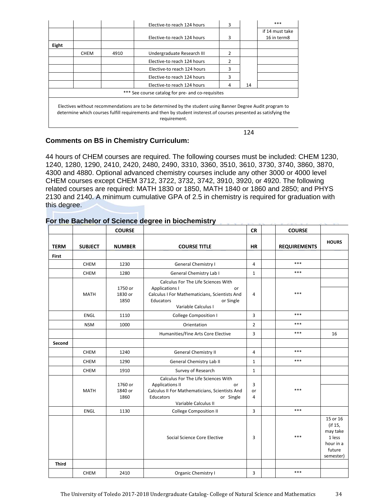|              |             |      | Elective-to reach 124 hours                                                                                                                                                                                                     | 3 |    | $***$                          |
|--------------|-------------|------|---------------------------------------------------------------------------------------------------------------------------------------------------------------------------------------------------------------------------------|---|----|--------------------------------|
|              |             |      | Elective-to reach 124 hours                                                                                                                                                                                                     | 3 |    | if 14 must take<br>16 in term8 |
| <b>Eight</b> |             |      |                                                                                                                                                                                                                                 |   |    |                                |
|              | <b>CHEM</b> | 4910 | Undergraduate Research III                                                                                                                                                                                                      | 2 |    |                                |
|              |             |      | Elective-to reach 124 hours                                                                                                                                                                                                     | 2 |    |                                |
|              |             |      | Elective-to reach 124 hours                                                                                                                                                                                                     | 3 |    |                                |
|              |             |      | Elective-to reach 124 hours                                                                                                                                                                                                     | 3 |    |                                |
|              |             |      | Elective-to reach 124 hours                                                                                                                                                                                                     | 4 | 14 |                                |
|              |             |      | *** See course catalog for pre- and co-requisites                                                                                                                                                                               |   |    |                                |
|              |             |      | Electives without recommendations are to be determined by the student using Banner Degree Audit program to<br>determine which courses fulfill requirements and then by student insterest of courses presented as satisfying the |   |    |                                |

requirement.

124

# **Comments on BS in Chemistry Curriculum:**

44 hours of CHEM courses are required. The following courses must be included: CHEM 1230, 1240, 1280, 1290, 2410, 2420, 2480, 2490, 3310, 3360, 3510, 3610, 3730, 3740, 3860, 3870, 4300 and 4880. Optional advanced chemistry courses include any other 3000 or 4000 level CHEM courses except CHEM 3712, 3722, 3732, 3742, 3910, 3920, or 4920. The following related courses are required: MATH 1830 or 1850, MATH 1840 or 1860 and 2850; and PHYS 2130 and 2140. A minimum cumulative GPA of 2.5 in chemistry is required for graduation with this degree.

|              |                | <b>COURSE</b>              |                                                                                                                                                                         | <b>CR</b>      | <b>COURSE</b>       |                                                                               |
|--------------|----------------|----------------------------|-------------------------------------------------------------------------------------------------------------------------------------------------------------------------|----------------|---------------------|-------------------------------------------------------------------------------|
| <b>TERM</b>  | <b>SUBJECT</b> | <b>NUMBER</b>              | <b>COURSE TITLE</b>                                                                                                                                                     | <b>HR</b>      | <b>REQUIREMENTS</b> | <b>HOURS</b>                                                                  |
| <b>First</b> |                |                            |                                                                                                                                                                         |                |                     |                                                                               |
|              | <b>CHEM</b>    | 1230                       | General Chemistry I                                                                                                                                                     | 4              | ***                 |                                                                               |
|              | <b>CHEM</b>    | 1280                       | <b>General Chemistry Lab I</b>                                                                                                                                          | $\mathbf{1}$   | $***$               |                                                                               |
|              | <b>MATH</b>    | 1750 or<br>1830 or<br>1850 | Calculus For The Life Sciences With<br><b>Applications I</b><br>or<br>Calculus I For Mathematicians, Scientists And<br>Educators<br>or Single<br>Variable Calculus I    | 4              | ***                 |                                                                               |
|              | <b>ENGL</b>    | 1110                       | <b>College Composition I</b>                                                                                                                                            | 3              | $***$               |                                                                               |
|              | <b>NSM</b>     | 1000                       | Orientation                                                                                                                                                             | $\overline{2}$ | ***                 |                                                                               |
|              |                |                            | Humanities/Fine Arts Core Elective                                                                                                                                      | 3              | $***$               | 16                                                                            |
| Second       |                |                            |                                                                                                                                                                         |                |                     |                                                                               |
|              | CHEM           | 1240                       | General Chemistry II                                                                                                                                                    | 4              | ***                 |                                                                               |
|              | <b>CHEM</b>    | 1290                       | General Chemistry Lab II                                                                                                                                                | 1              | $***$               |                                                                               |
|              | CHEM           | 1910                       | Survey of Research                                                                                                                                                      | $\mathbf{1}$   |                     |                                                                               |
|              | <b>MATH</b>    | 1760 or<br>1840 or<br>1860 | Calculus For The Life Sciences With<br><b>Applications II</b><br>or<br>Calculus II For Mathematicians, Scientists And<br>Educators<br>or Single<br>Variable Calculus II | 3<br>or<br>4   | ***                 |                                                                               |
|              | <b>ENGL</b>    | 1130                       | <b>College Composition II</b>                                                                                                                                           | 3              | ***                 |                                                                               |
|              |                |                            | Social Science Core Elective                                                                                                                                            | 3              | ***                 | 15 or 16<br>(if 15,<br>may take<br>1 less<br>hour in a<br>future<br>semester) |
| <b>Third</b> |                |                            |                                                                                                                                                                         |                |                     |                                                                               |
|              | CHEM           | 2410                       | Organic Chemistry I                                                                                                                                                     | 3              | $***$               |                                                                               |

# **For the Bachelor of Science degree in biochemistry**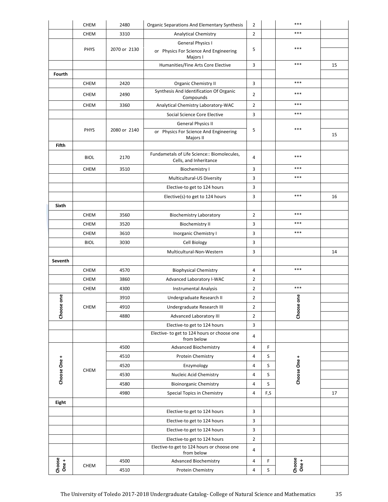|                 | <b>CHEM</b> | 2480         | Organic Separations And Elementary Synthesis                                   | 2              |        | ***             |    |
|-----------------|-------------|--------------|--------------------------------------------------------------------------------|----------------|--------|-----------------|----|
|                 | <b>CHEM</b> | 3310         | <b>Analytical Chemistry</b>                                                    | $\overline{2}$ |        | ***             |    |
|                 | <b>PHYS</b> | 2070 or 2130 | <b>General Physics I</b><br>or Physics For Science And Engineering<br>Majors I | 5              |        | ***             |    |
|                 |             |              | Humanities/Fine Arts Core Elective                                             | 3              |        | ***             | 15 |
| Fourth          |             |              |                                                                                |                |        |                 |    |
|                 | <b>CHEM</b> | 2420         | <b>Organic Chemistry II</b>                                                    | 3              |        | $***$           |    |
|                 | <b>CHEM</b> | 2490         | Synthesis And Identification Of Organic<br>Compounds                           | $\overline{2}$ |        | ***             |    |
|                 | <b>CHEM</b> | 3360         | Analytical Chemistry Laboratory-WAC                                            | $\overline{2}$ |        | $***$           |    |
|                 |             |              | Social Science Core Elective                                                   | 3              |        | ***             |    |
|                 |             |              | <b>General Physics II</b>                                                      |                |        |                 |    |
|                 | <b>PHYS</b> | 2080 or 2140 | or Physics For Science And Engineering<br>Majors II                            | 5              |        | $***$           | 15 |
| <b>Fifth</b>    |             |              |                                                                                |                |        |                 |    |
|                 | <b>BIOL</b> | 2170         | Fundametals of Life Science:: Biomolecules,<br>Cells, and Inheritance          | 4              |        | $***$           |    |
|                 | <b>CHEM</b> | 3510         | <b>Biochemistry I</b>                                                          | 3              |        | ***             |    |
|                 |             |              | Multicultural-US Diversity                                                     | 3              |        | ***             |    |
|                 |             |              | Elective-to get to 124 hours                                                   | 3              |        |                 |    |
|                 |             |              | Elective(s)-to get to 124 hours                                                | 3              |        | $***$           | 16 |
| Sixth           |             |              |                                                                                |                |        |                 |    |
|                 | <b>CHEM</b> | 3560         | <b>Biochemistry Laboratory</b>                                                 | $\overline{2}$ |        | ***             |    |
|                 | <b>CHEM</b> | 3520         | <b>Biochemistry II</b>                                                         | 3              |        | ***             |    |
|                 | <b>CHEM</b> | 3610         | Inorganic Chemistry I                                                          | 3              |        | $***$           |    |
|                 | <b>BIOL</b> | 3030         | Cell Biology                                                                   | 3              |        |                 |    |
|                 |             |              | Multicultural-Non-Western                                                      | 3              |        |                 | 14 |
| Seventh         |             |              |                                                                                |                |        |                 |    |
|                 | <b>CHEM</b> | 4570         | <b>Biophysical Chemistry</b>                                                   | 4              |        | $***$           |    |
|                 | <b>CHEM</b> | 3860         | Advanced Laboratory I-WAC                                                      | $\overline{2}$ |        |                 |    |
|                 | <b>CHEM</b> | 4300         | <b>Instrumental Analysis</b>                                                   | $\overline{2}$ |        | $***$           |    |
| one             | CHEM        | 3910         | Undergraduate Research II                                                      | $\overline{2}$ |        | e<br>one        |    |
| Choose          |             | 4910         | Undergraduate Research III                                                     | 2              |        | Choose          |    |
|                 |             | 4880         | Advanced Laboratory III                                                        | $\overline{2}$ |        |                 |    |
|                 |             |              | Elective-to get to 124 hours                                                   | 3              |        |                 |    |
|                 |             |              | Elective- to get to 124 hours or choose one<br>from below                      | 4              |        |                 |    |
|                 | <b>CHEM</b> | 4500         | <b>Advanced Biochemistry</b>                                                   | 4              | F      |                 |    |
|                 |             | 4510         | Protein Chemistry                                                              | 4              | S      |                 |    |
| Choose One +    |             | 4520         | Enzymology                                                                     | 4              | S      | Choose One +    |    |
|                 |             | 4530         | Nucleic Acid Chemistry                                                         | 4              | S      |                 |    |
|                 |             | 4580         | <b>Bioinorganic Chemistry</b>                                                  | 4              | S      |                 |    |
|                 |             | 4980         | Special Topics in Chemistry                                                    | 4              | F,S    |                 | 17 |
| <b>Eight</b>    |             |              |                                                                                |                |        |                 |    |
|                 |             |              |                                                                                |                |        |                 |    |
|                 |             |              | Elective-to get to 124 hours                                                   | 3              |        |                 |    |
|                 |             |              | Elective-to get to 124 hours                                                   | 3              |        |                 |    |
|                 |             |              | Elective-to get to 124 hours                                                   | 3              |        |                 |    |
|                 |             |              | Elective-to get to 124 hours                                                   | $\overline{2}$ |        |                 |    |
|                 |             |              | Elective-to get to 124 hours or choose one<br>from below                       | 4              |        |                 |    |
| Choose<br>One + | <b>CHEM</b> | 4500<br>4510 | <b>Advanced Biochemistry</b><br>Protein Chemistry                              | 4<br>4         | F<br>S | Choose<br>One + |    |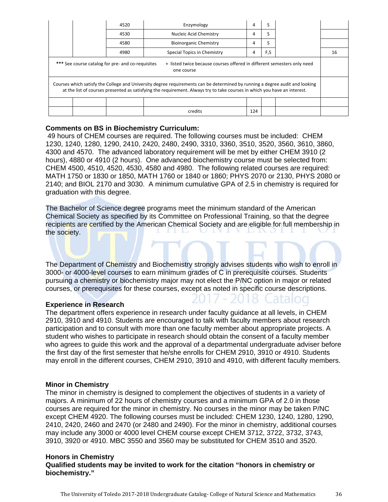|                                                                                                                                                                                                                                                           |  | 4520 | Enzymology                    | 4   |     |  |    |  |
|-----------------------------------------------------------------------------------------------------------------------------------------------------------------------------------------------------------------------------------------------------------|--|------|-------------------------------|-----|-----|--|----|--|
|                                                                                                                                                                                                                                                           |  | 4530 | Nucleic Acid Chemistry        | 4   |     |  |    |  |
|                                                                                                                                                                                                                                                           |  | 4580 | <b>Bioinorganic Chemistry</b> | 4   |     |  |    |  |
|                                                                                                                                                                                                                                                           |  | 4980 | Special Topics in Chemistry   | 4   | F,S |  | 16 |  |
| *** See course catalog for pre- and co-requisites<br>+ listed twice because courses offered in different semesters only need<br>one course                                                                                                                |  |      |                               |     |     |  |    |  |
| Courses which satisfy the College and University degree requirements can be determined by running a degree audit and looking<br>at the list of courses presented as satisfying the requirement. Always try to take courses in which you have an interest. |  |      |                               |     |     |  |    |  |
|                                                                                                                                                                                                                                                           |  |      |                               |     |     |  |    |  |
|                                                                                                                                                                                                                                                           |  |      | credits                       | 124 |     |  |    |  |

# **Comments on BS in Biochemistry Curriculum:**

 49 hours of CHEM courses are required. The following courses must be included: CHEM 1230, 1240, 1280, 1290, 2410, 2420, 2480, 2490, 3310, 3360, 3510, 3520, 3560, 3610, 3860, 4300 and 4570. The advanced laboratory requirement will be met by either CHEM 3910 (2 hours), 4880 or 4910 (2 hours). One advanced biochemistry course must be selected from: CHEM 4500, 4510, 4520, 4530, 4580 and 4980. The following related courses are required: MATH 1750 or 1830 or 1850, MATH 1760 or 1840 or 1860; PHYS 2070 or 2130, PHYS 2080 or 2140; and BIOL 2170 and 3030. A minimum cumulative GPA of 2.5 in chemistry is required for graduation with this degree.

The Bachelor of Science degree programs meet the minimum standard of the American Chemical Society as specified by its Committee on Professional Training, so that the degree recipients are certified by the American Chemical Society and are eligible for full membership in the society.

The Department of Chemistry and Biochemistry strongly advises students who wish to enroll in 3000- or 4000-level courses to earn minimum grades of C in prerequisite courses. Students pursuing a chemistry or biochemistry major may not elect the P/NC option in major or related courses, or prerequisites for these courses, except as noted in specific course descriptions.

#### **Experience in Research**

The department offers experience in research under faculty guidance at all levels, in CHEM 2910, 3910 and 4910. Students are encouraged to talk with faculty members about research participation and to consult with more than one faculty member about appropriate projects. A student who wishes to participate in research should obtain the consent of a faculty member who agrees to guide this work and the approval of a departmental undergraduate adviser before the first day of the first semester that he/she enrolls for CHEM 2910, 3910 or 4910. Students may enroll in the different courses, CHEM 2910, 3910 and 4910, with different faculty members.

#### **Minor in Chemistry**

The minor in chemistry is designed to complement the objectives of students in a variety of majors. A minimum of 22 hours of chemistry courses and a minimum GPA of 2.0 in those courses are required for the minor in chemistry. No courses in the minor may be taken P/NC except CHEM 4920. The following courses must be included: CHEM 1230, 1240, 1280, 1290, 2410, 2420, 2460 and 2470 (or 2480 and 2490). For the minor in chemistry, additional courses may include any 3000 or 4000 level CHEM course except CHEM 3712, 3722, 3732, 3743, 3910, 3920 or 4910. MBC 3550 and 3560 may be substituted for CHEM 3510 and 3520.

### **Honors in Chemistry Qualified students may be invited to work for the citation "honors in chemistry or biochemistry."**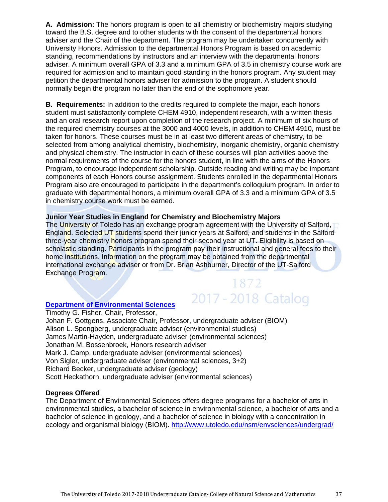**A. Admission:** The honors program is open to all chemistry or biochemistry majors studying toward the B.S. degree and to other students with the consent of the departmental honors adviser and the Chair of the department. The program may be undertaken concurrently with University Honors. Admission to the departmental Honors Program is based on academic standing, recommendations by instructors and an interview with the departmental honors adviser. A minimum overall GPA of 3.3 and a minimum GPA of 3.5 in chemistry course work are required for admission and to maintain good standing in the honors program. Any student may petition the departmental honors adviser for admission to the program. A student should normally begin the program no later than the end of the sophomore year.

**B. Requirements:** In addition to the credits required to complete the major, each honors student must satisfactorily complete CHEM 4910, independent research, with a written thesis and an oral research report upon completion of the research project. A minimum of six hours of the required chemistry courses at the 3000 and 4000 levels, in addition to CHEM 4910, must be taken for honors. These courses must be in at least two different areas of chemistry, to be selected from among analytical chemistry, biochemistry, inorganic chemistry, organic chemistry and physical chemistry. The instructor in each of these courses will plan activities above the normal requirements of the course for the honors student, in line with the aims of the Honors Program, to encourage independent scholarship. Outside reading and writing may be important components of each Honors course assignment. Students enrolled in the departmental Honors Program also are encouraged to participate in the department's colloquium program. In order to graduate with departmental honors, a minimum overall GPA of 3.3 and a minimum GPA of 3.5 in chemistry course work must be earned.

# **Junior Year Studies in England for Chemistry and Biochemistry Majors**

The University of Toledo has an exchange program agreement with the University of Salford, England. Selected UT students spend their junior years at Salford, and students in the Salford three-year chemistry honors program spend their second year at UT. Eligibility is based on scholastic standing. Participants in the program pay their instructional and general fees to their home institutions. Information on the program may be obtained from the departmental international exchange adviser or from Dr. Brian Ashburner, Director of the UT-Salford Exchange Program.

1872

2017 - 2018 Catalog

# **Department of Environmental Sciences**

Timothy G. Fisher, Chair, Professor, Johan F. Gottgens, Associate Chair, Professor, undergraduate adviser (BIOM) Alison L. Spongberg, undergraduate adviser (environmental studies) James Martin-Hayden, undergraduate adviser (environmental sciences) Jonathan M. Bossenbroek, Honors research adviser Mark J. Camp, undergraduate adviser (environmental sciences) Von Sigler, undergraduate adviser (environmental sciences, 3+2) Richard Becker, undergraduate adviser (geology) Scott Heckathorn, undergraduate adviser (environmental sciences)

#### **Degrees Offered**

The Department of Environmental Sciences offers degree programs for a bachelor of arts in environmental studies, a bachelor of science in environmental science, a bachelor of arts and a bachelor of science in geology, and a bachelor of science in biology with a concentration in ecology and organismal biology (BIOM). http://www.utoledo.edu/nsm/envsciences/undergrad/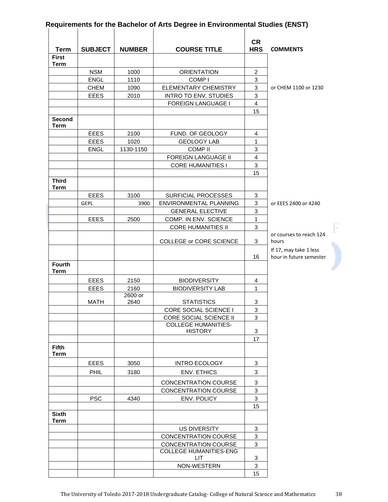|                             | <b>SUBJECT</b>             |               |                                                     | <b>CR</b><br><b>HRS</b> |                         |
|-----------------------------|----------------------------|---------------|-----------------------------------------------------|-------------------------|-------------------------|
| <b>Term</b><br><b>First</b> |                            | <b>NUMBER</b> | <b>COURSE TITLE</b>                                 |                         | <b>COMMENTS</b>         |
| <b>Term</b>                 |                            |               |                                                     |                         |                         |
|                             | <b>NSM</b>                 | 1000          | <b>ORIENTATION</b>                                  | $\overline{2}$          |                         |
|                             | <b>ENGL</b>                | 1110          | COMP <sub>I</sub>                                   | 3                       |                         |
|                             | <b>CHEM</b>                | 1090          | ELEMENTARY CHEMISTRY                                | 3                       | or CHEM 1100 or 1230    |
|                             | <b>EEES</b>                | 2010          | <b>INTRO TO ENV. STUDIES</b>                        | 3                       |                         |
|                             |                            |               | <b>FOREIGN LANGUAGE I</b>                           | $\overline{4}$          |                         |
|                             |                            |               |                                                     | 15                      |                         |
| <b>Second</b>               |                            |               |                                                     |                         |                         |
| <b>Term</b>                 |                            |               |                                                     |                         |                         |
|                             | <b>EEES</b><br><b>EEES</b> | 2100<br>1020  | FUND. OF GEOLOGY<br><b>GEOLOGY LAB</b>              | $\overline{4}$<br>1     |                         |
|                             | <b>ENGL</b>                | 1130-1150     | <b>COMP II</b>                                      | 3                       |                         |
|                             |                            |               | <b>FOREIGN LANGUAGE II</b>                          | $\overline{4}$          |                         |
|                             |                            |               | <b>CORE HUMANITIES I</b>                            | 3                       |                         |
|                             |                            |               |                                                     | 15                      |                         |
| <b>Third</b>                |                            |               |                                                     |                         |                         |
| <b>Term</b>                 |                            |               |                                                     |                         |                         |
|                             | <b>EEES</b>                | 3100          | <b>SURFICIAL PROCESSES</b>                          | 3                       |                         |
|                             | <b>GEPL</b>                | 3900          | ENVIRONMENTAL PLANNING                              | 3                       | or EEES 2400 or 4240    |
|                             |                            |               | <b>GENERAL ELECTIVE</b>                             | 3                       |                         |
|                             | <b>EEES</b>                | 2500          | COMP. IN ENV. SCIENCE                               | $\mathbf{1}$            |                         |
|                             |                            |               | <b>CORE HUMANITIES II</b>                           | 3                       |                         |
|                             |                            |               |                                                     |                         | or courses to reach 124 |
|                             |                            |               | <b>COLLEGE or CORE SCIENCE</b>                      | 3                       | hours                   |
|                             |                            |               |                                                     |                         | If 17, may take 1 less  |
| <b>Fourth</b>               |                            |               |                                                     | 16                      | hour in future semester |
| <b>Term</b>                 |                            |               |                                                     |                         |                         |
|                             | <b>EEES</b>                | 2150          | <b>BIODIVERSITY</b>                                 | $\overline{4}$          |                         |
|                             | <b>EEES</b>                | 2160          | <b>BIODIVERSITY LAB</b>                             | $\mathbf{1}$            |                         |
|                             |                            | 2600 or       |                                                     |                         |                         |
|                             | <b>MATH</b>                | 2640          | <b>STATISTICS</b>                                   | 3                       |                         |
|                             |                            |               | CORE SOCIAL SCIENCE I                               | 3                       |                         |
|                             |                            |               | CORE SOCIAL SCIENCE II                              | 3                       |                         |
|                             |                            |               | <b>COLLEGE HUMANITIES-</b>                          |                         |                         |
|                             |                            |               | <b>HISTORY</b>                                      | 3<br>17                 |                         |
| <b>Fifth</b><br><b>Term</b> |                            |               |                                                     |                         |                         |
|                             | <b>EEES</b>                | 3050          | INTRO ECOLOGY                                       | 3                       |                         |
|                             | PHIL                       | 3180          | <b>ENV. ETHICS</b>                                  | 3                       |                         |
|                             |                            |               |                                                     |                         |                         |
|                             |                            |               | <b>CONCENTRATION COURSE</b><br>CONCENTRATION COURSE | 3<br>3                  |                         |
|                             | <b>PSC</b>                 | 4340          | ENV. POLICY                                         | 3                       |                         |
|                             |                            |               |                                                     | 15                      |                         |
| <b>Sixth</b>                |                            |               |                                                     |                         |                         |
| <b>Term</b>                 |                            |               |                                                     |                         |                         |
|                             |                            |               | <b>US DIVERSITY</b>                                 | 3                       |                         |
|                             |                            |               | <b>CONCENTRATION COURSE</b>                         | 3                       |                         |
|                             |                            |               | CONCENTRATION COURSE                                | 3                       |                         |
|                             |                            |               | <b>COLLEGE HUMANITIES-ENG</b>                       |                         |                         |
|                             |                            |               | LIT.                                                | 3                       |                         |
|                             |                            |               | NON-WESTERN                                         | 3                       |                         |
|                             |                            |               |                                                     | 15                      |                         |

# **Requirements for the Bachelor of Arts Degree in Environmental Studies (ENST)**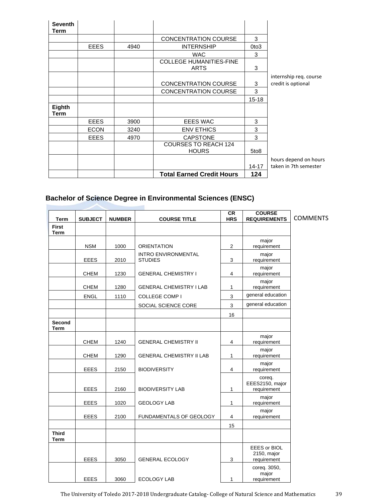| <b>Seventh</b><br>Term |             |      |                                               |                  |                        |
|------------------------|-------------|------|-----------------------------------------------|------------------|------------------------|
|                        |             |      | <b>CONCENTRATION COURSE</b>                   | 3                |                        |
|                        | <b>EEES</b> | 4940 | <b>INTERNSHIP</b>                             | 0to3             |                        |
|                        |             |      | <b>WAC</b>                                    | 3                |                        |
|                        |             |      | <b>COLLEGE HUMANITIES-FINE</b><br><b>ARTS</b> | 3                |                        |
|                        |             |      |                                               |                  | internship req. course |
|                        |             |      | <b>CONCENTRATION COURSE</b>                   | 3                | credit is optional     |
|                        |             |      | <b>CONCENTRATION COURSE</b>                   | 3                |                        |
|                        |             |      |                                               | $15 - 18$        |                        |
| Eighth<br>Term         |             |      |                                               |                  |                        |
|                        | <b>EEES</b> | 3900 | <b>EEES WAC</b>                               | 3                |                        |
|                        | <b>ECON</b> | 3240 | <b>ENV ETHICS</b>                             | 3                |                        |
|                        | <b>EEES</b> | 4970 | <b>CAPSTONE</b>                               | 3                |                        |
|                        |             |      | <b>COURSES TO REACH 124</b><br><b>HOURS</b>   | 5to <sub>8</sub> |                        |
|                        |             |      |                                               |                  | hours depend on hours  |
|                        |             |      |                                               | $14 - 17$        | taken in 7th semester  |
|                        |             |      | <b>Total Earned Credit Hours</b>              | 124              |                        |

# **Bachelor of Science Degree in Environmental Sciences (ENSC)**

۹

r

| <b>Term</b>                  | <b>SUBJECT</b><br><b>COURSE TITLE</b><br><b>NUMBER</b> |      | <b>CR</b><br><b>HRS</b>                      | <b>COURSE</b><br><b>REQUIREMENTS</b> | <b>COMMENTS</b>                            |  |
|------------------------------|--------------------------------------------------------|------|----------------------------------------------|--------------------------------------|--------------------------------------------|--|
| <b>First</b><br><b>Term</b>  |                                                        |      |                                              |                                      |                                            |  |
|                              | <b>NSM</b>                                             | 1000 | <b>ORIENTATION</b>                           | $\overline{2}$                       | major<br>requirement                       |  |
|                              | <b>EEES</b>                                            | 2010 | <b>INTRO ENVIRONMENTAL</b><br><b>STUDIES</b> | 3                                    | major<br>requirement                       |  |
|                              | <b>CHEM</b>                                            | 1230 | <b>GENERAL CHEMISTRY I</b>                   | 4                                    | major<br>requirement                       |  |
|                              | <b>CHEM</b>                                            | 1280 | <b>GENERAL CHEMISTRY I LAB</b>               | 1                                    | major<br>requirement                       |  |
|                              | <b>ENGL</b>                                            | 1110 | <b>COLLEGE COMP I</b>                        | $\mathsf 3$                          | general education                          |  |
|                              |                                                        |      | SOCIAL SCIENCE CORE                          | 3                                    | general education                          |  |
|                              |                                                        |      |                                              | 16                                   |                                            |  |
| <b>Second</b><br><b>Term</b> |                                                        |      |                                              |                                      |                                            |  |
|                              | <b>CHEM</b>                                            | 1240 | <b>GENERAL CHEMISTRY II</b>                  | 4                                    | major<br>requirement                       |  |
|                              | <b>CHEM</b>                                            | 1290 | <b>GENERAL CHEMISTRY II LAB</b>              | 1                                    | major<br>requirement                       |  |
|                              | <b>EEES</b>                                            | 2150 | <b>BIODIVERSITY</b>                          | $\overline{4}$                       | major<br>requirement                       |  |
|                              | <b>EEES</b>                                            | 2160 | <b>BIODIVERSITY LAB</b>                      | $\mathbf{1}$                         | coreq.<br>EEES2150, major<br>requirement   |  |
|                              | <b>EEES</b>                                            | 1020 | <b>GEOLOGY LAB</b>                           | 1                                    | major<br>requirement                       |  |
|                              | <b>EEES</b>                                            | 2100 | FUNDAMENTALS OF GEOLOGY                      | 4                                    | major<br>requirement                       |  |
|                              |                                                        |      |                                              | 15                                   |                                            |  |
| <b>Third</b><br><b>Term</b>  |                                                        |      |                                              |                                      |                                            |  |
|                              | <b>EEES</b>                                            | 3050 | <b>GENERAL ECOLOGY</b>                       | 3                                    | EEES or BIOL<br>2150, major<br>requirement |  |
|                              | <b>EEES</b>                                            | 3060 | <b>ECOLOGY LAB</b>                           | $\mathbf{1}$                         | coreq. 3050,<br>major<br>requirement       |  |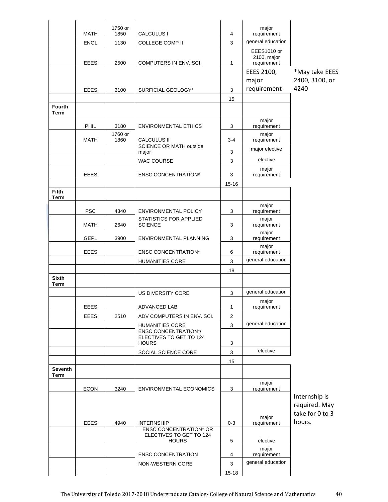|                               |             | 1750 or |                                                        |                | major                            |                                |
|-------------------------------|-------------|---------|--------------------------------------------------------|----------------|----------------------------------|--------------------------------|
|                               | <b>MATH</b> | 1850    | CALCULUS I                                             | 4              | requirement<br>general education |                                |
|                               | <b>ENGL</b> | 1130    | <b>COLLEGE COMP II</b>                                 | 3              |                                  |                                |
|                               |             |         |                                                        |                | EEES1010 or<br>2100, major       |                                |
|                               | <b>EEES</b> | 2500    | COMPUTERS IN ENV. SCI.                                 | 1              | requirement                      |                                |
|                               |             |         |                                                        |                | EEES 2100,                       | *May take EEES                 |
|                               |             |         |                                                        |                | major<br>requirement             | 2400, 3100, or<br>4240         |
|                               | <b>EEES</b> | 3100    | SURFICIAL GEOLOGY*                                     | 3              |                                  |                                |
| <b>Fourth</b>                 |             |         |                                                        | 15             |                                  |                                |
| <b>Term</b>                   |             |         |                                                        |                |                                  |                                |
|                               | PHIL        | 3180    | <b>ENVIRONMENTAL ETHICS</b>                            | 3              | major<br>requirement             |                                |
|                               |             | 1760 or |                                                        |                | major                            |                                |
|                               | <b>MATH</b> | 1860    | <b>CALCULUS II</b><br>SCIENCE OR MATH outside          | $3 - 4$        | requirement                      |                                |
|                               |             |         | major                                                  | 3              | major elective                   |                                |
|                               |             |         | <b>WAC COURSE</b>                                      | 3              | elective                         |                                |
|                               | <b>EEES</b> |         | <b>ENSC CONCENTRATION*</b>                             | 3              | major<br>requirement             |                                |
|                               |             |         |                                                        | $15 - 16$      |                                  |                                |
| <b>Fifth</b>                  |             |         |                                                        |                |                                  |                                |
| Term                          |             |         |                                                        |                |                                  |                                |
|                               | <b>PSC</b>  | 4340    | <b>ENVIRONMENTAL POLICY</b>                            | 3              | major<br>requirement             |                                |
|                               |             |         | STATISTICS FOR APPLIED                                 |                | major                            |                                |
|                               | <b>MATH</b> | 2640    | <b>SCIENCE</b>                                         | 3              | requirement                      |                                |
|                               | <b>GEPL</b> | 3900    | ENVIRONMENTAL PLANNING                                 | 3              | major<br>requirement             |                                |
|                               | <b>EEES</b> |         | <b>ENSC CONCENTRATION*</b>                             | 6              | major                            |                                |
|                               |             |         | <b>HUMANITIES CORE</b>                                 | 3              | requirement<br>general education |                                |
|                               |             |         |                                                        |                |                                  |                                |
| <b>Sixth</b>                  |             |         |                                                        | 18             |                                  |                                |
| Term                          |             |         |                                                        |                |                                  |                                |
|                               |             |         | US DIVERSITY CORE                                      | $\mathbf{3}$   | general education                |                                |
|                               | EEES        |         | ADVANCED LAB                                           | 1              | major<br>requirement             |                                |
|                               | EEES        | 2510    | ADV COMPUTERS IN ENV. SCI.                             | $\overline{c}$ |                                  |                                |
|                               |             |         | <b>HUMANITIES CORE</b>                                 | 3              | general education                |                                |
|                               |             |         | <b>ENSC CONCENTRATION*/</b><br>ELECTIVES TO GET TO 124 |                |                                  |                                |
|                               |             |         | <b>HOURS</b>                                           | 3              |                                  |                                |
|                               |             |         | SOCIAL SCIENCE CORE                                    | 3              | elective                         |                                |
|                               |             |         |                                                        | 15             |                                  |                                |
| <b>Seventh</b><br><b>Term</b> |             |         |                                                        |                |                                  |                                |
|                               |             |         |                                                        |                | major                            |                                |
|                               | <b>ECON</b> | 3240    | <b>ENVIRONMENTAL ECONOMICS</b>                         | 3              | requirement                      |                                |
|                               |             |         |                                                        |                |                                  | Internship is<br>required. May |
|                               |             |         |                                                        |                |                                  | take for 0 to 3                |
|                               | <b>EEES</b> | 4940    | <b>INTERNSHIP</b>                                      | $0 - 3$        | major<br>requirement             | hours.                         |
|                               |             |         | <b>ENSC CONCENTRATION* OR</b>                          |                |                                  |                                |
|                               |             |         | ELECTIVES TO GET TO 124<br><b>HOURS</b>                | 5              | elective                         |                                |
|                               |             |         |                                                        |                | major                            |                                |
|                               |             |         | <b>ENSC CONCENTRATION</b>                              | 4              | requirement                      |                                |
|                               |             |         | NON-WESTERN CORE                                       | 3              | general education                |                                |
|                               |             |         |                                                        | $15 - 18$      |                                  |                                |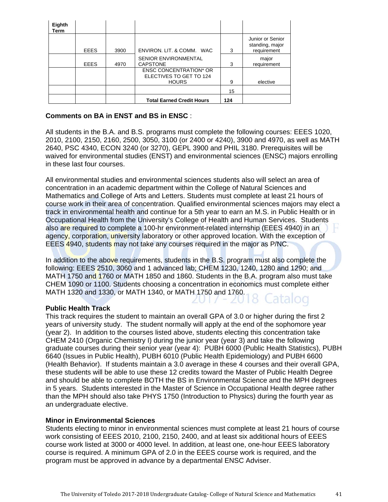| Eighth<br>Term |             |      |                                                                          |     |                                                    |
|----------------|-------------|------|--------------------------------------------------------------------------|-----|----------------------------------------------------|
|                | <b>EEES</b> | 3900 | ENVIRON, LIT. & COMM. WAC                                                | 3   | Junior or Senior<br>standing, major<br>requirement |
|                | <b>EEES</b> | 4970 | <b>SENIOR ENVIRONMENTAL</b><br>CAPSTONE                                  | 3   | major<br>requirement                               |
|                |             |      | <b>ENSC CONCENTRATION* OR</b><br>ELECTIVES TO GET TO 124<br><b>HOURS</b> | 9   | elective                                           |
|                |             |      |                                                                          | 15  |                                                    |
|                |             |      | <b>Total Earned Credit Hours</b>                                         | 124 |                                                    |

## **Comments on BA in ENST and BS in ENSC** :

All students in the B.A. and B.S. programs must complete the following courses: EEES 1020, 2010, 2100, 2150, 2160, 2500, 3050, 3100 (or 2400 or 4240), 3900 and 4970, as well as MATH 2640, PSC 4340, ECON 3240 (or 3270), GEPL 3900 and PHIL 3180. Prerequisites will be waived for environmental studies (ENST) and environmental sciences (ENSC) majors enrolling in these last four courses.

All environmental studies and environmental sciences students also will select an area of concentration in an academic department within the College of Natural Sciences and Mathematics and College of Arts and Letters. Students must complete at least 21 hours of course work in their area of concentration. Qualified environmental sciences majors may elect a track in environmental health and continue for a 5th year to earn an M.S. in Public Health or in Occupational Health from the University's College of Health and Human Services. Students also are required to complete a 100-hr environment-related internship (EEES 4940) in an agency, corporation, university laboratory or other approved location. With the exception of EEES 4940, students may not take any courses required in the major as P/NC.

In addition to the above requirements, students in the B.S. program must also complete the following: EEES 2510, 3060 and 1 advanced lab; CHEM 1230, 1240, 1280 and 1290; and MATH 1750 and 1760 or MATH 1850 and 1860. Students in the B.A. program also must take CHEM 1090 or 1100. Students choosing a concentration in economics must complete either MATH 1320 and 1330, or MATH 1340, or MATH 1750 and 1760.

#### **Public Health Track**

This track requires the student to maintain an overall GPA of 3.0 or higher during the first 2 years of university study. The student normally will apply at the end of the sophomore year (year 2). In addition to the courses listed above, students electing this concentration take CHEM 2410 (Organic Chemistry I) during the junior year (year 3) and take the following graduate courses during their senior year (year 4): PUBH 6000 (Public Health Statistics), PUBH 6640 (Issues in Public Health), PUBH 6010 (Public Health Epidemiology) and PUBH 6600 (Health Behavior). If students maintain a 3.0 average in these 4 courses and their overall GPA, these students will be able to use these 12 credits toward the Master of Public Health Degree and should be able to complete BOTH the BS in Environmental Science and the MPH degrees in 5 years. Students interested in the Master of Science in Occupational Health degree rather than the MPH should also take PHYS 1750 (Introduction to Physics) during the fourth year as an undergraduate elective.

#### **Minor in Environmental Sciences**

Students electing to minor in environmental sciences must complete at least 21 hours of course work consisting of EEES 2010, 2100, 2150, 2400, and at least six additional hours of EEES course work listed at 3000 or 4000 level. In addition, at least one, one-hour EEES laboratory course is required. A minimum GPA of 2.0 in the EEES course work is required, and the program must be approved in advance by a departmental ENSC Adviser.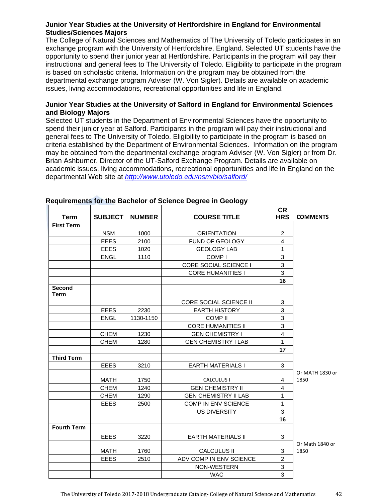# **Junior Year Studies at the University of Hertfordshire in England for Environmental Studies/Sciences Majors**

The College of Natural Sciences and Mathematics of The University of Toledo participates in an exchange program with the University of Hertfordshire, England. Selected UT students have the opportunity to spend their junior year at Hertfordshire. Participants in the program will pay their instructional and general fees to The University of Toledo. Eligibility to participate in the program is based on scholastic criteria. Information on the program may be obtained from the departmental exchange program Adviser (W. Von Sigler). Details are available on academic issues, living accommodations, recreational opportunities and life in England.

# **Junior Year Studies at the University of Salford in England for Environmental Sciences and Biology Majors**

Selected UT students in the Department of Environmental Sciences have the opportunity to spend their junior year at Salford. Participants in the program will pay their instructional and general fees to The University of Toledo. Eligibility to participate in the program is based on criteria established by the Department of Environmental Sciences. Information on the program may be obtained from the departmental exchange program Adviser (W. Von Sigler) or from Dr. Brian Ashburner, Director of the UT-Salford Exchange Program. Details are available on academic issues, living accommodations, recreational opportunities and life in England on the departmental Web site at *http://www.utoledo.edu/nsm/bio/salford/*

| <b>Term</b>           | <b>SUBJECT</b> | <b>NUMBER</b> | <b>COURSE TITLE</b>           | <b>CR</b><br><b>HRS</b> | <b>COMMENTS</b> |
|-----------------------|----------------|---------------|-------------------------------|-------------------------|-----------------|
| <b>First Term</b>     |                |               |                               |                         |                 |
|                       | <b>NSM</b>     | 1000          | <b>ORIENTATION</b>            | $\overline{c}$          |                 |
|                       | <b>EEES</b>    | 2100          | FUND OF GEOLOGY               | 4                       |                 |
|                       | <b>EEES</b>    | 1020          | <b>GEOLOGY LAB</b>            | 1                       |                 |
|                       | <b>ENGL</b>    | 1110          | COMP <sub>I</sub>             | 3                       |                 |
|                       |                |               | CORE SOCIAL SCIENCE I         | 3                       |                 |
|                       |                |               | <b>CORE HUMANITIES I</b>      | 3                       |                 |
|                       |                |               |                               | 16                      |                 |
| Second<br><b>Term</b> |                |               |                               |                         |                 |
|                       |                |               | <b>CORE SOCIAL SCIENCE II</b> | 3                       |                 |
|                       | <b>EEES</b>    | 2230          | <b>EARTH HISTORY</b>          | 3                       |                 |
|                       | <b>ENGL</b>    | 1130-1150     | <b>COMP II</b>                | 3                       |                 |
|                       |                |               | <b>CORE HUMANITIES II</b>     | 3                       |                 |
|                       | <b>CHEM</b>    | 1230          | <b>GEN CHEMISTRY I</b>        | $\overline{4}$          |                 |
|                       | <b>CHEM</b>    | 1280          | <b>GEN CHEMISTRY I LAB</b>    | 1                       |                 |
|                       |                |               |                               | 17                      |                 |
| <b>Third Term</b>     |                |               |                               |                         |                 |
|                       | <b>EEES</b>    | 3210          | <b>EARTH MATERIALS I</b>      | 3                       |                 |
|                       |                |               |                               |                         | Or MATH 1830 or |
|                       | <b>MATH</b>    | 1750          | <b>CALCULUS I</b>             | 4                       | 1850            |
|                       | <b>CHEM</b>    | 1240          | <b>GEN CHEMISTRY II</b>       | $\overline{4}$          |                 |
|                       | CHEM           | 1290          | <b>GEN CHEMISTRY II LAB</b>   | $\mathbf{1}$            |                 |
|                       | <b>EEES</b>    | 2500          | COMP IN ENV SCIENCE           | $\mathbf{1}$            |                 |
|                       |                |               | <b>US DIVERSITY</b>           | 3                       |                 |
|                       |                |               |                               | 16                      |                 |
| <b>Fourth Term</b>    |                |               |                               |                         |                 |
|                       | <b>EEES</b>    | 3220          | <b>EARTH MATERIALS II</b>     | 3                       |                 |
|                       |                |               |                               |                         | Or Math 1840 or |
|                       | <b>MATH</b>    | 1760          | <b>CALCULUS II</b>            | 3                       | 1850            |
|                       | <b>EEES</b>    | 2510          | ADV COMP IN ENV SCIENCE       | $\overline{2}$          |                 |
|                       |                |               | NON-WESTERN                   | $\sqrt{3}$              |                 |
|                       |                |               | <b>WAC</b>                    | 3                       |                 |

# **Requirements for the Bachelor of Science Degree in Geology**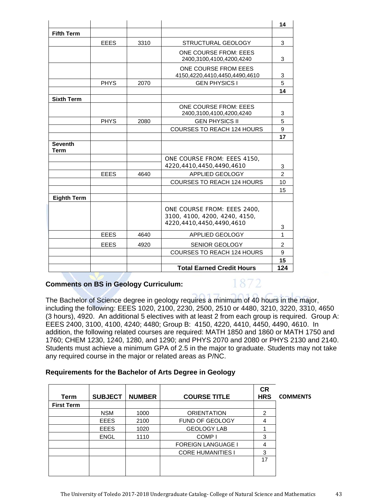|                               |             |      |                                                                                          | 14             |
|-------------------------------|-------------|------|------------------------------------------------------------------------------------------|----------------|
| <b>Fifth Term</b>             |             |      |                                                                                          |                |
|                               | <b>EEES</b> | 3310 | STRUCTURAL GEOLOGY                                                                       | 3              |
|                               |             |      | <b>ONE COURSE FROM: EEES</b><br>2400,3100,4100,4200,4240                                 | 3              |
|                               |             |      | ONE COURSE FROM EEES<br>4150,4220,4410,4450,4490,4610                                    | 3              |
|                               | <b>PHYS</b> | 2070 | <b>GEN PHYSICS I</b>                                                                     | 5              |
|                               |             |      |                                                                                          | 14             |
| <b>Sixth Term</b>             |             |      |                                                                                          |                |
|                               |             |      | ONE COURSE FROM: EEES<br>2400,3100,4100,4200,4240                                        | 3              |
|                               | <b>PHYS</b> | 2080 | <b>GEN PHYSICS II</b>                                                                    | 5              |
|                               |             |      | <b>COURSES TO REACH 124 HOURS</b>                                                        | 9              |
|                               |             |      |                                                                                          | 17             |
| <b>Seventh</b><br><b>Term</b> |             |      |                                                                                          |                |
|                               |             |      | ONE COURSE FROM: EEES 4150.                                                              |                |
|                               |             |      | 4220,4410,4450,4490,4610                                                                 | 3              |
|                               | <b>EEES</b> | 4640 | APPLIED GEOLOGY                                                                          | $\overline{2}$ |
|                               |             |      | <b>COURSES TO REACH 124 HOURS</b>                                                        | 10             |
|                               |             |      |                                                                                          | 15             |
| <b>Eighth Term</b>            |             |      |                                                                                          |                |
|                               |             |      | ONE COURSE FROM: EEES 2400,<br>3100, 4100, 4200, 4240, 4150,<br>4220,4410,4450,4490,4610 | 3              |
|                               | <b>EEES</b> | 4640 | APPLIED GEOLOGY                                                                          | 1              |
|                               | <b>EEES</b> | 4920 | <b>SENIOR GEOLOGY</b>                                                                    | 2              |
|                               |             |      | <b>COURSES TO REACH 124 HOURS</b>                                                        | 9              |
|                               |             |      |                                                                                          | 15             |
|                               |             |      | <b>Total Earned Credit Hours</b>                                                         | 124            |

# **Comments on BS in Geology Curriculum:**

# 1872

The Bachelor of Science degree in geology requires a minimum of 40 hours in the major, including the following: EEES 1020, 2100, 2230, 2500, 2510 or 4480, 3210, 3220, 3310, 4650 (3 hours), 4920. An additional 5 electives with at least 2 from each group is required. Group A: EEES 2400, 3100, 4100, 4240; 4480; Group B: 4150, 4220, 4410, 4450, 4490, 4610. In addition, the following related courses are required: MATH 1850 and 1860 or MATH 1750 and 1760; CHEM 1230, 1240, 1280, and 1290; and PHYS 2070 and 2080 or PHYS 2130 and 2140. Students must achieve a minimum GPA of 2.5 in the major to graduate. Students may not take any required course in the major or related areas as P/NC.

# **Requirements for the Bachelor of Arts Degree in Geology**

| Term              | <b>SUBJECT</b> | <b>NUMBER</b> | <b>COURSE TITLE</b>       | <b>CR</b><br><b>HRS</b> | <b>COMMENTS</b> |
|-------------------|----------------|---------------|---------------------------|-------------------------|-----------------|
| <b>First Term</b> |                |               |                           |                         |                 |
|                   | <b>NSM</b>     | 1000          | <b>ORIENTATION</b>        | 2                       |                 |
|                   | <b>EEES</b>    | 2100          | <b>FUND OF GEOLOGY</b>    | 4                       |                 |
|                   | <b>EEES</b>    | 1020          | <b>GEOLOGY LAB</b>        |                         |                 |
|                   | <b>ENGL</b>    | 1110          | COMP <sub>I</sub>         | 3                       |                 |
|                   |                |               | <b>FOREIGN LANGUAGE I</b> | 4                       |                 |
|                   |                |               | <b>CORE HUMANITIES I</b>  | 3                       |                 |
|                   |                |               |                           | 17                      |                 |
|                   |                |               |                           |                         |                 |
|                   |                |               |                           |                         |                 |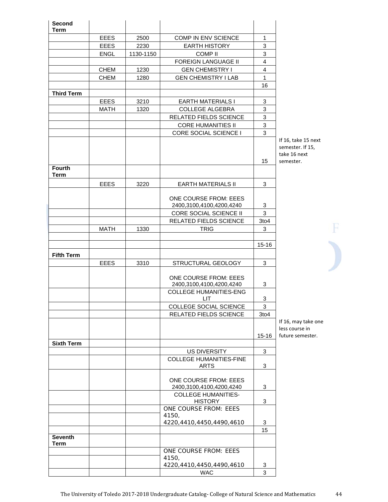| Second<br>Term                |             |           |                                                          |                                      |
|-------------------------------|-------------|-----------|----------------------------------------------------------|--------------------------------------|
|                               | <b>EEES</b> | 2500      | <b>COMP IN ENV SCIENCE</b>                               | $\mathbf{1}$                         |
|                               | <b>EEES</b> | 2230      | <b>EARTH HISTORY</b>                                     | 3                                    |
|                               | <b>ENGL</b> | 1130-1150 | <b>COMP II</b>                                           | 3                                    |
|                               |             |           | <b>FOREIGN LANGUAGE II</b>                               | 4                                    |
|                               | <b>CHEM</b> | 1230      | <b>GEN CHEMISTRY I</b>                                   | 4                                    |
|                               | <b>CHEM</b> | 1280      | <b>GEN CHEMISTRY I LAB</b>                               | $\mathbf{1}$                         |
|                               |             |           |                                                          | 16                                   |
| <b>Third Term</b>             |             |           |                                                          |                                      |
|                               | <b>EEES</b> | 3210      | <b>EARTH MATERIALS I</b>                                 | 3                                    |
|                               | MATH        | 1320      | <b>COLLEGE ALGEBRA</b>                                   | 3                                    |
|                               |             |           | RELATED FIELDS SCIENCE                                   | 3                                    |
|                               |             |           | <b>CORE HUMANITIES II</b>                                | 3                                    |
|                               |             |           | CORE SOCIAL SCIENCE I                                    | 3                                    |
|                               |             |           |                                                          | If $16$<br>sem<br>take<br>15<br>sem  |
| <b>Fourth</b><br>Term         |             |           |                                                          |                                      |
|                               | <b>EEES</b> | 3220      | <b>EARTH MATERIALS II</b>                                | 3                                    |
|                               |             |           | <b>ONE COURSE FROM: EEES</b><br>2400,3100,4100,4200,4240 | 3                                    |
|                               |             |           | CORE SOCIAL SCIENCE II                                   | 3                                    |
|                               |             |           | RELATED FIELDS SCIENCE                                   | 3to4                                 |
|                               | <b>MATH</b> | 1330      | <b>TRIG</b>                                              | 3                                    |
|                               |             |           |                                                          | $15 - 16$                            |
| <b>Fifth Term</b>             |             |           |                                                          |                                      |
|                               | <b>EEES</b> | 3310      | STRUCTURAL GEOLOGY                                       | 3                                    |
|                               |             |           | <b>ONE COURSE FROM: EEES</b><br>2400,3100,4100,4200,4240 | 3                                    |
|                               |             |           | <b>COLLEGE HUMANITIES-ENG</b><br><b>LIT</b>              | 3                                    |
|                               |             |           | COLLEGE SOCIAL SCIENCE                                   | 3                                    |
|                               |             |           | RELATED FIELDS SCIENCE                                   | 3to4                                 |
|                               |             |           |                                                          | If $16$<br>less<br>$15 - 16$<br>futu |
| <b>Sixth Term</b>             |             |           |                                                          |                                      |
|                               |             |           | US DIVERSITY                                             | 3                                    |
|                               |             |           | <b>COLLEGE HUMANITIES-FINE</b><br><b>ARTS</b>            | 3                                    |
|                               |             |           |                                                          |                                      |
|                               |             |           | <b>ONE COURSE FROM: EEES</b>                             | 3                                    |
|                               |             |           | 2400,3100,4100,4200,4240<br><b>COLLEGE HUMANITIES-</b>   |                                      |
|                               |             |           | <b>HISTORY</b>                                           | 3                                    |
|                               |             |           | ONE COURSE FROM: EEES                                    |                                      |
|                               |             |           | 4150,                                                    |                                      |
|                               |             |           | 4220, 4410, 4450, 4490, 4610                             | 3                                    |
|                               |             |           |                                                          | 15                                   |
| <b>Seventh</b><br><b>Term</b> |             |           |                                                          |                                      |
|                               |             |           | ONE COURSE FROM: EEES                                    |                                      |
|                               |             |           | 4150,                                                    |                                      |
|                               |             |           | 4220, 4410, 4450, 4490, 4610                             | 3                                    |
|                               |             |           | <b>WAC</b>                                               | 3                                    |

5, take 15 next nester. If 15,  $: 16$  next ester.

 $\overline{\mathbf{F}}$ 

5, may take one course in re semester.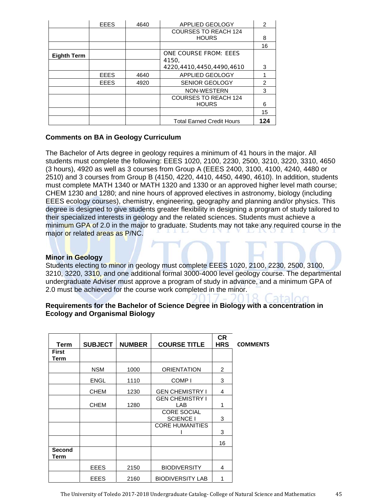|                    | <b>EEES</b> | 4640 | <b>APPLIED GEOLOGY</b>                      | 2              |
|--------------------|-------------|------|---------------------------------------------|----------------|
|                    |             |      | <b>COURSES TO REACH 124</b><br><b>HOURS</b> | 8              |
|                    |             |      |                                             | 16             |
| <b>Eighth Term</b> |             |      | ONE COURSE FROM: EEES<br>4150,              |                |
|                    |             |      | 4220,4410,4450,4490,4610                    | 3              |
|                    | <b>EEES</b> | 4640 | APPLIED GEOLOGY                             |                |
|                    | <b>EEES</b> | 4920 | <b>SENIOR GEOLOGY</b>                       | $\mathfrak{p}$ |
|                    |             |      | NON-WESTERN                                 | 3              |
|                    |             |      | <b>COURSES TO REACH 124</b><br><b>HOURS</b> | 6              |
|                    |             |      |                                             | 15             |
|                    |             |      | <b>Total Earned Credit Hours</b>            | 124            |

# **Comments on BA in Geology Curriculum**

The Bachelor of Arts degree in geology requires a minimum of 41 hours in the major. All students must complete the following: EEES 1020, 2100, 2230, 2500, 3210, 3220, 3310, 4650 (3 hours), 4920 as well as 3 courses from Group A (EEES 2400, 3100, 4100, 4240, 4480 or 2510) and 3 courses from Group B (4150, 4220, 4410, 4450, 4490, 4610). In addition, students must complete MATH 1340 or MATH 1320 and 1330 or an approved higher level math course; CHEM 1230 and 1280; and nine hours of approved electives in astronomy, biology (including EEES ecology courses), chemistry, engineering, geography and planning and/or physics. This degree is designed to give students greater flexibility in designing a program of study tailored to their specialized interests in geology and the related sciences. Students must achieve a minimum GPA of 2.0 in the major to graduate. Students may not take any required course in the major or related areas as P/NC.

## **Minor in Geology**

Students electing to minor in geology must complete EEES 1020, 2100, 2230, 2500, 3100, 3210, 3220, 3310, and one additional formal 3000-4000 level geology course. The departmental undergraduate Adviser must approve a program of study in advance, and a minimum GPA of 2.0 must be achieved for the course work completed in the minor.

# **Requirements for the Bachelor of Science Degree in Biology with a concentration in Ecology and Organismal Biology**

| Term                 | <b>SUBJECT</b> | <b>NUMBER</b> | <b>COURSE TITLE</b>                    | <b>CR</b><br><b>HRS</b> | <b>COMMENTS</b> |
|----------------------|----------------|---------------|----------------------------------------|-------------------------|-----------------|
| <b>First</b><br>Term |                |               |                                        |                         |                 |
|                      | <b>NSM</b>     | 1000          | <b>ORIENTATION</b>                     | 2                       |                 |
|                      | <b>ENGL</b>    | 1110          | COMP <sub>I</sub>                      | 3                       |                 |
|                      | <b>CHEM</b>    | 1230          | <b>GEN CHEMISTRY I</b>                 | 4                       |                 |
|                      | <b>CHEM</b>    | 1280          | <b>GEN CHEMISTRY I</b><br>LAB          | 1                       |                 |
|                      |                |               | <b>CORE SOCIAL</b><br><b>SCIENCE I</b> | 3                       |                 |
|                      |                |               | <b>CORE HUMANITIES</b>                 | 3                       |                 |
|                      |                |               |                                        | 16                      |                 |
| Second<br>Term       |                |               |                                        |                         |                 |
|                      | <b>EEES</b>    | 2150          | <b>BIODIVERSITY</b>                    | 4                       |                 |
|                      | <b>EEES</b>    | 2160          | <b>BIODIVERSITY LAB</b>                | 1                       |                 |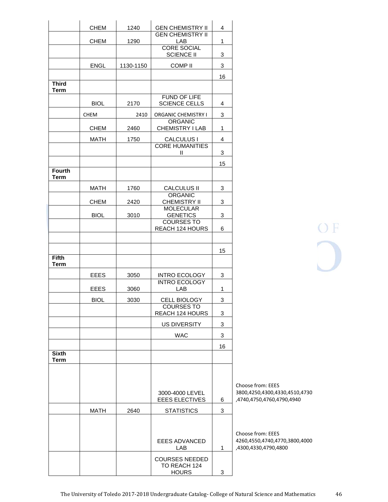|                              | <b>CHEM</b> | 1240      | <b>GEN CHEMISTRY II</b>                     | 4  |                                        |
|------------------------------|-------------|-----------|---------------------------------------------|----|----------------------------------------|
|                              | <b>CHEM</b> | 1290      | <b>GEN CHEMISTRY II</b><br>LAB              | 1  |                                        |
|                              |             |           | <b>CORE SOCIAL</b>                          |    |                                        |
|                              |             |           | <b>SCIENCE II</b>                           | 3  |                                        |
|                              | <b>ENGL</b> | 1130-1150 | <b>COMP II</b>                              | 3  |                                        |
| <b>Third</b>                 |             |           |                                             | 16 |                                        |
| <b>Term</b>                  |             |           |                                             |    |                                        |
|                              | <b>BIOL</b> | 2170      | FUND OF LIFE<br><b>SCIENCE CELLS</b>        | 4  |                                        |
|                              | <b>CHEM</b> | 2410      | <b>ORGANIC CHEMISTRY I</b>                  | 3  |                                        |
|                              |             |           | <b>ORGANIC</b>                              |    |                                        |
|                              | <b>CHEM</b> | 2460      | CHEMISTRY I LAB                             | 1  |                                        |
|                              | <b>MATH</b> | 1750      | <b>CALCULUS I</b><br><b>CORE HUMANITIES</b> | 4  |                                        |
|                              |             |           | Ш                                           | 3  |                                        |
|                              |             |           |                                             | 15 |                                        |
| <b>Fourth</b><br><b>Term</b> |             |           |                                             |    |                                        |
|                              | <b>MATH</b> | 1760      | CALCULUS II                                 | 3  |                                        |
|                              | <b>CHEM</b> | 2420      | <b>ORGANIC</b><br><b>CHEMISTRY II</b>       | 3  |                                        |
|                              |             |           | <b>MOLECULAR</b>                            |    |                                        |
|                              | <b>BIOL</b> | 3010      | <b>GENETICS</b><br><b>COURSES TO</b>        | 3  |                                        |
|                              |             |           | REACH 124 HOURS                             | 6  |                                        |
|                              |             |           |                                             |    |                                        |
|                              |             |           |                                             | 15 |                                        |
| <b>Fifth</b><br><b>Term</b>  |             |           |                                             |    |                                        |
|                              | <b>EEES</b> | 3050      | <b>INTRO ECOLOGY</b>                        | 3  |                                        |
|                              | <b>EEES</b> | 3060      | <b>INTRO ECOLOGY</b><br>LAB                 | 1  |                                        |
|                              | <b>BIOL</b> | 3030      | CELL BIOLOGY                                | 3  |                                        |
|                              |             |           | <b>COURSES TO</b>                           |    |                                        |
|                              |             |           | REACH 124 HOURS                             | 3  |                                        |
|                              |             |           | <b>US DIVERSITY</b>                         | 3  |                                        |
|                              |             |           | <b>WAC</b>                                  | 3  |                                        |
| <b>Sixth</b>                 |             |           |                                             | 16 |                                        |
| <b>Term</b>                  |             |           |                                             |    |                                        |
|                              |             |           |                                             |    |                                        |
|                              |             |           |                                             |    | Choose from: EEES                      |
|                              |             |           | 3000-4000 LEVEL                             |    | 3800,4250,4300,43                      |
|                              |             |           | <b>EEES ELECTIVES</b>                       | 6  | ,4740,4750,4760,47                     |
|                              | <b>MATH</b> | 2640      | <b>STATISTICS</b>                           | 3  |                                        |
|                              |             |           |                                             |    |                                        |
|                              |             |           | <b>EEES ADVANCED</b>                        |    | Choose from: EEES<br>4260,4550,4740,47 |
|                              |             |           | LAB                                         | 1  | ,4300,4330,4790,48                     |
|                              |             |           | <b>COURSES NEEDED</b><br>TO REACH 124       |    |                                        |
|                              |             |           | <b>HOURS</b>                                | 3  |                                        |

OF<br>O

30,4510,4730 790,4940

4260,4550,4740,4770,3800,4000 300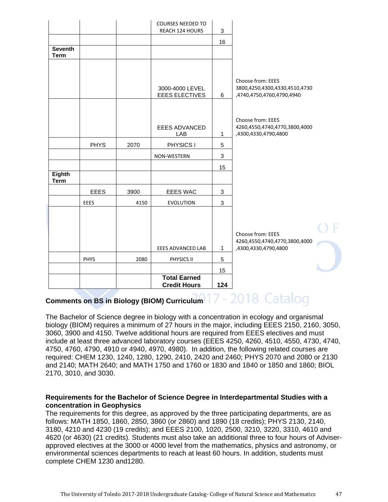|                               |             |      | <b>COURSES NEEDED TO</b><br>REACH 124 HOURS | 3            |                                                                                 |
|-------------------------------|-------------|------|---------------------------------------------|--------------|---------------------------------------------------------------------------------|
|                               |             |      |                                             | 16           |                                                                                 |
| <b>Seventh</b><br><b>Term</b> |             |      |                                             |              |                                                                                 |
|                               |             |      |                                             |              |                                                                                 |
|                               |             |      | 3000-4000 LEVEL<br><b>EEES ELECTIVES</b>    | 6            | Choose from: EEES<br>3800,4250,4300,4330,4510,4730<br>,4740,4750,4760,4790,4940 |
|                               |             |      |                                             |              |                                                                                 |
|                               |             |      | <b>EEES ADVANCED</b><br>LAB                 | $\mathbf{1}$ | Choose from: EEES<br>4260,4550,4740,4770,3800,4000<br>,4300,4330,4790,4800      |
|                               | <b>PHYS</b> | 2070 | PHYSICS I                                   | 5            |                                                                                 |
|                               |             |      | NON-WESTERN                                 | 3            |                                                                                 |
|                               |             |      |                                             | 15           |                                                                                 |
| <b>Eighth</b><br><b>Term</b>  |             |      |                                             |              |                                                                                 |
|                               | <b>EEES</b> | 3900 | <b>EEES WAC</b>                             | 3            |                                                                                 |
|                               | <b>EEES</b> | 4150 | <b>EVOLUTION</b>                            | 3            |                                                                                 |
|                               |             |      |                                             |              |                                                                                 |
|                               |             |      |                                             |              |                                                                                 |
|                               |             |      |                                             |              | Choose from: EEES<br>4260,4550,4740,4770,3800,4000                              |
|                               |             |      | EEES ADVANCED LAB                           | $\mathbf{1}$ | ,4300,4330,4790,4800                                                            |
|                               | PHYS        | 2080 | PHYSICS II                                  | 5            |                                                                                 |
|                               |             |      |                                             | 15           |                                                                                 |
|                               |             |      | <b>Total Earned</b><br><b>Credit Hours</b>  | 124          |                                                                                 |

# Comments on BS in Biology (BIOM) Curriculum<sup>17</sup> - 2018 Catalog

The Bachelor of Science degree in biology with a concentration in ecology and organismal biology (BIOM) requires a minimum of 27 hours in the major, including EEES 2150, 2160, 3050, 3060, 3900 and 4150. Twelve additional hours are required from EEES electives and must include at least three advanced laboratory courses (EEES 4250, 4260, 4510, 4550, 4730, 4740, 4750, 4760, 4790, 4910 or 4940, 4970, 4980). In addition, the following related courses are required: CHEM 1230, 1240, 1280, 1290, 2410, 2420 and 2460; PHYS 2070 and 2080 or 2130 and 2140; MATH 2640; and MATH 1750 and 1760 or 1830 and 1840 or 1850 and 1860; BIOL 2170, 3010, and 3030.

#### **Requirements for the Bachelor of Science Degree in Interdepartmental Studies with a concentration in Geophysics**

The requirements for this degree, as approved by the three participating departments, are as follows: MATH 1850, 1860, 2850, 3860 (or 2860) and 1890 (18 credits); PHYS 2130, 2140, 3180, 4210 and 4230 (19 credits); and EEES 2100, 1020, 2500, 3210, 3220, 3310, 4610 and 4620 (or 4630) (21 credits). Students must also take an additional three to four hours of Adviserapproved electives at the 3000 or 4000 level from the mathematics, physics and astronomy, or environmental sciences departments to reach at least 60 hours. In addition, students must complete CHEM 1230 and1280.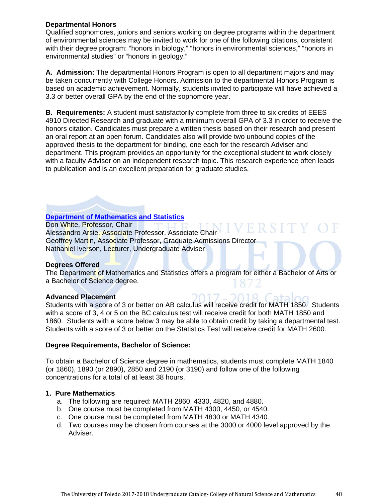## **Departmental Honors**

Qualified sophomores, juniors and seniors working on degree programs within the department of environmental sciences may be invited to work for one of the following citations, consistent with their degree program: "honors in biology," "honors in environmental sciences," "honors in environmental studies" or "honors in geology."

**A. Admission:** The departmental Honors Program is open to all department majors and may be taken concurrently with College Honors. Admission to the departmental Honors Program is based on academic achievement. Normally, students invited to participate will have achieved a 3.3 or better overall GPA by the end of the sophomore year.

**B. Requirements:** A student must satisfactorily complete from three to six credits of EEES 4910 Directed Research and graduate with a minimum overall GPA of 3.3 in order to receive the honors citation. Candidates must prepare a written thesis based on their research and present an oral report at an open forum. Candidates also will provide two unbound copies of the approved thesis to the department for binding, one each for the research Adviser and department. This program provides an opportunity for the exceptional student to work closely with a faculty Adviser on an independent research topic. This research experience often leads to publication and is an excellent preparation for graduate studies.

# **Department of Mathematics and Statistics**

Don White, Professor, Chair **THE THE THE TH** Don White, Professor, Chair<br>Alessandro Arsie, Associate Professor, Associate Chair Geoffrey Martin, Associate Professor, Graduate Admissions Director Nathaniel Iverson, Lecturer, Undergraduate Adviser

#### **Degrees Offered**

The Department of Mathematics and Statistics offers a program for either a Bachelor of Arts or a Bachelor of Science degree.

#### **Advanced Placement**

Students with a score of 3 or better on AB calculus will receive credit for MATH 1850. Students with a score of 3, 4 or 5 on the BC calculus test will receive credit for both MATH 1850 and 1860. Students with a score below 3 may be able to obtain credit by taking a departmental test. Students with a score of 3 or better on the Statistics Test will receive credit for MATH 2600.

#### **Degree Requirements, Bachelor of Science:**

To obtain a Bachelor of Science degree in mathematics, students must complete MATH 1840 (or 1860), 1890 (or 2890), 2850 and 2190 (or 3190) and follow one of the following concentrations for a total of at least 38 hours.

#### **1. Pure Mathematics**

- a. The following are required: MATH 2860, 4330, 4820, and 4880.
- b. One course must be completed from MATH 4300, 4450, or 4540.
- c. One course must be completed from MATH 4830 or MATH 4340.
- d. Two courses may be chosen from courses at the 3000 or 4000 level approved by the Adviser.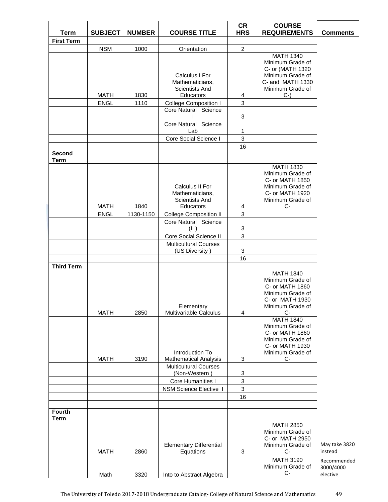| <b>Term</b>           | <b>SUBJECT</b>             | <b>NUMBER</b> | <b>COURSE TITLE</b>                                                     | <b>CR</b><br><b>HRS</b> | <b>COURSE</b><br><b>REQUIREMENTS</b>                                                                                         | <b>Comments</b>          |
|-----------------------|----------------------------|---------------|-------------------------------------------------------------------------|-------------------------|------------------------------------------------------------------------------------------------------------------------------|--------------------------|
| <b>First Term</b>     |                            |               |                                                                         |                         |                                                                                                                              |                          |
|                       | <b>NSM</b>                 | 1000          | Orientation                                                             | $\overline{c}$          |                                                                                                                              |                          |
|                       | <b>MATH</b>                | 1830          | Calculus I For<br>Mathematicians,<br><b>Scientists And</b><br>Educators | 4                       | <b>MATH 1340</b><br>Minimum Grade of<br>C- or (MATH 1320<br>Minimum Grade of<br>C- and MATH 1330<br>Minimum Grade of<br>$C-$ |                          |
|                       | <b>ENGL</b>                | 1110          | <b>College Composition I</b>                                            | $\mathbf{3}$            |                                                                                                                              |                          |
|                       |                            |               | Core Natural Science                                                    | 3                       |                                                                                                                              |                          |
|                       |                            |               | Core Natural Science<br>Lab                                             | 1                       |                                                                                                                              |                          |
|                       |                            |               | Core Social Science I                                                   | 3                       |                                                                                                                              |                          |
|                       |                            |               |                                                                         | 16                      |                                                                                                                              |                          |
| Second<br><b>Term</b> |                            |               |                                                                         |                         |                                                                                                                              |                          |
|                       |                            |               | Calculus II For<br>Mathematicians,<br>Scientists And                    |                         | <b>MATH 1830</b><br>Minimum Grade of<br>C- or MATH 1850<br>Minimum Grade of<br>C- or MATH 1920<br>Minimum Grade of           |                          |
|                       | <b>MATH</b><br><b>ENGL</b> | 1840          | Educators                                                               | 4<br>3                  | C-                                                                                                                           |                          |
|                       |                            | 1130-1150     | <b>College Composition II</b><br>Core Natural Science<br>(II)           | 3                       |                                                                                                                              |                          |
|                       |                            |               | Core Social Science II                                                  | 3                       |                                                                                                                              |                          |
|                       |                            |               | <b>Multicultural Courses</b>                                            |                         |                                                                                                                              |                          |
|                       |                            |               | (US Diversity)                                                          | 3                       |                                                                                                                              |                          |
|                       |                            |               |                                                                         | 16                      |                                                                                                                              |                          |
| <b>Third Term</b>     |                            |               |                                                                         |                         | <b>MATH 1840</b>                                                                                                             |                          |
|                       | <b>MATH</b>                | 2850          | Elementary<br>Multivariable Calculus                                    | 4                       | Minimum Grade of<br>C- or MATH 1860<br>Minimum Grade of<br>C- or MATH 1930<br>Minimum Grade of<br>$C-$<br><b>MATH 1840</b>   |                          |
|                       | <b>MATH</b>                | 3190          | Introduction To<br><b>Mathematical Analysis</b>                         | 3                       | Minimum Grade of<br>C- or MATH 1860<br>Minimum Grade of<br>C- or MATH 1930<br>Minimum Grade of<br>$C-$                       |                          |
|                       |                            |               | <b>Multicultural Courses</b>                                            |                         |                                                                                                                              |                          |
|                       |                            |               | (Non-Western)                                                           | 3                       |                                                                                                                              |                          |
|                       |                            |               | Core Humanities I                                                       | 3                       |                                                                                                                              |                          |
|                       |                            |               | <b>NSM Science Elective I</b>                                           | $\mathbf{3}$            |                                                                                                                              |                          |
|                       |                            |               |                                                                         | 16                      |                                                                                                                              |                          |
| <b>Fourth</b><br>Term |                            |               |                                                                         |                         |                                                                                                                              |                          |
|                       | <b>MATH</b>                | 2860          | <b>Elementary Differential</b><br>Equations                             | 3                       | <b>MATH 2850</b><br>Minimum Grade of<br>C- or MATH 2950<br>Minimum Grade of<br>$C-$                                          | May take 3820<br>instead |
|                       |                            |               |                                                                         |                         | <b>MATH 3190</b><br>Minimum Grade of                                                                                         | Recommended<br>3000/4000 |
|                       | Math                       | 3320          | Into to Abstract Algebra                                                |                         | $C-$                                                                                                                         | elective                 |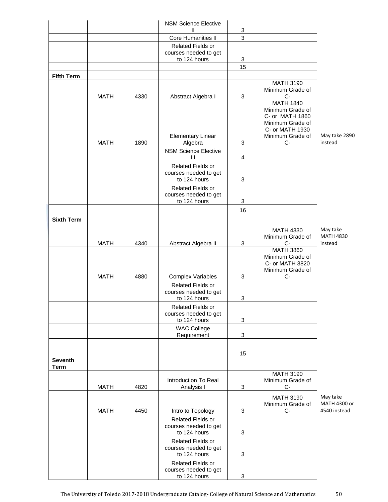|                   |             |      | <b>NSM Science Elective</b>                                |                           |                                                                                                                            |                                         |
|-------------------|-------------|------|------------------------------------------------------------|---------------------------|----------------------------------------------------------------------------------------------------------------------------|-----------------------------------------|
|                   |             |      | Ш<br>Core Humanities II                                    | 3<br>$\overline{3}$       |                                                                                                                            |                                         |
|                   |             |      | Related Fields or<br>courses needed to get<br>to 124 hours | 3                         |                                                                                                                            |                                         |
|                   |             |      |                                                            | 15                        |                                                                                                                            |                                         |
| <b>Fifth Term</b> |             |      |                                                            |                           |                                                                                                                            |                                         |
|                   | <b>MATH</b> | 4330 | Abstract Algebra I                                         | 3                         | <b>MATH 3190</b><br>Minimum Grade of<br>$C-$                                                                               |                                         |
|                   | <b>MATH</b> | 1890 | <b>Elementary Linear</b><br>Algebra                        | 3                         | <b>MATH 1840</b><br>Minimum Grade of<br>C- or MATH 1860<br>Minimum Grade of<br>C- or MATH 1930<br>Minimum Grade of<br>$C-$ | May take 2890<br>instead                |
|                   |             |      | <b>NSM Science Elective</b><br>Ш                           | 4                         |                                                                                                                            |                                         |
|                   |             |      | Related Fields or<br>courses needed to get<br>to 124 hours | 3                         |                                                                                                                            |                                         |
|                   |             |      | Related Fields or<br>courses needed to get<br>to 124 hours | $\ensuremath{\mathsf{3}}$ |                                                                                                                            |                                         |
|                   |             |      |                                                            | 16                        |                                                                                                                            |                                         |
| <b>Sixth Term</b> |             |      |                                                            |                           |                                                                                                                            |                                         |
|                   | <b>MATH</b> | 4340 | Abstract Algebra II                                        | 3                         | <b>MATH 4330</b><br>Minimum Grade of<br>$C-$                                                                               | May take<br><b>MATH 4830</b><br>instead |
|                   |             |      |                                                            |                           | <b>MATH 3860</b><br>Minimum Grade of<br>C- or MATH 3820<br>Minimum Grade of                                                |                                         |
|                   | <b>MATH</b> | 4880 | <b>Complex Variables</b>                                   | 3                         | C-                                                                                                                         |                                         |
|                   |             |      | Related Fields or<br>courses needed to get<br>to 124 hours | 3                         |                                                                                                                            |                                         |
|                   |             |      | Related Fields or<br>courses needed to get<br>to 124 hours | 3                         |                                                                                                                            |                                         |
|                   |             |      | <b>WAC College</b><br>Requirement                          | 3                         |                                                                                                                            |                                         |
|                   |             |      |                                                            |                           |                                                                                                                            |                                         |
| <b>Seventh</b>    |             |      |                                                            | 15                        |                                                                                                                            |                                         |
| <b>Term</b>       |             |      |                                                            |                           | <b>MATH 3190</b>                                                                                                           |                                         |
|                   | <b>MATH</b> | 4820 | Introduction To Real<br>Analysis I                         | 3                         | Minimum Grade of<br>$C-$                                                                                                   |                                         |
|                   |             |      |                                                            |                           | <b>MATH 3190</b>                                                                                                           | May take                                |
|                   | <b>MATH</b> | 4450 | Intro to Topology                                          | 3                         | Minimum Grade of<br>$C-$                                                                                                   | MATH 4300 or<br>4540 instead            |
|                   |             |      | Related Fields or<br>courses needed to get<br>to 124 hours | 3                         |                                                                                                                            |                                         |
|                   |             |      | Related Fields or<br>courses needed to get<br>to 124 hours | 3                         |                                                                                                                            |                                         |
|                   |             |      | Related Fields or<br>courses needed to get<br>to 124 hours | 3                         |                                                                                                                            |                                         |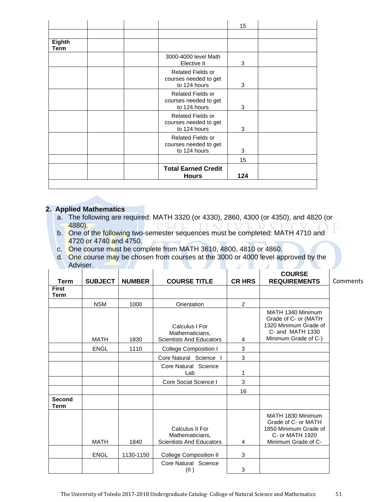| Eighth<br>Term |  |                                                                   |     |  |
|----------------|--|-------------------------------------------------------------------|-----|--|
|                |  | 3000-4000 level Math<br>Elective II                               | 3   |  |
|                |  | <b>Related Fields or</b><br>courses needed to get<br>to 124 hours | 3   |  |
|                |  | <b>Related Fields or</b><br>courses needed to get<br>to 124 hours | 3   |  |
|                |  | Related Fields or<br>courses needed to get<br>to 124 hours        | 3   |  |
|                |  | <b>Related Fields or</b><br>courses needed to get<br>to 124 hours | 3   |  |
|                |  |                                                                   | 15  |  |
|                |  | <b>Total Earned Credit</b><br><b>Hours</b>                        | 124 |  |

# **2. Applied Mathematics**

- a. The following are required: MATH 3320 (or 4330), 2860, 4300 (or 4350), and 4820 (or 4880).
- b. One of the following two-semester sequences must be completed: MATH 4710 and 4720 or 4740 and 4750.
- c. One course must be complete from MATH 3610, 4800, 4810 or 4860.
- d. One course may be chosen from courses at the 3000 or 4000 level approved by the Adviser.  $\mathcal{A}$  and  $\mathcal{A}$

| Term                        | <b>SUBJECT</b> | <b>NUMBER</b> | <b>COURSE TITLE</b>                                                   | <b>CR HRS</b> | <b>COURSE</b><br><b>REQUIREMENTS</b>                                                                           | Comments |
|-----------------------------|----------------|---------------|-----------------------------------------------------------------------|---------------|----------------------------------------------------------------------------------------------------------------|----------|
| <b>First</b><br><b>Term</b> |                |               |                                                                       |               |                                                                                                                |          |
|                             | <b>NSM</b>     | 1000          | Orientation                                                           | 2             |                                                                                                                |          |
|                             | <b>MATH</b>    | 1830          | Calculus I For<br>Mathematicians.<br><b>Scientists And Educators</b>  | 4             | MATH 1340 Minimum<br>Grade of C- or (MATH<br>1320 Minimum Grade of<br>C- and MATH 1330<br>Minimum Grade of C-) |          |
|                             | <b>ENGL</b>    | 1110          | <b>College Composition I</b>                                          | 3             |                                                                                                                |          |
|                             |                |               | Core Natural Science                                                  | 3             |                                                                                                                |          |
|                             |                |               | Core Natural Science<br>Lab                                           | 1             |                                                                                                                |          |
|                             |                |               | Core Social Science I                                                 | 3             |                                                                                                                |          |
|                             |                |               |                                                                       | 16            |                                                                                                                |          |
| <b>Second</b><br>Term       |                |               |                                                                       |               |                                                                                                                |          |
|                             | <b>MATH</b>    | 1840          | Calculus II For<br>Mathematicians,<br><b>Scientists And Educators</b> | 4             | MATH 1830 Minimum<br>Grade of C- or MATH<br>1850 Minimum Grade of<br>C- or MATH 1920<br>Minimum Grade of C-    |          |
|                             | <b>ENGL</b>    | 1130-1150     | <b>College Composition II</b>                                         | 3             |                                                                                                                |          |
|                             |                |               | Core Natural Science<br>(II)                                          | 3             |                                                                                                                |          |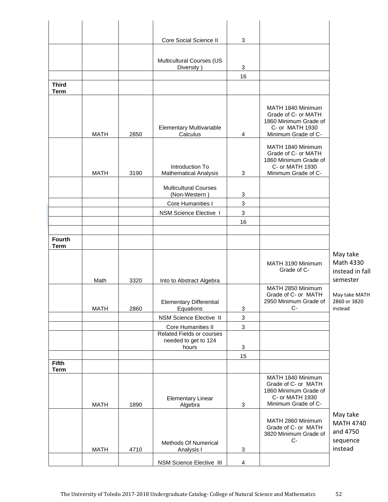|                             |             |      | Core Social Science II                                     | 3                         |                                                                                                             |                                                      |
|-----------------------------|-------------|------|------------------------------------------------------------|---------------------------|-------------------------------------------------------------------------------------------------------------|------------------------------------------------------|
|                             |             |      |                                                            |                           |                                                                                                             |                                                      |
|                             |             |      | Multicultural Courses (US<br>Diversity)                    | 3                         |                                                                                                             |                                                      |
|                             |             |      |                                                            | 16                        |                                                                                                             |                                                      |
| <b>Third</b><br><b>Term</b> |             |      |                                                            |                           |                                                                                                             |                                                      |
|                             | <b>MATH</b> | 2850 | <b>Elementary Multivariable</b><br>Calculus                | $\overline{4}$            | MATH 1840 Minimum<br>Grade of C- or MATH<br>1860 Minimum Grade of<br>C- or MATH 1930<br>Minimum Grade of C- |                                                      |
|                             | <b>MATH</b> | 3190 | Introduction To<br><b>Mathematical Analysis</b>            | 3                         | MATH 1840 Minimum<br>Grade of C- or MATH<br>1860 Minimum Grade of<br>C- or MATH 1930<br>Minimum Grade of C- |                                                      |
|                             |             |      | <b>Multicultural Courses</b><br>(Non-Western)              | 3                         |                                                                                                             |                                                      |
|                             |             |      | Core Humanities I                                          | $\mathbf{3}$              |                                                                                                             |                                                      |
|                             |             |      | NSM Science Elective I                                     | $\mathbf{3}$              |                                                                                                             |                                                      |
|                             |             |      |                                                            | 16                        |                                                                                                             |                                                      |
| <b>Fourth</b>               |             |      |                                                            |                           |                                                                                                             |                                                      |
| <b>Term</b>                 |             |      |                                                            |                           |                                                                                                             |                                                      |
|                             | Math        | 3320 | Into to Abstract Algebra                                   |                           | MATH 3190 Minimum<br>Grade of C-                                                                            | May take<br>Math 4330<br>instead in fall<br>semester |
|                             |             |      | <b>Elementary Differential</b>                             |                           | MATH 2850 Minimum<br>Grade of C- or MATH<br>2950 Minimum Grade of<br>$C-$                                   | May take MATH<br>2860 or 3820                        |
|                             | <b>MATH</b> | 2860 | Equations<br>NSM Science Elective II                       | 3<br>$\mathbf{3}$         |                                                                                                             | instead                                              |
|                             |             |      | Core Humanities II                                         | $\mathbf{3}$              |                                                                                                             |                                                      |
|                             |             |      | Related Fields or courses<br>needed to get to 124<br>hours | 3                         |                                                                                                             |                                                      |
|                             |             |      |                                                            | 15                        |                                                                                                             |                                                      |
| <b>Fifth</b><br><b>Term</b> |             |      |                                                            |                           |                                                                                                             |                                                      |
|                             | <b>MATH</b> | 1890 | <b>Elementary Linear</b><br>Algebra                        | $\ensuremath{\mathsf{3}}$ | MATH 1840 Minimum<br>Grade of C- or MATH<br>1860 Minimum Grade of<br>C- or MATH 1930<br>Minimum Grade of C- |                                                      |
|                             |             |      | Methods Of Numerical                                       |                           | MATH 2860 Minimum<br>Grade of C- or MATH<br>3820 Minimum Grade of<br>$C-$                                   | May take<br><b>MATH 4740</b><br>and 4750<br>sequence |
|                             | <b>MATH</b> | 4710 | Analysis I                                                 | 3                         |                                                                                                             | instead                                              |
|                             |             |      | NSM Science Elective III                                   | $\overline{4}$            |                                                                                                             |                                                      |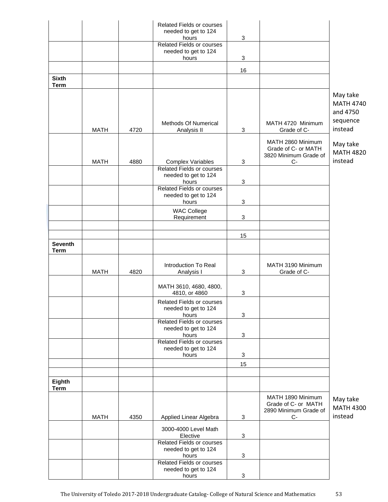|                               |             |      | <b>Related Fields or courses</b><br>needed to get to 124<br>hours | $\mathbf{3}$ |                                                                           |                                                      |
|-------------------------------|-------------|------|-------------------------------------------------------------------|--------------|---------------------------------------------------------------------------|------------------------------------------------------|
|                               |             |      | <b>Related Fields or courses</b><br>needed to get to 124          |              |                                                                           |                                                      |
|                               |             |      | hours                                                             | $\mathbf{3}$ |                                                                           |                                                      |
|                               |             |      |                                                                   | 16           |                                                                           |                                                      |
| <b>Sixth</b><br><b>Term</b>   |             |      |                                                                   |              |                                                                           |                                                      |
|                               |             |      | Methods Of Numerical                                              |              | MATH 4720 Minimum                                                         | May take<br><b>MATH 4740</b><br>and 4750<br>sequence |
|                               | <b>MATH</b> | 4720 | Analysis II                                                       | 3            | Grade of C-                                                               | instead                                              |
|                               | <b>MATH</b> | 4880 | <b>Complex Variables</b>                                          | 3            | MATH 2860 Minimum<br>Grade of C- or MATH<br>3820 Minimum Grade of<br>$C-$ | May take<br><b>MATH 4820</b><br>instead              |
|                               |             |      | <b>Related Fields or courses</b>                                  |              |                                                                           |                                                      |
|                               |             |      | needed to get to 124<br>hours                                     | 3            |                                                                           |                                                      |
|                               |             |      | <b>Related Fields or courses</b><br>needed to get to 124<br>hours | 3            |                                                                           |                                                      |
|                               |             |      | <b>WAC College</b><br>Requirement                                 | 3            |                                                                           |                                                      |
|                               |             |      |                                                                   | 15           |                                                                           |                                                      |
| <b>Seventh</b><br><b>Term</b> |             |      |                                                                   |              |                                                                           |                                                      |
|                               | <b>MATH</b> | 4820 | Introduction To Real<br>Analysis I                                | $\mathbf{3}$ | MATH 3190 Minimum<br>Grade of C-                                          |                                                      |
|                               |             |      | MATH 3610, 4680, 4800,<br>4810, or 4860                           | 3            |                                                                           |                                                      |
|                               |             |      | Related Fields or courses<br>needed to get to 124<br>hours        | 3            |                                                                           |                                                      |
|                               |             |      | <b>Related Fields or courses</b><br>needed to get to 124<br>hours | 3            |                                                                           |                                                      |
|                               |             |      | <b>Related Fields or courses</b><br>needed to get to 124<br>hours | $\mathbf{3}$ |                                                                           |                                                      |
|                               |             |      |                                                                   | 15           |                                                                           |                                                      |
| Eighth<br><b>Term</b>         |             |      |                                                                   |              |                                                                           |                                                      |
|                               |             |      |                                                                   |              | MATH 1890 Minimum<br>Grade of C- or MATH<br>2890 Minimum Grade of         | May take<br><b>MATH 4300</b>                         |
|                               | <b>MATH</b> | 4350 | Applied Linear Algebra                                            | 3            | $C-$                                                                      | instead                                              |
|                               |             |      | 3000-4000 Level Math<br>Elective                                  | 3            |                                                                           |                                                      |
|                               |             |      | Related Fields or courses<br>needed to get to 124                 |              |                                                                           |                                                      |
|                               |             |      | hours<br><b>Related Fields or courses</b><br>needed to get to 124 | 3            |                                                                           |                                                      |
|                               |             |      | hours                                                             | 3            |                                                                           |                                                      |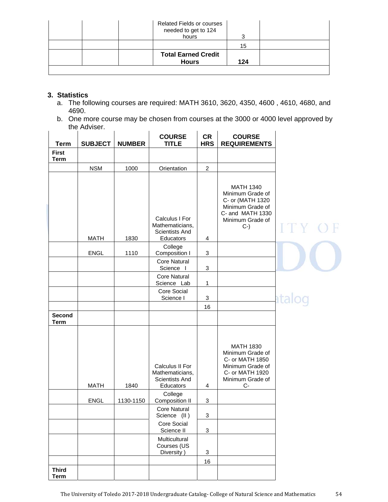| <b>Related Fields or courses</b><br>needed to get to 124<br>hours |     |  |
|-------------------------------------------------------------------|-----|--|
|                                                                   | 15  |  |
| <b>Total Earned Credit</b><br><b>Hours</b>                        | 124 |  |

# **3. Statistics**

- a. The following courses are required: MATH 3610, 3620, 4350, 4600 , 4610, 4680, and 4690.
- b. One more course may be chosen from courses at the 3000 or 4000 level approved by the Adviser.

| <b>Term</b>                 | <b>SUBJECT</b> | <b>NUMBER</b> | <b>COURSE</b><br><b>TITLE</b>                                     | <b>CR</b><br><b>HRS</b>   | <b>COURSE</b><br><b>REQUIREMENTS</b>                                                                                         |        |
|-----------------------------|----------------|---------------|-------------------------------------------------------------------|---------------------------|------------------------------------------------------------------------------------------------------------------------------|--------|
| <b>First</b><br><b>Term</b> |                |               |                                                                   |                           |                                                                                                                              |        |
|                             | <b>NSM</b>     | 1000          | Orientation                                                       | $\overline{c}$            |                                                                                                                              |        |
|                             | <b>MATH</b>    | 1830          | Calculus I For<br>Mathematicians,<br>Scientists And<br>Educators  | 4                         | <b>MATH 1340</b><br>Minimum Grade of<br>C- or (MATH 1320<br>Minimum Grade of<br>C- and MATH 1330<br>Minimum Grade of<br>$C-$ |        |
|                             | ENGL           | 1110          | College<br>Composition I                                          | 3                         |                                                                                                                              |        |
|                             |                |               | <b>Core Natural</b><br>Science I                                  | $\ensuremath{\mathsf{3}}$ |                                                                                                                              |        |
|                             |                |               | <b>Core Natural</b><br>Science Lab                                | 1                         |                                                                                                                              |        |
|                             |                |               | Core Social<br>Science I                                          | 3                         |                                                                                                                              | atalog |
|                             |                |               |                                                                   | 16                        |                                                                                                                              |        |
| Second<br><b>Term</b>       |                |               |                                                                   |                           |                                                                                                                              |        |
|                             | <b>MATH</b>    | 1840          | Calculus II For<br>Mathematicians,<br>Scientists And<br>Educators | 4                         | <b>MATH 1830</b><br>Minimum Grade of<br>C- or MATH 1850<br>Minimum Grade of<br>C- or MATH 1920<br>Minimum Grade of<br>C-     |        |
|                             | <b>ENGL</b>    | 1130-1150     | College<br>Composition II                                         | 3                         |                                                                                                                              |        |
|                             |                |               | <b>Core Natural</b><br>Science (II)                               | 3                         |                                                                                                                              |        |
|                             |                |               | Core Social<br>Science II                                         | 3                         |                                                                                                                              |        |
|                             |                |               | Multicultural<br>Courses (US<br>Diversity)                        | $\ensuremath{\mathsf{3}}$ |                                                                                                                              |        |
|                             |                |               |                                                                   | 16                        |                                                                                                                              |        |
| <b>Third</b><br><b>Term</b> |                |               |                                                                   |                           |                                                                                                                              |        |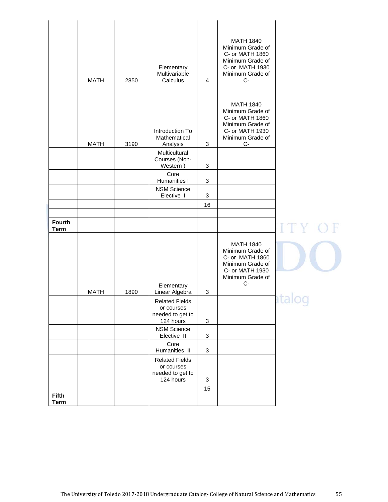|                             | <b>MATH</b> | 2850 | Elementary<br>Multivariable<br>Calculus                              | 4                         | <b>MATH 1840</b><br>Minimum Grade of<br>C- or MATH 1860<br>Minimum Grade of<br>C- or MATH 1930<br>Minimum Grade of<br>C-<br><b>MATH 1840</b><br>Minimum Grade of<br>C- or MATH 1860 |       |
|-----------------------------|-------------|------|----------------------------------------------------------------------|---------------------------|-------------------------------------------------------------------------------------------------------------------------------------------------------------------------------------|-------|
|                             | <b>MATH</b> | 3190 | Introduction To<br>Mathematical<br>Analysis                          | $\sqrt{3}$                | Minimum Grade of<br>C- or MATH 1930<br>Minimum Grade of<br>$C-$                                                                                                                     |       |
|                             |             |      | Multicultural<br>Courses (Non-<br>Western)                           | 3                         |                                                                                                                                                                                     |       |
|                             |             |      | Core<br><b>Humanities I</b>                                          | $\sqrt{3}$                |                                                                                                                                                                                     |       |
|                             |             |      | <b>NSM Science</b><br>Elective I                                     | $\ensuremath{\mathsf{3}}$ |                                                                                                                                                                                     |       |
|                             |             |      |                                                                      | 16                        |                                                                                                                                                                                     |       |
| <b>Fourth</b>               |             |      |                                                                      |                           |                                                                                                                                                                                     |       |
| <b>Term</b>                 |             |      |                                                                      |                           |                                                                                                                                                                                     | ITY O |
|                             |             |      | Elementary                                                           |                           | <b>MATH 1840</b><br>Minimum Grade of<br>C- or MATH 1860<br>Minimum Grade of<br>C- or MATH 1930<br>Minimum Grade of<br>C-                                                            |       |
|                             | <b>MATH</b> | 1890 | Linear Algebra                                                       | 3                         |                                                                                                                                                                                     |       |
|                             |             |      | <b>Related Fields</b><br>or courses<br>needed to get to<br>124 hours | $\sqrt{3}$                |                                                                                                                                                                                     | P     |
|                             |             |      | <b>NSM Science</b><br>Elective II                                    | $\sqrt{3}$                |                                                                                                                                                                                     |       |
|                             |             |      | Core<br>Humanities II                                                | $\sqrt{3}$                |                                                                                                                                                                                     |       |
|                             |             |      | <b>Related Fields</b><br>or courses<br>needed to get to<br>124 hours | $\sqrt{3}$                |                                                                                                                                                                                     |       |
|                             |             |      |                                                                      | 15                        |                                                                                                                                                                                     |       |
| <b>Fifth</b><br><b>Term</b> |             |      |                                                                      |                           |                                                                                                                                                                                     |       |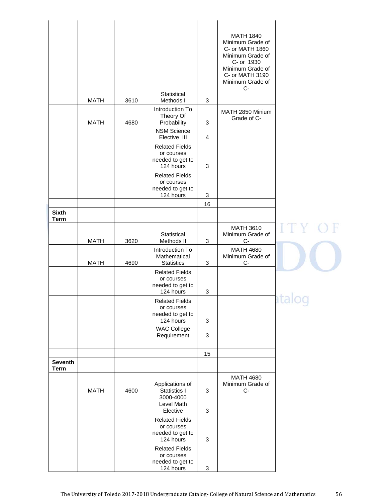|                               |             |      |                                                                                               |            | <b>MATH 1840</b><br>Minimum Grade of<br>C- or MATH 1860<br>Minimum Grade of<br>C- or 1930<br>Minimum Grade of<br>C- or MATH 3190<br>Minimum Grade of<br>$C-$ |                          |
|-------------------------------|-------------|------|-----------------------------------------------------------------------------------------------|------------|--------------------------------------------------------------------------------------------------------------------------------------------------------------|--------------------------|
|                               | <b>MATH</b> | 3610 | Statistical<br>Methods I                                                                      | $\sqrt{3}$ |                                                                                                                                                              |                          |
|                               | <b>MATH</b> | 4680 | Introduction To<br>Theory Of<br>Probability                                                   | 3          | MATH 2850 Minium<br>Grade of C-                                                                                                                              |                          |
|                               |             |      | <b>NSM Science</b><br>Elective III                                                            | 4          |                                                                                                                                                              |                          |
|                               |             |      | <b>Related Fields</b><br>or courses<br>needed to get to<br>124 hours<br><b>Related Fields</b> | 3          |                                                                                                                                                              |                          |
|                               |             |      | or courses<br>needed to get to<br>124 hours                                                   | 3          |                                                                                                                                                              |                          |
|                               |             |      |                                                                                               | 16         |                                                                                                                                                              |                          |
| <b>Sixth</b><br><b>Term</b>   |             |      |                                                                                               |            |                                                                                                                                                              |                          |
|                               | <b>MATH</b> | 3620 | Statistical<br>Methods II                                                                     | 3          | MATH 3610<br>Minimum Grade of<br>C-                                                                                                                          |                          |
|                               | <b>MATH</b> | 4690 | Introduction To<br>Mathematical<br><b>Statistics</b>                                          | 3          | <b>MATH 4680</b><br>Minimum Grade of<br>C-                                                                                                                   |                          |
|                               |             |      | <b>Related Fields</b><br>or courses<br>needed to get to<br>124 hours                          | 3          |                                                                                                                                                              |                          |
|                               |             |      | <b>Related Fields</b><br>or courses<br>needed to get to<br>124 hours                          | 3          |                                                                                                                                                              | $\overline{\phantom{a}}$ |
|                               |             |      | <b>WAC College</b><br>Requirement                                                             | 3          |                                                                                                                                                              |                          |
|                               |             |      |                                                                                               | 15         |                                                                                                                                                              |                          |
| <b>Seventh</b><br><b>Term</b> |             |      |                                                                                               |            |                                                                                                                                                              |                          |
|                               |             |      | Applications of                                                                               |            | <b>MATH 4680</b><br>Minimum Grade of                                                                                                                         |                          |
|                               | <b>MATH</b> | 4600 | Statistics I<br>3000-4000<br>Level Math                                                       | 3          | $C-$                                                                                                                                                         |                          |
|                               |             |      | Elective                                                                                      | 3          |                                                                                                                                                              |                          |
|                               |             |      | <b>Related Fields</b><br>or courses<br>needed to get to<br>124 hours                          | 3          |                                                                                                                                                              |                          |
|                               |             |      | <b>Related Fields</b><br>or courses<br>needed to get to<br>124 hours                          | 3          |                                                                                                                                                              |                          |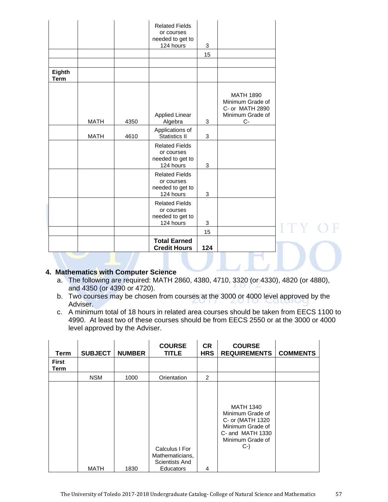|                       |             |      | <b>Related Fields</b><br>or courses<br>needed to get to              |     |                                                                                     |  |
|-----------------------|-------------|------|----------------------------------------------------------------------|-----|-------------------------------------------------------------------------------------|--|
|                       |             |      | 124 hours                                                            | 3   |                                                                                     |  |
|                       |             |      |                                                                      | 15  |                                                                                     |  |
| Eighth<br><b>Term</b> |             |      |                                                                      |     |                                                                                     |  |
|                       | <b>MATH</b> | 4350 | <b>Applied Linear</b><br>Algebra                                     | 3   | <b>MATH 1890</b><br>Minimum Grade of<br>C- or MATH 2890<br>Minimum Grade of<br>$C-$ |  |
|                       | <b>MATH</b> | 4610 | Applications of<br><b>Statistics II</b>                              | 3   |                                                                                     |  |
|                       |             |      | <b>Related Fields</b><br>or courses<br>needed to get to<br>124 hours | 3   |                                                                                     |  |
|                       |             |      | <b>Related Fields</b><br>or courses<br>needed to get to<br>124 hours | 3   |                                                                                     |  |
|                       |             |      | <b>Related Fields</b><br>or courses<br>needed to get to<br>124 hours | 3   |                                                                                     |  |
|                       |             |      |                                                                      | 15  |                                                                                     |  |
|                       |             |      | <b>Total Earned</b><br><b>Credit Hours</b>                           | 124 |                                                                                     |  |

# **4. Mathematics with Computer Science**

- a. The following are required: MATH 2860, 4380, 4710, 3320 (or 4330), 4820 (or 4880), and 4350 (or 4390 or 4720).
- b. Two courses may be chosen from courses at the 3000 or 4000 level approved by the Adviser.
- c. A minimum total of 18 hours in related area courses should be taken from EECS 1100 to 4990. At least two of these courses should be from EECS 2550 or at the 3000 or 4000 level approved by the Adviser.

| Term                 | <b>SUBJECT</b> | <b>NUMBER</b> | <b>COURSE</b><br><b>TITLE</b>                                                  | CR<br><b>HRS</b> | <b>COURSE</b><br><b>REQUIREMENTS</b>                                                                                         | <b>COMMENTS</b> |
|----------------------|----------------|---------------|--------------------------------------------------------------------------------|------------------|------------------------------------------------------------------------------------------------------------------------------|-----------------|
| <b>First</b><br>Term |                |               |                                                                                |                  |                                                                                                                              |                 |
|                      | <b>NSM</b>     | 1000          | Orientation                                                                    | 2                |                                                                                                                              |                 |
|                      | <b>MATH</b>    | 1830          | Calculus I For<br>Mathematicians,<br><b>Scientists And</b><br><b>Educators</b> | 4                | <b>MATH 1340</b><br>Minimum Grade of<br>C- or (MATH 1320<br>Minimum Grade of<br>C- and MATH 1330<br>Minimum Grade of<br>$C-$ |                 |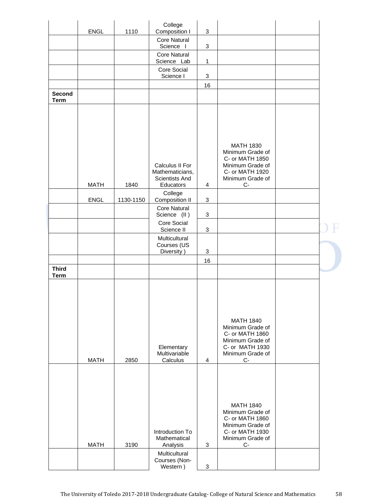|                              | ENGL        | 1110      | College<br>Composition I                                          | 3              |                                                                                                                             |  |
|------------------------------|-------------|-----------|-------------------------------------------------------------------|----------------|-----------------------------------------------------------------------------------------------------------------------------|--|
|                              |             |           | <b>Core Natural</b>                                               |                |                                                                                                                             |  |
|                              |             |           | Science I<br><b>Core Natural</b>                                  | 3              |                                                                                                                             |  |
|                              |             |           | Science Lab                                                       | $\mathbf{1}$   |                                                                                                                             |  |
|                              |             |           | Core Social<br>Science I                                          | 3              |                                                                                                                             |  |
|                              |             |           |                                                                   | 16             |                                                                                                                             |  |
| <b>Second</b><br><b>Term</b> |             |           |                                                                   |                |                                                                                                                             |  |
|                              | <b>MATH</b> | 1840      | Calculus II For<br>Mathematicians,<br>Scientists And<br>Educators | 4              | <b>MATH 1830</b><br>Minimum Grade of<br>C- or MATH 1850<br>Minimum Grade of<br>C- or MATH 1920<br>Minimum Grade of<br>$C -$ |  |
|                              |             |           | College                                                           |                |                                                                                                                             |  |
|                              | ENGL        | 1130-1150 | Composition II<br><b>Core Natural</b>                             | 3              |                                                                                                                             |  |
|                              |             |           | Science (II)                                                      | 3              |                                                                                                                             |  |
|                              |             |           | Core Social<br>Science II                                         | 3              |                                                                                                                             |  |
|                              |             |           | Multicultural                                                     |                |                                                                                                                             |  |
|                              |             |           | Courses (US<br>Diversity)                                         | 3              |                                                                                                                             |  |
|                              |             |           |                                                                   | 16             |                                                                                                                             |  |
| <b>Third</b><br><b>Term</b>  |             |           |                                                                   |                |                                                                                                                             |  |
|                              | <b>MATH</b> | 2850      | Elementary<br>Multivariable<br>Calculus                           | $\overline{4}$ | <b>MATH 1840</b><br>Minimum Grade of<br>C- or MATH 1860<br>Minimum Grade of<br>C- or MATH 1930<br>Minimum Grade of<br>$C-$  |  |
|                              | <b>MATH</b> | 3190      | Introduction To<br>Mathematical<br>Analysis                       | 3              | <b>MATH 1840</b><br>Minimum Grade of<br>C- or MATH 1860<br>Minimum Grade of<br>C- or MATH 1930<br>Minimum Grade of<br>$C-$  |  |
|                              |             |           | Multicultural<br>Courses (Non-<br>Western)                        | 3              |                                                                                                                             |  |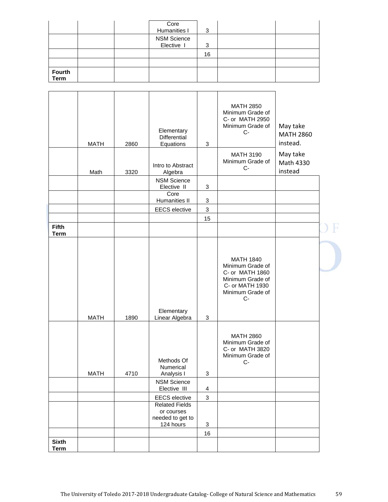|                       |  | Core<br>Humanities I             | 3  |  |
|-----------------------|--|----------------------------------|----|--|
|                       |  | <b>NSM Science</b><br>Elective I | 3  |  |
|                       |  |                                  | 16 |  |
|                       |  |                                  |    |  |
| Fourth<br><b>Term</b> |  |                                  |    |  |

|                             | <b>MATH</b> | 2860 | Elementary<br>Differential<br>Equations                              | $\mathbf{3}$            | <b>MATH 2850</b><br>Minimum Grade of<br>C- or MATH 2950<br>Minimum Grade of<br>$C-$                                        | May take<br><b>MATH 2860</b><br>instead. |  |
|-----------------------------|-------------|------|----------------------------------------------------------------------|-------------------------|----------------------------------------------------------------------------------------------------------------------------|------------------------------------------|--|
|                             | Math        | 3320 | Intro to Abstract<br>Algebra                                         |                         | <b>MATH 3190</b><br>Minimum Grade of<br>$C-$                                                                               | May take<br>Math 4330<br>instead         |  |
|                             |             |      | <b>NSM Science</b>                                                   |                         |                                                                                                                            |                                          |  |
|                             |             |      | Elective II<br>Core                                                  | $\mathbf{3}$            |                                                                                                                            |                                          |  |
|                             |             |      | Humanities II                                                        | 3                       |                                                                                                                            |                                          |  |
|                             |             |      | <b>EECS</b> elective                                                 | $\mathfrak{Z}$          |                                                                                                                            |                                          |  |
|                             |             |      |                                                                      | 15                      |                                                                                                                            |                                          |  |
| <b>Fifth</b><br><b>Term</b> |             |      |                                                                      |                         |                                                                                                                            |                                          |  |
|                             | <b>MATH</b> | 1890 | Elementary<br>Linear Algebra                                         | $\mathbf{3}$            | <b>MATH 1840</b><br>Minimum Grade of<br>C- or MATH 1860<br>Minimum Grade of<br>C- or MATH 1930<br>Minimum Grade of<br>$C-$ |                                          |  |
|                             | <b>MATH</b> | 4710 | Methods Of<br>Numerical<br>Analysis I                                | 3                       | <b>MATH 2860</b><br>Minimum Grade of<br>C- or MATH 3820<br>Minimum Grade of<br>$C-$                                        |                                          |  |
|                             |             |      | <b>NSM Science</b><br>Elective III                                   | $\overline{\mathbf{4}}$ |                                                                                                                            |                                          |  |
|                             |             |      | <b>EECS</b> elective                                                 | 3                       |                                                                                                                            |                                          |  |
|                             |             |      | <b>Related Fields</b><br>or courses<br>needed to get to<br>124 hours | 3                       |                                                                                                                            |                                          |  |
|                             |             |      |                                                                      | 16                      |                                                                                                                            |                                          |  |
| <b>Sixth</b><br><b>Term</b> |             |      |                                                                      |                         |                                                                                                                            |                                          |  |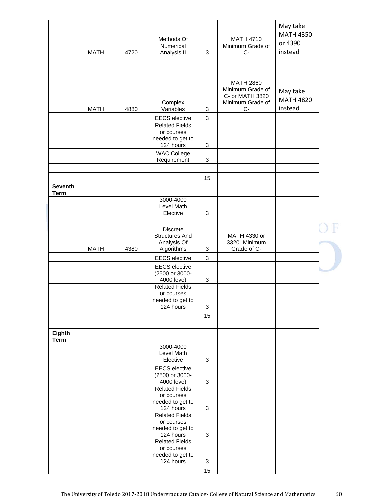|                               | <b>MATH</b> | 4720 | Methods Of<br>Numerical<br>Analysis II                                                                                       | 3      | <b>MATH 4710</b><br>Minimum Grade of<br>C-                                        | May take<br><b>MATH 4350</b><br>or 4390<br>instead |  |
|-------------------------------|-------------|------|------------------------------------------------------------------------------------------------------------------------------|--------|-----------------------------------------------------------------------------------|----------------------------------------------------|--|
|                               | <b>MATH</b> | 4880 | Complex<br>Variables                                                                                                         | 3      | <b>MATH 2860</b><br>Minimum Grade of<br>C- or MATH 3820<br>Minimum Grade of<br>C- | May take<br><b>MATH 4820</b><br>instead            |  |
|                               |             |      | <b>EECS</b> elective                                                                                                         | 3      |                                                                                   |                                                    |  |
|                               |             |      | <b>Related Fields</b><br>or courses<br>needed to get to                                                                      |        |                                                                                   |                                                    |  |
|                               |             |      | 124 hours                                                                                                                    | 3      |                                                                                   |                                                    |  |
|                               |             |      | <b>WAC College</b><br>Requirement                                                                                            | 3      |                                                                                   |                                                    |  |
|                               |             |      |                                                                                                                              |        |                                                                                   |                                                    |  |
|                               |             |      |                                                                                                                              | 15     |                                                                                   |                                                    |  |
| <b>Seventh</b><br><b>Term</b> |             |      |                                                                                                                              |        |                                                                                   |                                                    |  |
|                               |             |      | 3000-4000<br>Level Math                                                                                                      |        |                                                                                   |                                                    |  |
|                               |             |      | Elective                                                                                                                     | 3      |                                                                                   |                                                    |  |
|                               | <b>MATH</b> | 4380 | <b>Discrete</b><br><b>Structures And</b><br>Analysis Of<br>Algorithms                                                        | 3      | MATH 4330 or<br>3320 Minimum<br>Grade of C-                                       |                                                    |  |
|                               |             |      | <b>EECS</b> elective                                                                                                         | 3      |                                                                                   |                                                    |  |
|                               |             |      | <b>EECS</b> elective<br>(2500 or 3000-<br>4000 leve)<br><b>Related Fields</b><br>or courses<br>needed to get to<br>124 hours | 3<br>3 |                                                                                   |                                                    |  |
|                               |             |      |                                                                                                                              | 15     |                                                                                   |                                                    |  |
|                               |             |      |                                                                                                                              |        |                                                                                   |                                                    |  |
| Eighth<br><b>Term</b>         |             |      |                                                                                                                              |        |                                                                                   |                                                    |  |
|                               |             |      | 3000-4000<br>Level Math<br>Elective                                                                                          | 3      |                                                                                   |                                                    |  |
|                               |             |      | <b>EECS</b> elective<br>(2500 or 3000-<br>4000 leve)                                                                         | 3      |                                                                                   |                                                    |  |
|                               |             |      | <b>Related Fields</b><br>or courses<br>needed to get to<br>124 hours                                                         | 3      |                                                                                   |                                                    |  |
|                               |             |      | <b>Related Fields</b><br>or courses<br>needed to get to<br>124 hours                                                         | 3      |                                                                                   |                                                    |  |
|                               |             |      | <b>Related Fields</b><br>or courses<br>needed to get to<br>124 hours                                                         | 3      |                                                                                   |                                                    |  |
|                               |             |      |                                                                                                                              |        |                                                                                   |                                                    |  |
|                               |             |      |                                                                                                                              | 15     |                                                                                   |                                                    |  |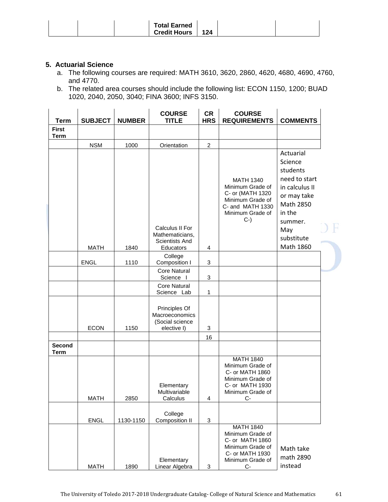| <b>Total Earned</b><br><b>Credit Hours</b><br>124 |  |
|---------------------------------------------------|--|
|---------------------------------------------------|--|

# **5. Actuarial Science**

- a. The following courses are required: MATH 3610, 3620, 2860, 4620, 4680, 4690, 4760, and 4770.
- b. The related area courses should include the following list: ECON 1150, 1200; BUAD 1020, 2040, 2050, 3040; FINA 3600; INFS 3150.

| <b>Term</b>                  | <b>SUBJECT</b> | <b>NUMBER</b> | <b>COURSE</b><br><b>TITLE</b>                                     | <b>CR</b><br><b>HRS</b>   | <b>COURSE</b><br><b>REQUIREMENTS</b>                                                                                         | <b>COMMENTS</b>                                                                                                      |  |
|------------------------------|----------------|---------------|-------------------------------------------------------------------|---------------------------|------------------------------------------------------------------------------------------------------------------------------|----------------------------------------------------------------------------------------------------------------------|--|
| <b>First</b><br><b>Term</b>  |                |               |                                                                   |                           |                                                                                                                              |                                                                                                                      |  |
|                              | <b>NSM</b>     | 1000          | Orientation                                                       | $\boldsymbol{2}$          |                                                                                                                              |                                                                                                                      |  |
|                              |                |               |                                                                   |                           | <b>MATH 1340</b><br>Minimum Grade of<br>C- or (MATH 1320<br>Minimum Grade of<br>C- and MATH 1330<br>Minimum Grade of<br>$C-$ | Actuarial<br>Science<br>students<br>need to start<br>in calculus II<br>or may take<br>Math 2850<br>in the<br>summer. |  |
|                              |                |               | Calculus II For<br>Mathematicians,<br><b>Scientists And</b>       |                           |                                                                                                                              | May<br>substitute                                                                                                    |  |
|                              | <b>MATH</b>    | 1840          | Educators                                                         | 4                         |                                                                                                                              | Math 1860                                                                                                            |  |
|                              | <b>ENGL</b>    | 1110          | College<br>Composition I                                          | $\mathbf{3}$              |                                                                                                                              |                                                                                                                      |  |
|                              |                |               | <b>Core Natural</b><br>Science I                                  | 3                         |                                                                                                                              |                                                                                                                      |  |
|                              |                |               | <b>Core Natural</b><br>Science Lab                                | 1                         |                                                                                                                              |                                                                                                                      |  |
|                              | <b>ECON</b>    | 1150          | Principles Of<br>Macroeconomics<br>(Social science<br>elective I) | 3                         |                                                                                                                              |                                                                                                                      |  |
|                              |                |               |                                                                   | 16                        |                                                                                                                              |                                                                                                                      |  |
| <b>Second</b><br><b>Term</b> |                |               |                                                                   |                           |                                                                                                                              |                                                                                                                      |  |
|                              | <b>MATH</b>    | 2850          | Elementary<br>Multivariable<br>Calculus                           | 4                         | <b>MATH 1840</b><br>Minimum Grade of<br>C- or MATH 1860<br>Minimum Grade of<br>C- or MATH 1930<br>Minimum Grade of<br>$C -$  |                                                                                                                      |  |
|                              |                |               | College                                                           |                           |                                                                                                                              |                                                                                                                      |  |
|                              | ENGL           | 1130-1150     | <b>Composition II</b>                                             | $\sqrt{3}$                |                                                                                                                              |                                                                                                                      |  |
|                              | <b>MATH</b>    | 1890          | Elementary<br>Linear Algebra                                      | $\ensuremath{\mathsf{3}}$ | <b>MATH 1840</b><br>Minimum Grade of<br>C- or MATH 1860<br>Minimum Grade of<br>C- or MATH 1930<br>Minimum Grade of<br>$C -$  | Math take<br>math 2890<br>instead                                                                                    |  |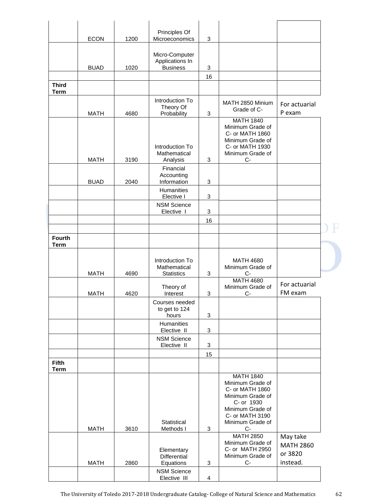|                              | <b>ECON</b> | 1200 | Principles Of<br>Microeconomics                      | $\mathbf 3$             |                                                                                                                                                               |                                                     |
|------------------------------|-------------|------|------------------------------------------------------|-------------------------|---------------------------------------------------------------------------------------------------------------------------------------------------------------|-----------------------------------------------------|
|                              | <b>BUAD</b> | 1020 | Micro-Computer<br>Applications In<br><b>Business</b> | 3                       |                                                                                                                                                               |                                                     |
|                              |             |      |                                                      | 16                      |                                                                                                                                                               |                                                     |
| <b>Third</b><br><b>Term</b>  |             |      |                                                      |                         |                                                                                                                                                               |                                                     |
|                              | <b>MATH</b> | 4680 | Introduction To<br>Theory Of<br>Probability          | 3                       | MATH 2850 Minium<br>Grade of C-                                                                                                                               | For actuarial<br>P exam                             |
|                              |             |      | Introduction To<br>Mathematical                      |                         | <b>MATH 1840</b><br>Minimum Grade of<br>C- or MATH 1860<br>Minimum Grade of<br>C- or MATH 1930<br>Minimum Grade of                                            |                                                     |
|                              | <b>MATH</b> | 3190 | Analysis                                             | 3                       | C-                                                                                                                                                            |                                                     |
|                              | <b>BUAD</b> | 2040 | Financial<br>Accounting<br>Information               | 3                       |                                                                                                                                                               |                                                     |
|                              |             |      | Humanities<br>Elective I                             | 3                       |                                                                                                                                                               |                                                     |
|                              |             |      | <b>NSM Science</b><br>Elective I                     | 3                       |                                                                                                                                                               |                                                     |
|                              |             |      |                                                      | 16                      |                                                                                                                                                               |                                                     |
|                              |             |      |                                                      |                         |                                                                                                                                                               |                                                     |
| <b>Fourth</b><br><b>Term</b> |             |      |                                                      |                         |                                                                                                                                                               |                                                     |
|                              | <b>MATH</b> | 4690 | Introduction To<br>Mathematical<br><b>Statistics</b> | 3                       | <b>MATH 4680</b><br>Minimum Grade of<br>$C-$                                                                                                                  |                                                     |
|                              | <b>MATH</b> | 4620 | Theory of<br>Interest                                | 3                       | <b>MATH 4680</b><br>Minimum Grade of<br>C-                                                                                                                    | For actuarial<br>FM exam                            |
|                              |             |      | Courses needed<br>to get to 124<br>hours             | 3                       |                                                                                                                                                               |                                                     |
|                              |             |      | Humanities                                           |                         |                                                                                                                                                               |                                                     |
|                              |             |      | Elective II<br><b>NSM Science</b>                    | 3                       |                                                                                                                                                               |                                                     |
|                              |             |      | Elective II                                          | 3                       |                                                                                                                                                               |                                                     |
| <b>Fifth</b>                 |             |      |                                                      | 15                      |                                                                                                                                                               |                                                     |
| <b>Term</b>                  |             |      |                                                      |                         |                                                                                                                                                               |                                                     |
|                              | <b>MATH</b> | 3610 | Statistical<br>Methods I                             | 3                       | <b>MATH 1840</b><br>Minimum Grade of<br>C- or MATH 1860<br>Minimum Grade of<br>C- or 1930<br>Minimum Grade of<br>C- or MATH 3190<br>Minimum Grade of<br>$C -$ |                                                     |
|                              | <b>MATH</b> | 2860 | Elementary<br>Differential<br>Equations              | 3                       | <b>MATH 2850</b><br>Minimum Grade of<br>C- or MATH 2950<br>Minimum Grade of<br>$C -$                                                                          | May take<br><b>MATH 2860</b><br>or 3820<br>instead. |
|                              |             |      | <b>NSM Science</b><br>Elective III                   | $\overline{\mathbf{4}}$ |                                                                                                                                                               |                                                     |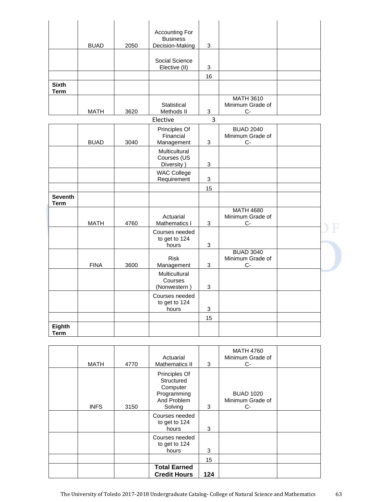|                             |             |      | Accounting For                    |                           |                                      |  |
|-----------------------------|-------------|------|-----------------------------------|---------------------------|--------------------------------------|--|
|                             |             |      | <b>Business</b>                   |                           |                                      |  |
|                             | <b>BUAD</b> | 2050 | Decision-Making                   | $\mathbf{3}$              |                                      |  |
|                             |             |      |                                   |                           |                                      |  |
|                             |             |      | Social Science                    |                           |                                      |  |
|                             |             |      | Elective (II)                     | 3                         |                                      |  |
|                             |             |      |                                   | 16                        |                                      |  |
| <b>Sixth</b><br><b>Term</b> |             |      |                                   |                           |                                      |  |
|                             |             |      |                                   |                           | <b>MATH 3610</b>                     |  |
|                             |             |      | Statistical                       |                           | Minimum Grade of                     |  |
|                             | <b>MATH</b> | 3620 | Methods II                        | $\mathbf{3}$              | C-                                   |  |
|                             |             |      | Elective                          | $\overline{3}$            |                                      |  |
|                             |             |      | Principles Of<br>Financial        |                           | <b>BUAD 2040</b><br>Minimum Grade of |  |
|                             | <b>BUAD</b> | 3040 | Management                        | $\mathbf{3}$              | С-                                   |  |
|                             |             |      | Multicultural                     |                           |                                      |  |
|                             |             |      | Courses (US                       |                           |                                      |  |
|                             |             |      | Diversity)                        | $\ensuremath{\mathsf{3}}$ |                                      |  |
|                             |             |      | <b>WAC College</b><br>Requirement | $\ensuremath{\mathsf{3}}$ |                                      |  |
|                             |             |      |                                   | 15                        |                                      |  |
| <b>Seventh</b>              |             |      |                                   |                           |                                      |  |
| <b>Term</b>                 |             |      |                                   |                           |                                      |  |
|                             |             |      |                                   |                           | <b>MATH 4680</b>                     |  |
|                             |             |      | Actuarial                         |                           | Minimum Grade of                     |  |
|                             | <b>MATH</b> | 4760 | Mathematics I                     | $\mathbf{3}$              | $C-$                                 |  |
|                             |             |      | Courses needed<br>to get to 124   |                           |                                      |  |
|                             |             |      | hours                             | 3                         |                                      |  |
|                             |             |      |                                   |                           | <b>BUAD 3040</b>                     |  |
|                             | <b>FINA</b> | 3600 | <b>Risk</b><br>Management         | $\sqrt{3}$                | Minimum Grade of<br>С-               |  |
|                             |             |      | Multicultural                     |                           |                                      |  |
|                             |             |      | Courses                           |                           |                                      |  |
|                             |             |      | (Nonwestern)                      | $\ensuremath{\mathsf{3}}$ |                                      |  |
|                             |             |      | Courses needed                    |                           |                                      |  |
|                             |             |      | to get to 124<br>hours            | $\sqrt{3}$                |                                      |  |
|                             |             |      |                                   | 15                        |                                      |  |
| Eighth                      |             |      |                                   |                           |                                      |  |
| <b>Term</b>                 |             |      |                                   |                           |                                      |  |

| <b>MATH</b> | 4770 | Actuarial<br>Mathematics II                                                      | 3   | <b>MATH 4760</b><br>Minimum Grade of<br>$C-$ |  |
|-------------|------|----------------------------------------------------------------------------------|-----|----------------------------------------------|--|
| <b>INFS</b> | 3150 | Principles Of<br>Structured<br>Computer<br>Programming<br>And Problem<br>Solving | 3   | <b>BUAD 1020</b><br>Minimum Grade of<br>$C-$ |  |
|             |      | Courses needed<br>to get to 124<br>hours                                         | 3   |                                              |  |
|             |      | Courses needed<br>to get to 124<br>hours                                         | 3   |                                              |  |
|             |      |                                                                                  | 15  |                                              |  |
|             |      | <b>Total Earned</b><br><b>Credit Hours</b>                                       | 124 |                                              |  |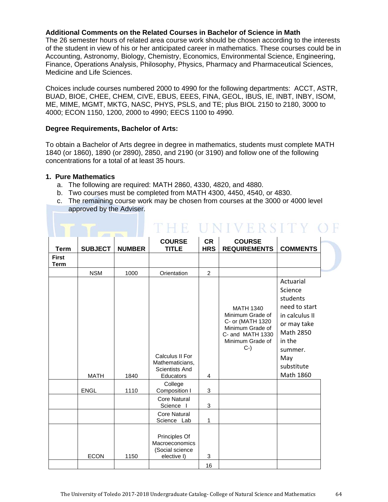# **Additional Comments on the Related Courses in Bachelor of Science in Math**

The 26 semester hours of related area course work should be chosen according to the interests of the student in view of his or her anticipated career in mathematics. These courses could be in Accounting, Astronomy, Biology, Chemistry, Economics, Environmental Science, Engineering, Finance, Operations Analysis, Philosophy, Physics, Pharmacy and Pharmaceutical Sciences, Medicine and Life Sciences.

Choices include courses numbered 2000 to 4990 for the following departments: ACCT, ASTR, BUAD, BIOE, CHEE, CHEM, CIVE, EBUS, EEES, FINA, GEOL, IBUS, IE, INBT, INBY, ISOM, ME, MIME, MGMT, MKTG, NASC, PHYS, PSLS, and TE; plus BIOL 2150 to 2180, 3000 to 4000; ECON 1150, 1200, 2000 to 4990; EECS 1100 to 4990.

#### **Degree Requirements, Bachelor of Arts:**

To obtain a Bachelor of Arts degree in degree in mathematics, students must complete MATH 1840 (or 1860), 1890 (or 2890), 2850, and 2190 (or 3190) and follow one of the following concentrations for a total of at least 35 hours.

#### **1. Pure Mathematics**

- a. The following are required: MATH 2860, 4330, 4820, and 4880.
- b. Two courses must be completed from MATH 4300, 4450, 4540, or 4830.
- c. The remaining course work may be chosen from courses at the 3000 or 4000 level approved by the Adviser.

THE UNIVERSITY OF

| <b>Term</b>                 | <b>SUBJECT</b> | <b>NUMBER</b> | <b>COURSE</b><br><b>TITLE</b>                                     | <b>CR</b><br><b>HRS</b> | <b>COURSE</b><br><b>REQUIREMENTS</b>                                                                                         | <b>COMMENTS</b>                                                                                                                                        |
|-----------------------------|----------------|---------------|-------------------------------------------------------------------|-------------------------|------------------------------------------------------------------------------------------------------------------------------|--------------------------------------------------------------------------------------------------------------------------------------------------------|
| <b>First</b><br><b>Term</b> |                |               |                                                                   |                         |                                                                                                                              |                                                                                                                                                        |
|                             | <b>NSM</b>     | 1000          | Orientation                                                       | $\overline{2}$          |                                                                                                                              |                                                                                                                                                        |
|                             | <b>MATH</b>    | 1840          | Calculus II For<br>Mathematicians,<br>Scientists And<br>Educators | 4                       | <b>MATH 1340</b><br>Minimum Grade of<br>C- or (MATH 1320<br>Minimum Grade of<br>C- and MATH 1330<br>Minimum Grade of<br>$C-$ | Actuarial<br>Science<br>students<br>need to start<br>in calculus II<br>or may take<br>Math 2850<br>in the<br>summer.<br>May<br>substitute<br>Math 1860 |
|                             | <b>ENGL</b>    | 1110          | College<br>Composition I                                          | 3                       |                                                                                                                              |                                                                                                                                                        |
|                             |                |               | <b>Core Natural</b><br>Science I                                  | 3                       |                                                                                                                              |                                                                                                                                                        |
|                             |                |               | <b>Core Natural</b><br>Science Lab                                | 1                       |                                                                                                                              |                                                                                                                                                        |
|                             | <b>ECON</b>    | 1150          | Principles Of<br>Macroeconomics<br>(Social science<br>elective I) | 3                       |                                                                                                                              |                                                                                                                                                        |
|                             |                |               |                                                                   | 16                      |                                                                                                                              |                                                                                                                                                        |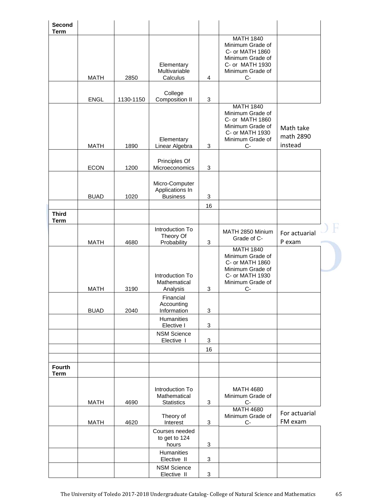| Second<br><b>Term</b>        |             |           |                                                      |              |                                                                                                                          |                                   |  |
|------------------------------|-------------|-----------|------------------------------------------------------|--------------|--------------------------------------------------------------------------------------------------------------------------|-----------------------------------|--|
|                              | <b>MATH</b> | 2850      | Elementary<br>Multivariable<br>Calculus              | 4            | <b>MATH 1840</b><br>Minimum Grade of<br>C- or MATH 1860<br>Minimum Grade of<br>C- or MATH 1930<br>Minimum Grade of<br>C- |                                   |  |
|                              |             |           | College                                              |              |                                                                                                                          |                                   |  |
|                              | <b>ENGL</b> | 1130-1150 | Composition II                                       | 3            | <b>MATH 1840</b>                                                                                                         |                                   |  |
|                              | <b>MATH</b> | 1890      | Elementary<br>Linear Algebra                         | 3            | Minimum Grade of<br>C- or MATH 1860<br>Minimum Grade of<br>C- or MATH 1930<br>Minimum Grade of<br>C-                     | Math take<br>math 2890<br>instead |  |
|                              | <b>ECON</b> | 1200      | Principles Of<br>Microeconomics                      | 3            |                                                                                                                          |                                   |  |
|                              | <b>BUAD</b> | 1020      | Micro-Computer<br>Applications In<br><b>Business</b> | 3            |                                                                                                                          |                                   |  |
|                              |             |           |                                                      | 16           |                                                                                                                          |                                   |  |
| <b>Third</b><br><b>Term</b>  |             |           |                                                      |              |                                                                                                                          |                                   |  |
|                              | <b>MATH</b> | 4680      | Introduction To<br>Theory Of<br>Probability          | 3            | MATH 2850 Minium<br>Grade of C-                                                                                          | For actuarial<br>P exam           |  |
|                              | <b>MATH</b> | 3190      | Introduction To<br>Mathematical<br>Analysis          | 3            | <b>MATH 1840</b><br>Minimum Grade of<br>C- or MATH 1860<br>Minimum Grade of<br>C- or MATH 1930<br>Minimum Grade of<br>С- |                                   |  |
|                              |             |           | Financial                                            |              |                                                                                                                          |                                   |  |
|                              | <b>BUAD</b> | 2040      | Accounting<br>Information                            | 3            |                                                                                                                          |                                   |  |
|                              |             |           | <b>Humanities</b><br>Elective I                      | 3            |                                                                                                                          |                                   |  |
|                              |             |           | <b>NSM Science</b><br>Elective I                     | 3            |                                                                                                                          |                                   |  |
|                              |             |           |                                                      | 16           |                                                                                                                          |                                   |  |
| <b>Fourth</b><br><b>Term</b> |             |           |                                                      |              |                                                                                                                          |                                   |  |
|                              | <b>MATH</b> | 4690      | Introduction To<br>Mathematical<br><b>Statistics</b> | 3            | <b>MATH 4680</b><br>Minimum Grade of<br>$C-$                                                                             |                                   |  |
|                              | <b>MATH</b> | 4620      | Theory of<br>Interest                                | $\mathbf{3}$ | <b>MATH 4680</b><br>Minimum Grade of<br>$C-$                                                                             | For actuarial<br>FM exam          |  |
|                              |             |           | Courses needed<br>to get to 124<br>hours             | 3            |                                                                                                                          |                                   |  |
|                              |             |           | Humanities<br>Elective II                            | 3            |                                                                                                                          |                                   |  |
|                              |             |           | <b>NSM Science</b><br>Elective II                    | 3            |                                                                                                                          |                                   |  |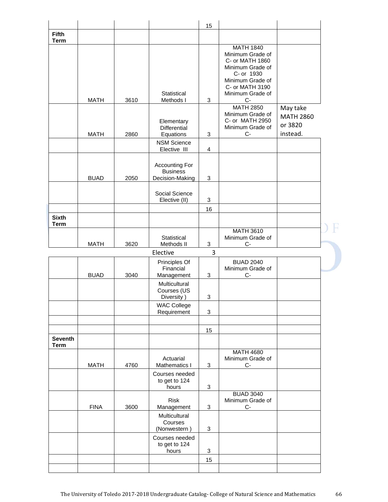|                               |             |      |                                   | 15 |                                      |                  |  |
|-------------------------------|-------------|------|-----------------------------------|----|--------------------------------------|------------------|--|
| <b>Fifth</b>                  |             |      |                                   |    |                                      |                  |  |
| <b>Term</b>                   |             |      |                                   |    | <b>MATH 1840</b>                     |                  |  |
|                               |             |      |                                   |    | Minimum Grade of                     |                  |  |
|                               |             |      |                                   |    | C- or MATH 1860<br>Minimum Grade of  |                  |  |
|                               |             |      |                                   |    | C- or 1930                           |                  |  |
|                               |             |      |                                   |    | Minimum Grade of                     |                  |  |
|                               |             |      | Statistical                       |    | C- or MATH 3190<br>Minimum Grade of  |                  |  |
|                               | <b>MATH</b> | 3610 | Methods I                         | 3  | $C-$                                 |                  |  |
|                               |             |      |                                   |    | <b>MATH 2850</b>                     | May take         |  |
|                               |             |      | Elementary                        |    | Minimum Grade of<br>C- or MATH 2950  | <b>MATH 2860</b> |  |
|                               |             |      | Differential                      |    | Minimum Grade of                     | or 3820          |  |
|                               | <b>MATH</b> | 2860 | Equations                         | 3  | $C-$                                 | instead.         |  |
|                               |             |      | <b>NSM Science</b>                |    |                                      |                  |  |
|                               |             |      | Elective III                      | 4  |                                      |                  |  |
|                               |             |      | <b>Accounting For</b>             |    |                                      |                  |  |
|                               |             |      | <b>Business</b>                   |    |                                      |                  |  |
|                               | <b>BUAD</b> | 2050 | Decision-Making                   | 3  |                                      |                  |  |
|                               |             |      | Social Science                    |    |                                      |                  |  |
|                               |             |      | Elective (II)                     | 3  |                                      |                  |  |
|                               |             |      |                                   | 16 |                                      |                  |  |
| <b>Sixth</b>                  |             |      |                                   |    |                                      |                  |  |
| <b>Term</b>                   |             |      |                                   |    | <b>MATH 3610</b>                     |                  |  |
|                               |             |      | Statistical                       |    | Minimum Grade of                     |                  |  |
|                               | <b>MATH</b> | 3620 | Methods II                        | 3  | $C-$                                 |                  |  |
|                               |             |      | Elective                          | 3  |                                      |                  |  |
|                               |             |      | Principles Of<br>Financial        |    | <b>BUAD 2040</b><br>Minimum Grade of |                  |  |
|                               | <b>BUAD</b> | 3040 | Management                        | 3  | $C -$                                |                  |  |
|                               |             |      |                                   |    |                                      |                  |  |
|                               |             |      | Multicultural                     |    |                                      |                  |  |
|                               |             |      | Courses (US                       |    |                                      |                  |  |
|                               |             |      | Diversity)                        | 3  |                                      |                  |  |
|                               |             |      | <b>WAC College</b><br>Requirement | 3  |                                      |                  |  |
|                               |             |      |                                   |    |                                      |                  |  |
|                               |             |      |                                   | 15 |                                      |                  |  |
| <b>Seventh</b><br><b>Term</b> |             |      |                                   |    |                                      |                  |  |
|                               |             |      |                                   |    | <b>MATH 4680</b>                     |                  |  |
|                               |             |      | Actuarial                         |    | Minimum Grade of                     |                  |  |
|                               | <b>MATH</b> | 4760 | Mathematics I<br>Courses needed   | 3  | C-                                   |                  |  |
|                               |             |      | to get to 124                     |    |                                      |                  |  |
|                               |             |      | hours                             | 3  |                                      |                  |  |
|                               |             |      | <b>Risk</b>                       |    | <b>BUAD 3040</b><br>Minimum Grade of |                  |  |
|                               | <b>FINA</b> | 3600 | Management                        | 3  | $C-$                                 |                  |  |
|                               |             |      | Multicultural                     |    |                                      |                  |  |
|                               |             |      | Courses<br>(Nonwestern)           | 3  |                                      |                  |  |
|                               |             |      | Courses needed                    |    |                                      |                  |  |
|                               |             |      | to get to 124                     |    |                                      |                  |  |
|                               |             |      | hours                             | 3  |                                      |                  |  |
|                               |             |      |                                   | 15 |                                      |                  |  |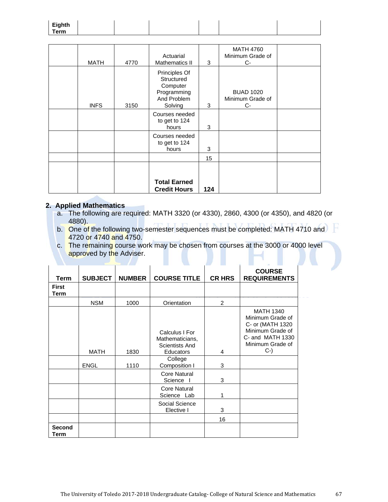| $E_{i}$ akth<br>⊏ıyntn<br>Гerm<br>. |
|-------------------------------------|
|-------------------------------------|

| <b>MATH</b> | 4770 | Actuarial<br><b>Mathematics II</b>                                               | 3   | <b>MATH 4760</b><br>Minimum Grade of<br>$C-$ |  |
|-------------|------|----------------------------------------------------------------------------------|-----|----------------------------------------------|--|
| <b>INFS</b> | 3150 | Principles Of<br>Structured<br>Computer<br>Programming<br>And Problem<br>Solving | 3   | <b>BUAD 1020</b><br>Minimum Grade of<br>$C-$ |  |
|             |      | Courses needed<br>to get to 124<br>hours                                         | 3   |                                              |  |
|             |      | Courses needed<br>to get to 124<br>hours                                         | 3   |                                              |  |
|             |      |                                                                                  | 15  |                                              |  |
|             |      | <b>Total Earned</b><br><b>Credit Hours</b>                                       | 124 |                                              |  |

#### **2. Applied Mathematics**

- a. The following are required: MATH 3320 (or 4330), 2860, 4300 (or 4350), and 4820 (or 4880).
- b. One of the following two-semester sequences must be completed: MATH 4710 and 4720 or 4740 and 4750.
- c. The remaining course work may be chosen from courses at the 3000 or 4000 level approved by the Adviser.

| <b>Term</b>           | <b>SUBJECT</b> | <b>NUMBER</b> | <b>COURSE TITLE</b>                                                                | <b>CR HRS</b> | <b>COURSE</b><br><b>REQUIREMENTS</b>                                                                                         |
|-----------------------|----------------|---------------|------------------------------------------------------------------------------------|---------------|------------------------------------------------------------------------------------------------------------------------------|
| <b>First</b><br>Term  |                |               |                                                                                    |               |                                                                                                                              |
|                       | <b>NSM</b>     | 1000          | Orientation                                                                        | 2             |                                                                                                                              |
|                       | <b>MATH</b>    | 1830          | Calculus I For<br>Mathematicians,<br>Scientists And<br><b>Educators</b><br>College | 4             | <b>MATH 1340</b><br>Minimum Grade of<br>C- or (MATH 1320<br>Minimum Grade of<br>C- and MATH 1330<br>Minimum Grade of<br>$C-$ |
|                       | <b>ENGL</b>    | 1110          | Composition I                                                                      | 3             |                                                                                                                              |
|                       |                |               | Core Natural<br>Science                                                            | 3             |                                                                                                                              |
|                       |                |               | Core Natural<br>Science Lab                                                        | 1             |                                                                                                                              |
|                       |                |               | Social Science<br>Elective I                                                       | 3<br>16       |                                                                                                                              |
| <b>Second</b><br>Term |                |               |                                                                                    |               |                                                                                                                              |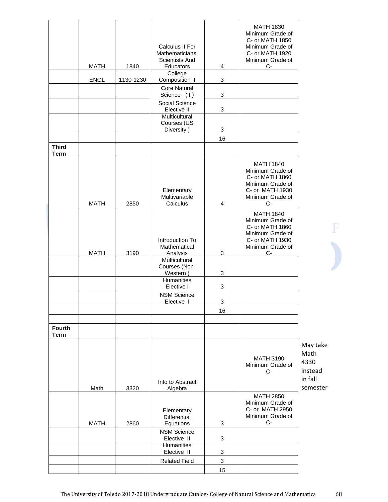| <b>Third</b>                 | <b>MATH</b><br><b>ENGL</b> | 1840<br>1130-1230 | Calculus II For<br>Mathematicians,<br><b>Scientists And</b><br>Educators<br>College<br>Composition II<br><b>Core Natural</b><br>Science (II)<br>Social Science<br>Elective II<br>Multicultural<br>Courses (US<br>Diversity) | 4<br>3<br>3<br>3<br>3<br>16 | <b>MATH 1830</b><br>Minimum Grade of<br>C- or MATH 1850<br>Minimum Grade of<br>C- or MATH 1920<br>Minimum Grade of<br>$C-$ |                                                            |  |
|------------------------------|----------------------------|-------------------|-----------------------------------------------------------------------------------------------------------------------------------------------------------------------------------------------------------------------------|-----------------------------|----------------------------------------------------------------------------------------------------------------------------|------------------------------------------------------------|--|
| <b>Term</b>                  |                            |                   |                                                                                                                                                                                                                             |                             |                                                                                                                            |                                                            |  |
|                              | <b>MATH</b>                | 2850              | Elementary<br>Multivariable<br>Calculus                                                                                                                                                                                     | 4                           | <b>MATH 1840</b><br>Minimum Grade of<br>C- or MATH 1860<br>Minimum Grade of<br>C- or MATH 1930<br>Minimum Grade of<br>$C-$ |                                                            |  |
|                              | <b>MATH</b>                | 3190              | Introduction To<br>Mathematical<br>Analysis                                                                                                                                                                                 | 3                           | <b>MATH 1840</b><br>Minimum Grade of<br>C- or MATH 1860<br>Minimum Grade of<br>C- or MATH 1930<br>Minimum Grade of<br>C-   |                                                            |  |
|                              |                            |                   | Multicultural<br>Courses (Non-<br>Western)                                                                                                                                                                                  | 3                           |                                                                                                                            |                                                            |  |
|                              |                            |                   | Humanities                                                                                                                                                                                                                  |                             |                                                                                                                            |                                                            |  |
|                              |                            |                   | Elective I<br><b>NSM Science</b>                                                                                                                                                                                            | 3                           |                                                                                                                            |                                                            |  |
|                              |                            |                   | Elective I                                                                                                                                                                                                                  | 3                           |                                                                                                                            |                                                            |  |
|                              |                            |                   |                                                                                                                                                                                                                             | 16                          |                                                                                                                            |                                                            |  |
| <b>Fourth</b><br><b>Term</b> |                            |                   |                                                                                                                                                                                                                             |                             |                                                                                                                            |                                                            |  |
|                              | Math                       | 3320              | Into to Abstract<br>Algebra                                                                                                                                                                                                 |                             | <b>MATH 3190</b><br>Minimum Grade of<br>$C-$                                                                               | May take<br>Math<br>4330<br>instead<br>in fall<br>semester |  |
|                              |                            |                   |                                                                                                                                                                                                                             |                             | <b>MATH 2850</b>                                                                                                           |                                                            |  |
|                              | <b>MATH</b>                | 2860              | Elementary<br><b>Differential</b><br>Equations                                                                                                                                                                              | 3                           | Minimum Grade of<br>C- or MATH 2950<br>Minimum Grade of<br>$C-$                                                            |                                                            |  |
|                              |                            |                   | <b>NSM Science</b><br>Elective II                                                                                                                                                                                           | 3                           |                                                                                                                            |                                                            |  |
|                              |                            |                   | Humanities<br>Elective II                                                                                                                                                                                                   | 3                           |                                                                                                                            |                                                            |  |
|                              |                            |                   | <b>Related Field</b>                                                                                                                                                                                                        | 3                           |                                                                                                                            |                                                            |  |
|                              |                            |                   |                                                                                                                                                                                                                             | 15                          |                                                                                                                            |                                                            |  |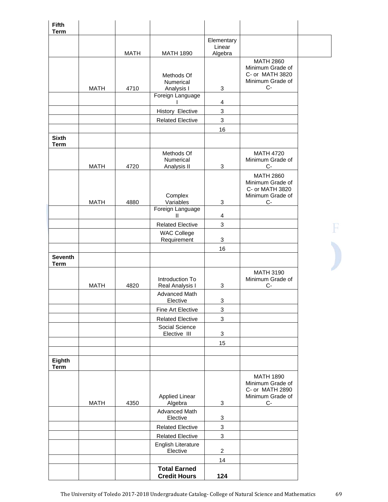| <b>Fifth</b><br><b>Term</b>   |             |                     |                                                           |                |                                                                                     |
|-------------------------------|-------------|---------------------|-----------------------------------------------------------|----------------|-------------------------------------------------------------------------------------|
|                               |             |                     |                                                           | Elementary     |                                                                                     |
|                               |             |                     |                                                           | Linear         |                                                                                     |
|                               | <b>MATH</b> | <b>MATH</b><br>4710 | <b>MATH 1890</b><br>Methods Of<br>Numerical<br>Analysis I | Algebra<br>3   | <b>MATH 2860</b><br>Minimum Grade of<br>C- or MATH 3820<br>Minimum Grade of<br>$C-$ |
|                               |             |                     | Foreign Language                                          |                |                                                                                     |
|                               |             |                     | History Elective                                          | 4<br>3         |                                                                                     |
|                               |             |                     | <b>Related Elective</b>                                   | $\sqrt{3}$     |                                                                                     |
|                               |             |                     |                                                           | 16             |                                                                                     |
| <b>Sixth</b><br><b>Term</b>   |             |                     |                                                           |                |                                                                                     |
|                               | <b>MATH</b> | 4720                | Methods Of<br>Numerical<br>Analysis II                    | $\sqrt{3}$     | <b>MATH 4720</b><br>Minimum Grade of<br>$C-$                                        |
|                               |             |                     | Complex                                                   |                | <b>MATH 2860</b><br>Minimum Grade of<br>C- or MATH 3820<br>Minimum Grade of         |
|                               | <b>MATH</b> | 4880                | Variables<br>Foreign Language                             | 3              | $C-$                                                                                |
|                               |             |                     | $\mathbf{II}$                                             | 4              |                                                                                     |
|                               |             |                     | <b>Related Elective</b>                                   | 3              |                                                                                     |
|                               |             |                     | <b>WAC College</b><br>Requirement                         | 3              |                                                                                     |
|                               |             |                     |                                                           | 16             |                                                                                     |
| <b>Seventh</b><br><b>Term</b> |             |                     |                                                           |                |                                                                                     |
|                               | <b>MATH</b> | 4820                | Introduction To<br>Real Analysis I                        | 3              | <b>MATH 3190</b><br>Minimum Grade of<br>C-                                          |
|                               |             |                     | Advanced Math<br>Elective                                 | 3              |                                                                                     |
|                               |             |                     | Fine Art Elective                                         | 3              |                                                                                     |
|                               |             |                     | <b>Related Elective</b>                                   | 3              |                                                                                     |
|                               |             |                     | Social Science<br>Elective III                            | $\sqrt{3}$     |                                                                                     |
|                               |             |                     |                                                           | 15             |                                                                                     |
| Eighth                        |             |                     |                                                           |                |                                                                                     |
| <b>Term</b>                   |             |                     |                                                           |                |                                                                                     |
|                               | <b>MATH</b> | 4350                | <b>Applied Linear</b><br>Algebra                          | 3              | <b>MATH 1890</b><br>Minimum Grade of<br>C- or MATH 2890<br>Minimum Grade of<br>C-   |
|                               |             |                     | Advanced Math<br>Elective                                 | 3              |                                                                                     |
|                               |             |                     | <b>Related Elective</b>                                   | 3              |                                                                                     |
|                               |             |                     | <b>Related Elective</b>                                   | 3              |                                                                                     |
|                               |             |                     | English Literature<br>Elective                            | $\overline{2}$ |                                                                                     |
|                               |             |                     |                                                           | 14             |                                                                                     |
|                               |             |                     | <b>Total Earned</b><br><b>Credit Hours</b>                | 124            |                                                                                     |

F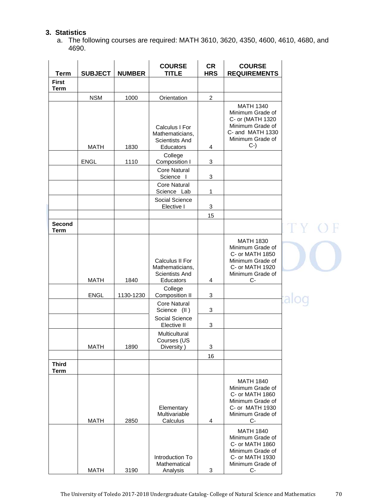# **3. Statistics**

a. The following courses are required: MATH 3610, 3620, 4350, 4600, 4610, 4680, and 4690.

| <b>Term</b>                  | <b>SUBJECT</b> | <b>NUMBER</b> | <b>COURSE</b><br><b>TITLE</b>                                            | <b>CR</b><br><b>HRS</b>   | <b>COURSE</b><br><b>REQUIREMENTS</b>                                                                                                                                                  |  |
|------------------------------|----------------|---------------|--------------------------------------------------------------------------|---------------------------|---------------------------------------------------------------------------------------------------------------------------------------------------------------------------------------|--|
| <b>First</b><br><b>Term</b>  |                |               |                                                                          |                           |                                                                                                                                                                                       |  |
|                              | <b>NSM</b>     | 1000          | Orientation                                                              | $\overline{2}$            |                                                                                                                                                                                       |  |
|                              | <b>MATH</b>    | 1830          | Calculus I For<br>Mathematicians,<br>Scientists And<br>Educators         | 4                         | <b>MATH 1340</b><br>Minimum Grade of<br>C- or (MATH 1320<br>Minimum Grade of<br>C- and MATH 1330<br>Minimum Grade of<br>$C-$                                                          |  |
|                              | ENGL           | 1110          | College<br>Composition I                                                 | 3                         |                                                                                                                                                                                       |  |
|                              |                |               | <b>Core Natural</b><br>Science I                                         | 3                         |                                                                                                                                                                                       |  |
|                              |                |               | <b>Core Natural</b><br>Science Lab                                       | 1                         |                                                                                                                                                                                       |  |
|                              |                |               | Social Science<br>Elective I                                             | 3                         |                                                                                                                                                                                       |  |
|                              |                |               |                                                                          | 15                        |                                                                                                                                                                                       |  |
| <b>Second</b><br><b>Term</b> |                |               |                                                                          |                           |                                                                                                                                                                                       |  |
|                              | <b>MATH</b>    | 1840          | Calculus II For<br>Mathematicians,<br><b>Scientists And</b><br>Educators | 4                         | <b>MATH 1830</b><br>Minimum Grade of<br>C- or MATH 1850<br>Minimum Grade of<br>C- or MATH 1920<br>Minimum Grade of<br>С-                                                              |  |
|                              | <b>ENGL</b>    | 1130-1230     | College<br>Composition II                                                | 3                         |                                                                                                                                                                                       |  |
|                              |                |               | <b>Core Natural</b><br>Science (II)                                      | 3                         |                                                                                                                                                                                       |  |
|                              |                |               | Social Science<br>Elective II                                            | $\ensuremath{\mathsf{3}}$ |                                                                                                                                                                                       |  |
|                              | <b>MATH</b>    | 1890          | Multicultural<br>Courses (US<br>Diversity)                               | $\mathbf 3$               |                                                                                                                                                                                       |  |
|                              |                |               |                                                                          | 16                        |                                                                                                                                                                                       |  |
| <b>Third</b><br><b>Term</b>  |                |               |                                                                          |                           |                                                                                                                                                                                       |  |
|                              | <b>MATH</b>    | 2850          | Elementary<br>Multivariable<br>Calculus                                  | 4                         | <b>MATH 1840</b><br>Minimum Grade of<br>C- or MATH 1860<br>Minimum Grade of<br>C- or MATH 1930<br>Minimum Grade of<br>$C-$<br><b>MATH 1840</b><br>Minimum Grade of<br>C- or MATH 1860 |  |
|                              | <b>MATH</b>    | 3190          | Introduction To<br>Mathematical<br>Analysis                              | 3                         | Minimum Grade of<br>C- or MATH 1930<br>Minimum Grade of<br>$C-$                                                                                                                       |  |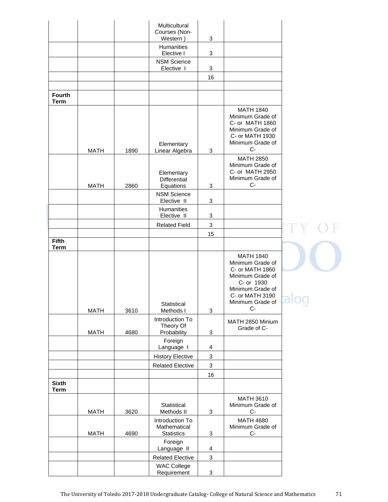|                             |             |      | Multicultural<br>Courses (Non-<br>Western)           | 3                         |                                                                                                                                                              |          |  |
|-----------------------------|-------------|------|------------------------------------------------------|---------------------------|--------------------------------------------------------------------------------------------------------------------------------------------------------------|----------|--|
|                             |             |      | Humanities<br>Elective I                             | 3                         |                                                                                                                                                              |          |  |
|                             |             |      | <b>NSM Science</b><br>Elective I                     | 3                         |                                                                                                                                                              |          |  |
|                             |             |      |                                                      | 16                        |                                                                                                                                                              |          |  |
| <b>Fourth</b>               |             |      |                                                      |                           |                                                                                                                                                              |          |  |
| <b>Term</b>                 |             |      |                                                      |                           |                                                                                                                                                              |          |  |
|                             | <b>MATH</b> | 1890 | Elementary<br>Linear Algebra                         | 3                         | <b>MATH 1840</b><br>Minimum Grade of<br>C- or MATH 1860<br>Minimum Grade of<br>C- or MATH 1930<br>Minimum Grade of<br>$C-$                                   |          |  |
|                             | <b>MATH</b> | 2860 | Elementary<br>Differential<br>Equations              | 3                         | <b>MATH 2850</b><br>Minimum Grade of<br>C- or MATH 2950<br>Minimum Grade of<br>$C-$                                                                          |          |  |
|                             |             |      | <b>NSM Science</b><br>Elective II                    | 3                         |                                                                                                                                                              |          |  |
|                             |             |      | Humanities<br>Elective II                            | 3                         |                                                                                                                                                              |          |  |
|                             |             |      | <b>Related Field</b>                                 | $\ensuremath{\mathsf{3}}$ |                                                                                                                                                              |          |  |
| <b>Fifth</b>                |             |      |                                                      | 15                        |                                                                                                                                                              |          |  |
| <b>Term</b>                 |             |      |                                                      |                           |                                                                                                                                                              |          |  |
|                             |             |      | Statistical                                          |                           | <b>MATH 1840</b><br>Minimum Grade of<br>C- or MATH 1860<br>Minimum Grade of<br>C- or 1930<br>Minimum Grade of<br>C- or MATH 3190<br>Minimum Grade of<br>$C-$ | ---<br>コ |  |
|                             | <b>MATH</b> | 3610 | Methods I<br>Introduction To<br>Theory Of            | $\ensuremath{\mathsf{3}}$ | MATH 2850 Minium<br>Grade of C-                                                                                                                              |          |  |
|                             | <b>MATH</b> | 4680 | Probability<br>Foreign                               | $\ensuremath{\mathsf{3}}$ |                                                                                                                                                              |          |  |
|                             |             |      | Language I                                           | $\overline{4}$            |                                                                                                                                                              |          |  |
|                             |             |      | <b>History Elective</b>                              | $\ensuremath{\mathsf{3}}$ |                                                                                                                                                              |          |  |
|                             |             |      | <b>Related Elective</b>                              | $\ensuremath{\mathsf{3}}$ |                                                                                                                                                              |          |  |
| <b>Sixth</b><br><b>Term</b> |             |      |                                                      | 16                        |                                                                                                                                                              |          |  |
|                             |             |      |                                                      |                           | <b>MATH 3610</b>                                                                                                                                             |          |  |
|                             | <b>MATH</b> | 3620 | Statistical<br>Methods II                            | $\ensuremath{\mathsf{3}}$ | Minimum Grade of<br>$C-$                                                                                                                                     |          |  |
|                             | <b>MATH</b> | 4690 | Introduction To<br>Mathematical<br><b>Statistics</b> | 3                         | <b>MATH 4680</b><br>Minimum Grade of<br>$C-$                                                                                                                 |          |  |
|                             |             |      | Foreign<br>Language II                               | 4                         |                                                                                                                                                              |          |  |
|                             |             |      | <b>Related Elective</b>                              | 3                         |                                                                                                                                                              |          |  |
|                             |             |      | <b>WAC College</b><br>Requirement                    | $\sqrt{3}$                |                                                                                                                                                              |          |  |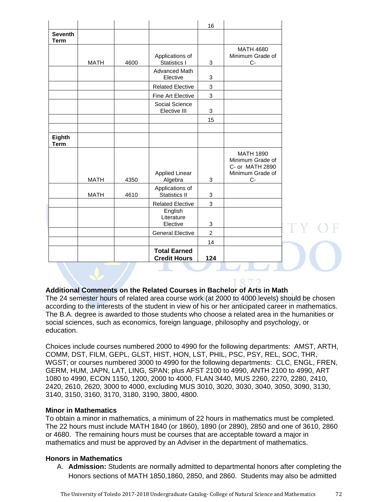|                               |             |      |                                                              | 16             |                                                                                     |
|-------------------------------|-------------|------|--------------------------------------------------------------|----------------|-------------------------------------------------------------------------------------|
| <b>Seventh</b><br><b>Term</b> |             |      |                                                              |                |                                                                                     |
|                               | <b>MATH</b> | 4600 | Applications of<br><b>Statistics I</b>                       | 3              | <b>MATH 4680</b><br>Minimum Grade of<br>$C -$                                       |
|                               |             |      | Advanced Math<br>Elective                                    | 3              |                                                                                     |
|                               |             |      | <b>Related Elective</b>                                      | $\mathbf 3$    |                                                                                     |
|                               |             |      | Fine Art Elective                                            | 3              |                                                                                     |
|                               |             |      | Social Science<br>Elective III                               | 3              |                                                                                     |
|                               |             |      |                                                              | 15             |                                                                                     |
|                               |             |      |                                                              |                |                                                                                     |
| Eighth<br><b>Term</b>         |             |      |                                                              |                |                                                                                     |
|                               | <b>MATH</b> | 4350 | <b>Applied Linear</b><br>Algebra                             | 3              | <b>MATH 1890</b><br>Minimum Grade of<br>C- or MATH 2890<br>Minimum Grade of<br>$C-$ |
|                               |             |      | Applications of                                              |                |                                                                                     |
|                               | <b>MATH</b> | 4610 | <b>Statistics II</b>                                         | 3              |                                                                                     |
|                               |             |      | <b>Related Elective</b><br>English<br>Literature<br>Elective | 3<br>3         |                                                                                     |
|                               |             |      | <b>General Elective</b>                                      | $\overline{2}$ |                                                                                     |
|                               |             |      |                                                              | 14             |                                                                                     |
|                               |             |      | <b>Total Earned</b><br><b>Credit Hours</b>                   | 124            |                                                                                     |

# **Additional Comments on the Related Courses in Bachelor of Arts in Math**

The 24 semester hours of related area course work (at 2000 to 4000 levels) should be chosen according to the interests of the student in view of his or her anticipated career in mathematics. The B.A. degree is awarded to those students who choose a related area in the humanities or social sciences, such as economics, foreign language, philosophy and psychology, or education.

Choices include courses numbered 2000 to 4990 for the following departments: AMST, ARTH, COMM, DST, FILM, GEPL, GLST, HIST, HON, LST, PHIL, PSC, PSY, REL, SOC, THR, WGST; or courses numbered 3000 to 4990 for the following departments: CLC, ENGL, FREN, GERM, HUM, JAPN, LAT, LING, SPAN; plus AFST 2100 to 4990, ANTH 2100 to 4990, ART 1080 to 4990, ECON 1150, 1200, 2000 to 4000, FLAN 3440, MUS 2260, 2270, 2280, 2410, 2420, 2610, 2620, 3000 to 4000, excluding MUS 3010, 3020, 3030, 3040, 3050, 3090, 3130, 3140, 3150, 3160, 3170, 3180, 3190, 3800, 4800.

#### **Minor in Mathematics**

To obtain a minor in mathematics, a minimum of 22 hours in mathematics must be completed. The 22 hours must include MATH 1840 (or 1860), 1890 (or 2890), 2850 and one of 3610, 2860 or 4680. The remaining hours must be courses that are acceptable toward a major in mathematics and must be approved by an Adviser in the department of mathematics.

#### **Honors in Mathematics**

A. **Admission:** Students are normally admitted to departmental honors after completing the Honors sections of MATH 1850,1860, 2850, and 2860. Students may also be admitted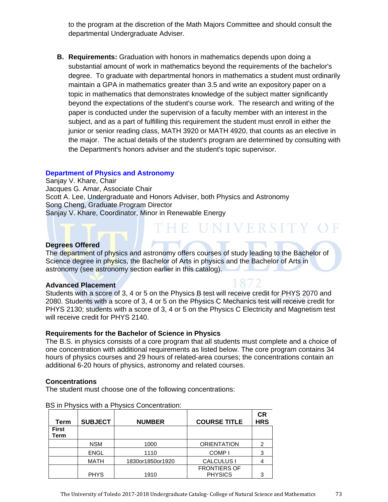to the program at the discretion of the Math Majors Committee and should consult the departmental Undergraduate Adviser.

**B. Requirements:** Graduation with honors in mathematics depends upon doing a substantial amount of work in mathematics beyond the requirements of the bachelor's degree. To graduate with departmental honors in mathematics a student must ordinarily maintain a GPA in mathematics greater than 3.5 and write an expository paper on a topic in mathematics that demonstrates knowledge of the subject matter significantly beyond the expectations of the student's course work. The research and writing of the paper is conducted under the supervision of a faculty member with an interest in the subject, and as a part of fulfilling this requirement the student must enroll in either the junior or senior reading class, MATH 3920 or MATH 4920, that counts as an elective in the major. The actual details of the student's program are determined by consulting with the Department's honors adviser and the student's topic supervisor.

# **Department of Physics and Astronomy**

Sanjay V. Khare, Chair Jacques G. Amar, Associate Chair Scott A. Lee, Undergraduate and Honors Adviser, both Physics and Astronomy Song Cheng, Graduate Program Director Sanjay V. Khare, Coordinator, Minor in Renewable Energy

# **Degrees Offered**

The department of physics and astronomy offers courses of study leading to the Bachelor of Science degree in physics, the Bachelor of Arts in physics and the Bachelor of Arts in astronomy (see astronomy section earlier in this catalog).

HE UNIVERSITY OF

## **Advanced Placement**

Students with a score of 3, 4 or 5 on the Physics B test will receive credit for PHYS 2070 and 2080. Students with a score of 3, 4 or 5 on the Physics C Mechanics test will receive credit for PHYS 2130; students with a score of 3, 4 or 5 on the Physics C Electricity and Magnetism test will receive credit for PHYS 2140.

## **Requirements for the Bachelor of Science in Physics**

The B.S. in physics consists of a core program that all students must complete and a choice of one concentration with additional requirements as listed below. The core program contains 34 hours of physics courses and 29 hours of related-area courses; the concentrations contain an additional 6-20 hours of physics, astronomy and related courses.

## **Concentrations**

The student must choose one of the following concentrations:

| Term                 | <b>SUBJECT</b> | <b>NUMBER</b>    | <b>COURSE TITLE</b>                   | СR<br><b>HRS</b> |
|----------------------|----------------|------------------|---------------------------------------|------------------|
| <b>First</b><br>Term |                |                  |                                       |                  |
|                      | <b>NSM</b>     | 1000             | <b>ORIENTATION</b>                    |                  |
|                      | <b>ENGL</b>    | 1110             | COMP <sub>1</sub>                     | 3                |
|                      | <b>MATH</b>    | 1830or1850or1920 | <b>CALCULUS I</b>                     |                  |
|                      | <b>PHYS</b>    | 1910             | <b>FRONTIERS OF</b><br><b>PHYSICS</b> |                  |

BS in Physics with a Physics Concentration: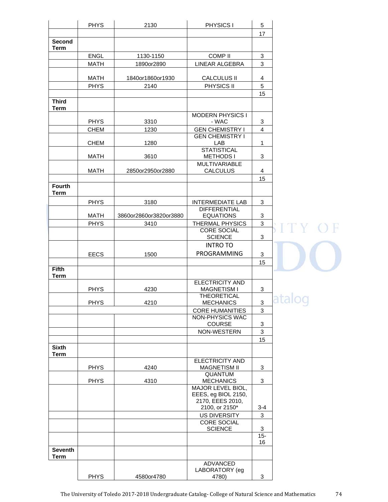|                              | <b>PHYS</b>                | 2130                   | PHYSICS I                                    | 5                   |                       |
|------------------------------|----------------------------|------------------------|----------------------------------------------|---------------------|-----------------------|
|                              |                            |                        |                                              | 17                  |                       |
| Second<br><b>Term</b>        |                            |                        |                                              |                     |                       |
|                              | ENGL                       | 1130-1150              | <b>COMP II</b>                               | 3                   |                       |
|                              | <b>MATH</b>                | 1890or2890             | LINEAR ALGEBRA                               | 3                   |                       |
|                              | <b>MATH</b>                | 1840or1860or1930       | <b>CALCULUS II</b>                           | 4                   |                       |
|                              | <b>PHYS</b>                | 2140                   | PHYSICS II                                   | 5                   |                       |
|                              |                            |                        |                                              | 15                  |                       |
| <b>Third</b><br><b>Term</b>  |                            |                        |                                              |                     |                       |
|                              |                            |                        | <b>MODERN PHYSICS I</b>                      |                     |                       |
|                              | <b>PHYS</b><br><b>CHEM</b> | 3310<br>1230           | - WAC<br><b>GEN CHEMISTRY I</b>              | 3<br>$\overline{4}$ |                       |
|                              |                            |                        | <b>GEN CHEMISTRY I</b>                       |                     |                       |
|                              | <b>CHEM</b>                | 1280                   | LAB                                          | 1                   |                       |
|                              |                            |                        | <b>STATISTICAL</b>                           |                     |                       |
|                              | <b>MATH</b>                | 3610                   | <b>METHODS I</b>                             | 3                   |                       |
|                              | <b>MATH</b>                | 2850or2950or2880       | <b>MULTIVARIABLE</b><br><b>CALCULUS</b>      | 4                   |                       |
|                              |                            |                        |                                              | 15                  |                       |
| <b>Fourth</b><br><b>Term</b> |                            |                        |                                              |                     |                       |
|                              | <b>PHYS</b>                | 3180                   | <b>INTERMEDIATE LAB</b>                      | 3                   |                       |
|                              |                            |                        | <b>DIFFERENTIAL</b>                          |                     |                       |
|                              | <b>MATH</b>                | 3860or2860or3820or3880 | <b>EQUATIONS</b>                             | 3                   |                       |
|                              | <b>PHYS</b>                | 3410                   | THERMAL PHYSICS                              | 3                   |                       |
|                              |                            |                        | <b>CORE SOCIAL</b>                           |                     | I T Y                 |
|                              |                            |                        | <b>SCIENCE</b>                               | 3                   |                       |
|                              |                            |                        | <b>INTRO TO</b>                              |                     |                       |
|                              | <b>EECS</b>                | 1500                   | PROGRAMMING                                  | 3                   |                       |
|                              |                            |                        |                                              | 15                  |                       |
| <b>Fifth</b><br><b>Term</b>  |                            |                        |                                              |                     |                       |
|                              | <b>PHYS</b>                | 4230                   | <b>ELECTRICITY AND</b><br><b>MAGNETISM I</b> | 3                   |                       |
|                              |                            |                        | <b>THEORETICAL</b>                           |                     |                       |
|                              | <b>PHYS</b>                | 4210                   | <b>MECHANICS</b>                             | 3                   | $\tilde{\phantom{a}}$ |
|                              |                            |                        | <b>CORE HUMANITIES</b>                       | 3                   |                       |
|                              |                            |                        | NON-PHYSICS WAC                              |                     |                       |
|                              |                            |                        | COURSE                                       | 3                   |                       |
|                              |                            |                        | NON-WESTERN                                  | 3                   |                       |
|                              |                            |                        |                                              | 15                  |                       |
| <b>Sixth</b><br><b>Term</b>  |                            |                        |                                              |                     |                       |
|                              |                            |                        | <b>ELECTRICITY AND</b>                       |                     |                       |
|                              | <b>PHYS</b>                | 4240                   | <b>MAGNETISM II</b>                          | 3                   |                       |
|                              |                            |                        | QUANTUM                                      |                     |                       |
|                              | <b>PHYS</b>                | 4310                   | <b>MECHANICS</b>                             | 3                   |                       |
|                              |                            |                        | MAJOR LEVEL BIOL,<br>EEES, eg BIOL 2150,     |                     |                       |
|                              |                            |                        | 2170, EEES 2010,                             |                     |                       |
|                              |                            |                        | 2100, or 2150*                               | $3 - 4$             |                       |
|                              |                            |                        | <b>US DIVERSITY</b>                          | 3                   |                       |
|                              |                            |                        | <b>CORE SOCIAL</b>                           |                     |                       |
|                              |                            |                        | <b>SCIENCE</b>                               | 3                   |                       |
|                              |                            |                        |                                              | $15 -$<br>16        |                       |
| <b>Seventh</b>               |                            |                        |                                              |                     |                       |
| <b>Term</b>                  |                            |                        |                                              |                     |                       |
|                              |                            |                        | ADVANCED                                     |                     |                       |
|                              |                            |                        | LABORATORY (eg                               |                     |                       |
|                              | <b>PHYS</b>                | 4580or4780             | 4780)                                        | 3                   |                       |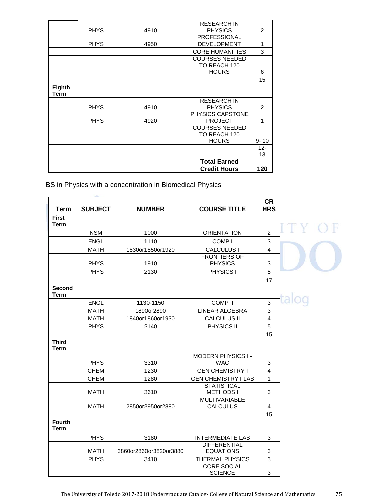|                       |             |      | <b>Credit Hours</b>                                   | 120            |
|-----------------------|-------------|------|-------------------------------------------------------|----------------|
|                       |             |      | <b>Total Earned</b>                                   |                |
|                       |             |      |                                                       | $12 -$<br>13   |
|                       |             |      | <b>COURSES NEEDED</b><br>TO REACH 120<br><b>HOURS</b> | $9 - 10$       |
|                       | <b>PHYS</b> | 4920 | PHYSICS CAPSTONE<br><b>PROJECT</b>                    | 1              |
|                       | <b>PHYS</b> | 4910 | <b>RESEARCH IN</b><br><b>PHYSICS</b>                  | 2              |
| <b>Eighth</b><br>Term |             |      |                                                       |                |
|                       |             |      |                                                       | 15             |
|                       |             |      | <b>COURSES NEEDED</b><br>TO REACH 120<br><b>HOURS</b> | 6              |
|                       |             |      | <b>CORE HUMANITIES</b>                                | 3              |
|                       | <b>PHYS</b> | 4950 | <b>PROFESSIONAL</b><br><b>DEVELOPMENT</b>             | 1              |
|                       | <b>PHYS</b> | 4910 | <b>RESEARCH IN</b><br><b>PHYSICS</b>                  | $\overline{2}$ |

BS in Physics with a concentration in Biomedical Physics

|                              | <b>SALE</b>    |                        |                                         |                           |  |
|------------------------------|----------------|------------------------|-----------------------------------------|---------------------------|--|
| <b>Term</b>                  | <b>SUBJECT</b> | <b>NUMBER</b>          | <b>COURSE TITLE</b>                     | <b>CR</b><br><b>HRS</b>   |  |
| <b>First</b><br><b>Term</b>  |                |                        |                                         |                           |  |
|                              | <b>NSM</b>     | 1000                   | <b>ORIENTATION</b>                      | $\overline{2}$            |  |
|                              | <b>ENGL</b>    | 1110                   | COMP <sub>I</sub>                       | 3                         |  |
|                              | <b>MATH</b>    | 1830or1850or1920       | <b>CALCULUS I</b>                       | 4                         |  |
|                              | <b>PHYS</b>    | 1910                   | <b>FRONTIERS OF</b><br><b>PHYSICS</b>   | 3                         |  |
|                              | <b>PHYS</b>    | 2130                   | PHYSICS I                               | 5                         |  |
|                              |                |                        |                                         | 17                        |  |
| <b>Second</b><br><b>Term</b> |                |                        |                                         |                           |  |
|                              | <b>ENGL</b>    | 1130-1150              | <b>COMPII</b>                           | $\ensuremath{\mathsf{3}}$ |  |
|                              | <b>MATH</b>    | 1890or2890             | LINEAR ALGEBRA                          | 3                         |  |
|                              | <b>MATH</b>    | 1840or1860or1930       | <b>CALCULUS II</b>                      | $\overline{\mathbf{4}}$   |  |
|                              | <b>PHYS</b>    | 2140                   | PHYSICS II                              | 5                         |  |
|                              |                |                        |                                         | 15                        |  |
| <b>Third</b><br><b>Term</b>  |                |                        |                                         |                           |  |
|                              | <b>PHYS</b>    | 3310                   | <b>MODERN PHYSICS I-</b><br><b>WAC</b>  | 3                         |  |
|                              | <b>CHEM</b>    | 1230                   | <b>GEN CHEMISTRY I</b>                  | $\overline{\mathbf{4}}$   |  |
|                              | <b>CHEM</b>    | 1280                   | <b>GEN CHEMISTRY I LAB</b>              | 1                         |  |
|                              | <b>MATH</b>    | 3610                   | <b>STATISTICAL</b><br><b>METHODS I</b>  | 3                         |  |
|                              | <b>MATH</b>    | 2850or2950or2880       | <b>MULTIVARIABLE</b><br><b>CALCULUS</b> | 4                         |  |
|                              |                |                        |                                         | 15                        |  |
| <b>Fourth</b><br><b>Term</b> |                |                        |                                         |                           |  |
|                              | <b>PHYS</b>    | 3180                   | <b>INTERMEDIATE LAB</b>                 | 3                         |  |
|                              | <b>MATH</b>    | 3860or2860or3820or3880 | <b>DIFFERENTIAL</b><br><b>EQUATIONS</b> | 3                         |  |
|                              | <b>PHYS</b>    | 3410                   | THERMAL PHYSICS                         | 3                         |  |
|                              |                |                        | <b>CORE SOCIAL</b><br><b>SCIENCE</b>    | 3                         |  |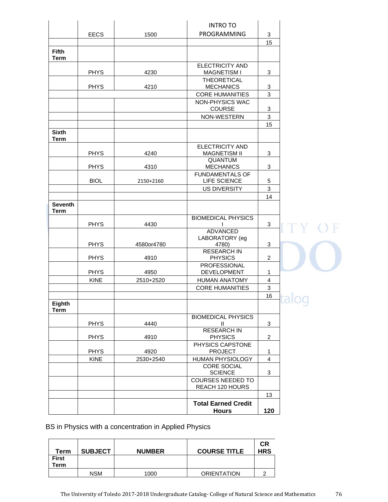|                               |             |            | <b>INTRO TO</b>                               |                |   |
|-------------------------------|-------------|------------|-----------------------------------------------|----------------|---|
|                               | <b>EECS</b> | 1500       | PROGRAMMING                                   | 3              |   |
|                               |             |            |                                               | 15             |   |
| <b>Fifth</b><br><b>Term</b>   |             |            |                                               |                |   |
|                               | <b>PHYS</b> | 4230       | <b>ELECTRICITY AND</b><br><b>MAGNETISM I</b>  | 3              |   |
|                               | <b>PHYS</b> | 4210       | <b>THEORETICAL</b><br><b>MECHANICS</b>        | 3              |   |
|                               |             |            | <b>CORE HUMANITIES</b>                        | 3              |   |
|                               |             |            | <b>NON-PHYSICS WAC</b><br>COURSE              | 3              |   |
|                               |             |            | NON-WESTERN                                   | $\mathbf{3}$   |   |
|                               |             |            |                                               | 15             |   |
| <b>Sixth</b><br><b>Term</b>   |             |            |                                               |                |   |
|                               | <b>PHYS</b> | 4240       | <b>ELECTRICITY AND</b><br><b>MAGNETISM II</b> | $\mathbf{3}$   |   |
|                               | <b>PHYS</b> | 4310       | <b>QUANTUM</b><br><b>MECHANICS</b>            | 3              |   |
|                               | <b>BIOL</b> | 2150+2160  | <b>FUNDAMENTALS OF</b><br>LIFE SCIENCE        | 5              |   |
|                               |             |            | <b>US DIVERSITY</b>                           | $\mathfrak{S}$ |   |
|                               |             |            |                                               | 14             |   |
| <b>Seventh</b><br><b>Term</b> |             |            |                                               |                |   |
|                               | <b>PHYS</b> | 4430       | <b>BIOMEDICAL PHYSICS</b>                     | 3              |   |
|                               |             |            | <b>ADVANCED</b>                               |                |   |
|                               |             |            | LABORATORY (eg                                |                |   |
|                               | <b>PHYS</b> | 4580or4780 | 4780)<br><b>RESEARCH IN</b>                   | 3              |   |
|                               | <b>PHYS</b> | 4910       | <b>PHYSICS</b>                                | $\overline{a}$ |   |
|                               | <b>PHYS</b> | 4950       | <b>PROFESSIONAL</b><br><b>DEVELOPMENT</b>     | 1              |   |
|                               | <b>KINE</b> | 2510+2520  | <b>HUMAN ANATOMY</b>                          | $\overline{4}$ |   |
|                               |             |            | <b>CORE HUMANITIES</b>                        | $\mathfrak{S}$ |   |
|                               |             |            |                                               | 16             |   |
| Eighth<br><b>Term</b>         |             |            |                                               |                | ್ |
|                               | <b>PHYS</b> | 4440       | <b>BIOMEDICAL PHYSICS</b><br>Ш.               | 3              |   |
|                               | <b>PHYS</b> | 4910       | <b>RESEARCH IN</b><br><b>PHYSICS</b>          | $\overline{2}$ |   |
|                               | <b>PHYS</b> | 4920       | PHYSICS CAPSTONE<br><b>PROJECT</b>            | 1              |   |
|                               | <b>KINE</b> | 2530+2540  | HUMAN PHYSIOLOGY                              | $\overline{4}$ |   |
|                               |             |            | <b>CORE SOCIAL</b><br><b>SCIENCE</b>          | $\mathbf{3}$   |   |
|                               |             |            | <b>COURSES NEEDED TO</b>                      |                |   |
|                               |             |            | REACH 120 HOURS                               | 13             |   |
|                               |             |            | <b>Total Earned Credit</b>                    |                |   |
|                               |             |            | <b>Hours</b>                                  | 120            |   |

BS in Physics with a concentration in Applied Physics

| Term         | <b>SUBJECT</b> | <b>NUMBER</b> | <b>COURSE TITLE</b> | СR<br><b>HRS</b> |
|--------------|----------------|---------------|---------------------|------------------|
| <b>First</b> |                |               |                     |                  |
| Term         |                |               |                     |                  |
|              | <b>NSM</b>     | 1000          | <b>ORIENTATION</b>  |                  |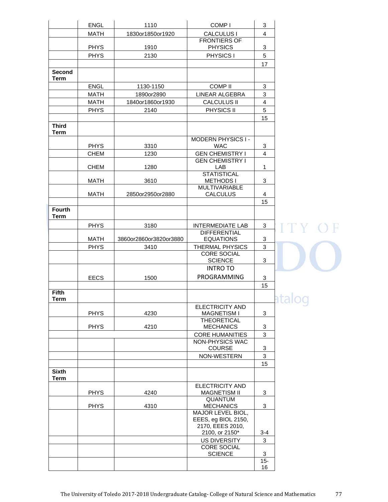|                             | ENGL        | 1110                   | COMP <sub>I</sub>                            | 3              |                       |
|-----------------------------|-------------|------------------------|----------------------------------------------|----------------|-----------------------|
|                             | <b>MATH</b> | 1830or1850or1920       | CALCULUS I                                   | $\overline{4}$ |                       |
|                             |             |                        | <b>FRONTIERS OF</b>                          |                |                       |
|                             | <b>PHYS</b> | 1910                   | <b>PHYSICS</b>                               | 3              |                       |
|                             | <b>PHYS</b> | 2130                   | PHYSICS I                                    | 5              |                       |
| <b>Second</b>               |             |                        |                                              | 17             |                       |
| <b>Term</b>                 |             |                        |                                              |                |                       |
|                             | <b>ENGL</b> | 1130-1150              | <b>COMP II</b>                               | 3              |                       |
|                             | <b>MATH</b> | 1890or2890             | LINEAR ALGEBRA                               | 3              |                       |
|                             | <b>MATH</b> | 1840or1860or1930       | <b>CALCULUS II</b>                           | $\overline{4}$ |                       |
|                             | <b>PHYS</b> | 2140                   | PHYSICS II                                   | 5              |                       |
|                             |             |                        |                                              | 15             |                       |
| <b>Third</b><br><b>Term</b> |             |                        |                                              |                |                       |
|                             |             |                        | <b>MODERN PHYSICS I-</b>                     |                |                       |
|                             | <b>PHYS</b> | 3310                   | <b>WAC</b>                                   | 3              |                       |
|                             | <b>CHEM</b> | 1230                   | <b>GEN CHEMISTRY I</b>                       | $\overline{4}$ |                       |
|                             | <b>CHEM</b> | 1280                   | <b>GEN CHEMISTRY I</b><br>LAB                | $\mathbf{1}$   |                       |
|                             |             |                        | <b>STATISTICAL</b>                           |                |                       |
|                             | <b>MATH</b> | 3610                   | <b>METHODS I</b>                             | 3              |                       |
|                             |             |                        | <b>MULTIVARIABLE</b>                         |                |                       |
|                             | <b>MATH</b> | 2850or2950or2880       | <b>CALCULUS</b>                              | 4<br>15        |                       |
| <b>Fourth</b>               |             |                        |                                              |                |                       |
| <b>Term</b>                 |             |                        |                                              |                |                       |
|                             | <b>PHYS</b> | 3180                   | <b>INTERMEDIATE LAB</b>                      | 3              | ITY C                 |
|                             |             |                        | <b>DIFFERENTIAL</b>                          |                |                       |
|                             | <b>MATH</b> | 3860or2860or3820or3880 | <b>EQUATIONS</b>                             | 3              |                       |
|                             | <b>PHYS</b> | 3410                   | <b>THERMAL PHYSICS</b><br><b>CORE SOCIAL</b> | 3              |                       |
|                             |             |                        | <b>SCIENCE</b>                               | 3              |                       |
|                             |             |                        | <b>INTRO TO</b>                              |                |                       |
|                             | <b>EECS</b> | 1500                   | PROGRAMMING                                  | 3              |                       |
|                             |             |                        |                                              | 15             |                       |
| <b>Fifth</b>                |             |                        |                                              |                |                       |
| <b>Term</b>                 |             |                        | ELECTRICITY AND                              |                | $\tilde{\phantom{a}}$ |
|                             | <b>PHYS</b> | 4230                   | <b>MAGNETISM I</b>                           | 3              |                       |
|                             |             |                        | <b>THEORETICAL</b>                           |                |                       |
|                             | <b>PHYS</b> | 4210                   | <b>MECHANICS</b>                             | 3              |                       |
|                             |             |                        | <b>CORE HUMANITIES</b><br>NON-PHYSICS WAC    | 3              |                       |
|                             |             |                        | COURSE                                       | 3              |                       |
|                             |             |                        | NON-WESTERN                                  | 3              |                       |
|                             |             |                        |                                              | 15             |                       |
| <b>Sixth</b><br><b>Term</b> |             |                        |                                              |                |                       |
|                             |             |                        | <b>ELECTRICITY AND</b>                       |                |                       |
|                             | <b>PHYS</b> | 4240                   | <b>MAGNETISM II</b>                          | 3              |                       |
|                             |             |                        | QUANTUM                                      |                |                       |
|                             | <b>PHYS</b> | 4310                   | <b>MECHANICS</b><br>MAJOR LEVEL BIOL,        | 3              |                       |
|                             |             |                        | EEES, eg BIOL 2150,                          |                |                       |
|                             |             |                        | 2170, EEES 2010,                             |                |                       |
|                             |             |                        | 2100, or 2150*                               | $3 - 4$        |                       |
|                             |             |                        | US DIVERSITY<br><b>CORE SOCIAL</b>           | 3              |                       |
|                             |             |                        | <b>SCIENCE</b>                               | 3              |                       |
|                             |             |                        |                                              | $15 -$         |                       |
|                             |             |                        |                                              | 16             |                       |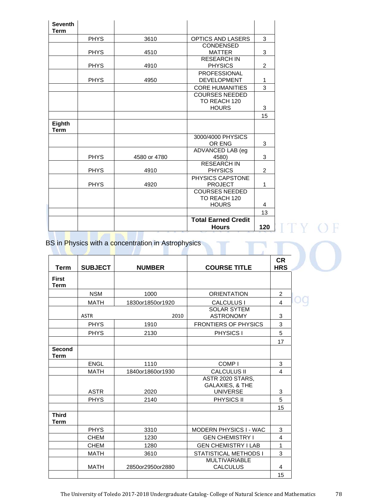| <b>Seventh</b><br><b>Term</b> |             |              |                                                       |     |
|-------------------------------|-------------|--------------|-------------------------------------------------------|-----|
|                               | <b>PHYS</b> | 3610         | <b>OPTICS AND LASERS</b>                              | 3   |
|                               | <b>PHYS</b> | 4510         | <b>CONDENSED</b><br><b>MATTER</b>                     | 3   |
|                               | <b>PHYS</b> | 4910         | <b>RESEARCH IN</b><br><b>PHYSICS</b>                  | 2   |
|                               | <b>PHYS</b> | 4950         | <b>PROFESSIONAL</b><br><b>DEVELOPMENT</b>             | 1   |
|                               |             |              | <b>CORE HUMANITIES</b>                                | 3   |
|                               |             |              | <b>COURSES NEEDED</b><br>TO REACH 120                 |     |
|                               |             |              | <b>HOURS</b>                                          | 3   |
| Eighth<br><b>Term</b>         |             |              |                                                       | 15  |
|                               |             |              | 3000/4000 PHYSICS<br>OR ENG                           | 3   |
|                               | <b>PHYS</b> | 4580 or 4780 | ADVANCED LAB (eg<br>4580)                             | 3   |
|                               | <b>PHYS</b> | 4910         | <b>RESEARCH IN</b><br><b>PHYSICS</b>                  | 2   |
|                               | <b>PHYS</b> | 4920         | PHYSICS CAPSTONE<br><b>PROJECT</b>                    | 1   |
|                               |             |              | <b>COURSES NEEDED</b><br>TO REACH 120<br><b>HOURS</b> | 4   |
|                               |             |              |                                                       | 13  |
|                               |             |              | <b>Total Earned Credit</b><br><b>Hours</b>            | 120 |

E

BS in Physics with a concentration in Astrophysics

| <b>Term</b>                  | <b>SUBJECT</b> | <b>NUMBER</b>    | <b>COURSE TITLE</b>                                    | <b>CR</b><br><b>HRS</b> |  |
|------------------------------|----------------|------------------|--------------------------------------------------------|-------------------------|--|
| <b>First</b><br><b>Term</b>  |                |                  |                                                        |                         |  |
|                              | <b>NSM</b>     | 1000             | <b>ORIENTATION</b>                                     | $\overline{2}$          |  |
|                              | <b>MATH</b>    | 1830or1850or1920 | <b>CALCULUS I</b>                                      | $\overline{4}$          |  |
|                              | <b>ASTR</b>    | 2010             | <b>SOLAR SYTEM</b><br><b>ASTRONOMY</b>                 | 3                       |  |
|                              | <b>PHYS</b>    | 1910             | <b>FRONTIERS OF PHYSICS</b>                            | 3                       |  |
|                              | <b>PHYS</b>    | 2130             | <b>PHYSICS I</b>                                       | 5                       |  |
|                              |                |                  |                                                        | 17                      |  |
| <b>Second</b><br><b>Term</b> |                |                  |                                                        |                         |  |
|                              | ENGL           | 1110             | COMP <sub>I</sub>                                      | 3                       |  |
|                              | <b>MATH</b>    | 1840or1860or1930 | <b>CALCULUS II</b>                                     | $\overline{4}$          |  |
|                              | <b>ASTR</b>    | 2020             | ASTR 2020 STARS,<br>GALAXIES, & THE<br><b>UNIVERSE</b> | 3                       |  |
|                              | <b>PHYS</b>    | 2140             | <b>PHYSICS II</b>                                      | 5                       |  |
|                              |                |                  |                                                        | 15                      |  |
| <b>Third</b><br><b>Term</b>  |                |                  |                                                        |                         |  |
|                              | <b>PHYS</b>    | 3310             | MODERN PHYSICS I - WAC                                 | 3                       |  |
|                              | <b>CHEM</b>    | 1230             | <b>GEN CHEMISTRY I</b>                                 | $\overline{\mathbf{4}}$ |  |
|                              | <b>CHEM</b>    | 1280             | <b>GEN CHEMISTRY I LAB</b>                             | 1                       |  |
|                              | <b>MATH</b>    | 3610             | STATISTICAL METHODS I                                  | 3                       |  |
|                              | <b>MATH</b>    | 2850or2950or2880 | <b>MULTIVARIABLE</b><br><b>CALCULUS</b>                | $\overline{4}$          |  |
|                              |                |                  |                                                        | 15                      |  |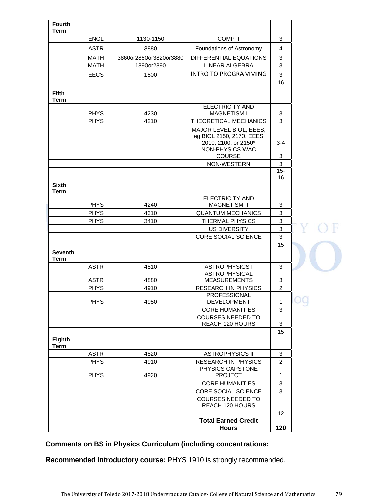| <b>Fourth</b><br><b>Term</b>  |                            |                        |                                                                             |                 |   |
|-------------------------------|----------------------------|------------------------|-----------------------------------------------------------------------------|-----------------|---|
|                               | <b>ENGL</b>                | 1130-1150              | <b>COMP II</b>                                                              | 3               |   |
|                               | <b>ASTR</b>                | 3880                   | Foundations of Astronomy                                                    | 4               |   |
|                               | <b>MATH</b>                | 3860or2860or3820or3880 | DIFFERENTIAL EQUATIONS                                                      | $\mathbf{3}$    |   |
|                               | <b>MATH</b>                | 1890or2890             | LINEAR ALGEBRA                                                              | 3               |   |
|                               | <b>EECS</b>                | 1500                   | <b>INTRO TO PROGRAMMING</b>                                                 | 3               |   |
|                               |                            |                        |                                                                             | 16              |   |
| <b>Fifth</b><br>Term          |                            |                        |                                                                             |                 |   |
|                               | <b>PHYS</b>                | 4230                   | <b>ELECTRICITY AND</b><br><b>MAGNETISM I</b>                                |                 |   |
|                               | <b>PHYS</b>                | 4210                   | THEORETICAL MECHANICS                                                       | 3<br>3          |   |
|                               |                            |                        | MAJOR LEVEL BIOL, EEES,<br>eg BIOL 2150, 2170, EEES<br>2010, 2100, or 2150* | $3 - 4$         |   |
|                               |                            |                        | <b>NON-PHYSICS WAC</b><br>COURSE                                            | 3               |   |
|                               |                            |                        | NON-WESTERN                                                                 | 3               |   |
|                               |                            |                        |                                                                             | $15 -$          |   |
| <b>Sixth</b><br><b>Term</b>   |                            |                        |                                                                             | 16              |   |
|                               |                            |                        | <b>ELECTRICITY AND</b>                                                      |                 |   |
|                               | <b>PHYS</b>                | 4240                   | <b>MAGNETISM II</b>                                                         | 3               |   |
|                               | <b>PHYS</b>                | 4310                   | <b>QUANTUM MECHANICS</b>                                                    | $\sqrt{3}$      |   |
|                               | <b>PHYS</b>                | 3410                   | THERMAL PHYSICS                                                             | 3               |   |
|                               |                            |                        | <b>US DIVERSITY</b><br>CORE SOCIAL SCIENCE                                  | 3<br>3          |   |
|                               |                            |                        |                                                                             | 15              |   |
| <b>Seventh</b><br><b>Term</b> |                            |                        |                                                                             |                 |   |
|                               | <b>ASTR</b>                | 4810                   | <b>ASTROPHYSICS I</b>                                                       | 3               |   |
|                               |                            |                        | <b>ASTROPHYSICAL</b>                                                        |                 |   |
|                               | <b>ASTR</b>                | 4880                   | <b>MEASUREMENTS</b>                                                         | 3               |   |
|                               | <b>PHYS</b>                | 4910                   | <b>RESEARCH IN PHYSICS</b><br>PROFESSIONAL                                  | $\overline{2}$  |   |
|                               | <b>PHYS</b>                | 4950                   | DEVELOPMENT                                                                 | $\mathbf{1}$    | ນ |
|                               |                            |                        | <b>CORE HUMANITIES</b>                                                      | 3               |   |
|                               |                            |                        | <b>COURSES NEEDED TO</b>                                                    |                 |   |
|                               |                            |                        | REACH 120 HOURS                                                             | 3               |   |
| Eighth                        |                            |                        |                                                                             | 15              |   |
| <b>Term</b>                   |                            | 4820                   |                                                                             | 3               |   |
|                               | <b>ASTR</b><br><b>PHYS</b> | 4910                   | <b>ASTROPHYSICS II</b><br><b>RESEARCH IN PHYSICS</b>                        | $\overline{2}$  |   |
|                               |                            |                        | PHYSICS CAPSTONE                                                            |                 |   |
|                               | <b>PHYS</b>                | 4920                   | <b>PROJECT</b>                                                              | 1               |   |
|                               |                            |                        | <b>CORE HUMANITIES</b>                                                      | 3               |   |
|                               |                            |                        | CORE SOCIAL SCIENCE                                                         | $\overline{3}$  |   |
|                               |                            |                        | <b>COURSES NEEDED TO</b><br>REACH 120 HOURS                                 |                 |   |
|                               |                            |                        |                                                                             | 12 <sup>2</sup> |   |
|                               |                            |                        | <b>Total Earned Credit</b><br><b>Hours</b>                                  | 120             |   |

# **Comments on BS in Physics Curriculum (including concentrations:**

**Recommended introductory course:** PHYS 1910 is strongly recommended.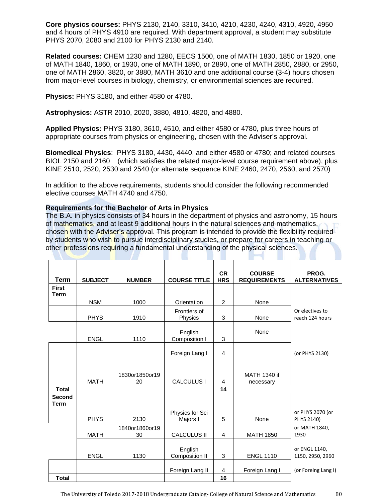**Core physics courses:** PHYS 2130, 2140, 3310, 3410, 4210, 4230, 4240, 4310, 4920, 4950 and 4 hours of PHYS 4910 are required. With department approval, a student may substitute PHYS 2070, 2080 and 2100 for PHYS 2130 and 2140.

**Related courses:** CHEM 1230 and 1280, EECS 1500, one of MATH 1830, 1850 or 1920, one of MATH 1840, 1860, or 1930, one of MATH 1890, or 2890, one of MATH 2850, 2880, or 2950, one of MATH 2860, 3820, or 3880, MATH 3610 and one additional course (3-4) hours chosen from major-level courses in biology, chemistry, or environmental sciences are required.

**Physics:** PHYS 3180, and either 4580 or 4780.

**Astrophysics:** ASTR 2010, 2020, 3880, 4810, 4820, and 4880.

**Applied Physics:** PHYS 3180, 3610, 4510, and either 4580 or 4780, plus three hours of appropriate courses from physics or engineering, chosen with the Adviser's approval.

**Biomedical Physics**: PHYS 3180, 4430, 4440, and either 4580 or 4780; and related courses BIOL 2150 and 2160 (which satisfies the related major-level course requirement above), plus KINE 2510, 2520, 2530 and 2540 (or alternate sequence KINE 2460, 2470, 2560, and 2570)

In addition to the above requirements, students should consider the following recommended elective courses MATH 4740 and 4750.

## **Requirements for the Bachelor of Arts in Physics**

The B.A. in physics consists of 34 hours in the department of physics and astronomy, 15 hours of mathematics, and at least 9 additional hours in the natural sciences and mathematics, chosen with the Adviser's approval. This program is intended to provide the flexibility required by students who wish to pursue interdisciplinary studies, or prepare for careers in teaching or other professions requiring a fundamental understanding of the physical sciences.

| <b>Term</b>                  | <b>SUBJECT</b> | <b>NUMBER</b>        | <b>COURSE TITLE</b>         | <b>CR</b><br><b>HRS</b> | <b>COURSE</b><br><b>REQUIREMENTS</b> | PROG.<br><b>ALTERNATIVES</b>       |
|------------------------------|----------------|----------------------|-----------------------------|-------------------------|--------------------------------------|------------------------------------|
| <b>First</b><br><b>Term</b>  |                |                      |                             |                         |                                      |                                    |
|                              | <b>NSM</b>     | 1000                 | Orientation                 | 2                       | None                                 |                                    |
|                              | <b>PHYS</b>    | 1910                 | Frontiers of<br>Physics     | $\sqrt{3}$              | None                                 | Or electives to<br>reach 124 hours |
|                              | <b>ENGL</b>    | 1110                 | English<br>Composition I    | 3                       | None                                 |                                    |
|                              |                |                      | Foreign Lang I              | $\overline{4}$          |                                      | (or PHYS 2130)                     |
| <b>Total</b>                 | <b>MATH</b>    | 1830or1850or19<br>20 | <b>CALCULUS I</b>           | 4<br>14                 | MATH 1340 if<br>necessary            |                                    |
| <b>Second</b><br><b>Term</b> |                |                      |                             |                         |                                      |                                    |
|                              | <b>PHYS</b>    | 2130                 | Physics for Sci<br>Majors I | 5                       | None                                 | or PHYS 2070 (or<br>PHYS 2140)     |
|                              | <b>MATH</b>    | 1840or1860or19<br>30 | <b>CALCULUS II</b>          | 4                       | <b>MATH 1850</b>                     | or MATH 1840,<br>1930              |
|                              | <b>ENGL</b>    | 1130                 | English<br>Composition II   | 3                       | <b>ENGL 1110</b>                     | or ENGL 1140,<br>1150, 2950, 2960  |
| <b>Total</b>                 |                |                      | Foreign Lang II             | 4<br>16                 | Foreign Lang I                       | (or Foreing Lang I)                |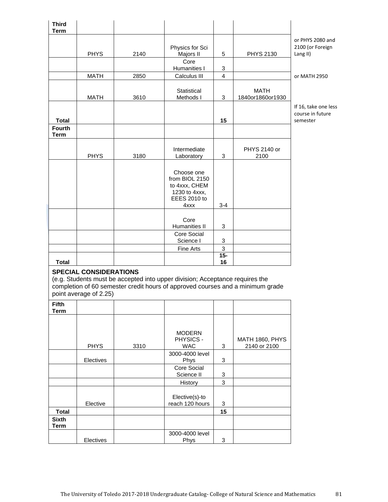| <b>Third</b>                 |                               |      |                                                                              |                                    |                                                                                |                      |
|------------------------------|-------------------------------|------|------------------------------------------------------------------------------|------------------------------------|--------------------------------------------------------------------------------|----------------------|
| <b>Term</b>                  |                               |      |                                                                              |                                    |                                                                                | or PHYS 2080 and     |
|                              |                               |      | Physics for Sci                                                              |                                    |                                                                                | 2100 (or Foreign     |
|                              | <b>PHYS</b>                   | 2140 | Majors II                                                                    | 5                                  | <b>PHYS 2130</b>                                                               | Lang II)             |
|                              |                               |      | Core                                                                         |                                    |                                                                                |                      |
|                              |                               |      | Humanities I                                                                 | 3                                  |                                                                                |                      |
|                              | <b>MATH</b>                   | 2850 | Calculus III                                                                 | $\overline{4}$                     |                                                                                | or MATH 2950         |
|                              |                               |      | Statistical                                                                  |                                    | <b>MATH</b>                                                                    |                      |
|                              | <b>MATH</b>                   | 3610 | Methods I                                                                    | 3                                  | 1840or1860or1930                                                               |                      |
|                              |                               |      |                                                                              |                                    |                                                                                | If 16, take one less |
|                              |                               |      |                                                                              |                                    |                                                                                | course in future     |
| <b>Total</b>                 |                               |      |                                                                              | 15                                 |                                                                                | semester             |
| <b>Fourth</b><br><b>Term</b> |                               |      |                                                                              |                                    |                                                                                |                      |
|                              |                               |      |                                                                              |                                    |                                                                                |                      |
|                              |                               |      | Intermediate                                                                 |                                    | PHYS 2140 or                                                                   |                      |
|                              | <b>PHYS</b>                   | 3180 | Laboratory                                                                   | 3                                  | 2100                                                                           |                      |
|                              |                               |      |                                                                              |                                    |                                                                                |                      |
|                              |                               |      | Choose one<br>from BIOL 2150                                                 |                                    |                                                                                |                      |
|                              |                               |      | to 4xxx, CHEM                                                                |                                    |                                                                                |                      |
|                              |                               |      | 1230 to 4xxx,                                                                |                                    |                                                                                |                      |
|                              |                               |      | <b>EEES 2010 to</b>                                                          |                                    |                                                                                |                      |
|                              |                               |      | 4xxx                                                                         | $3 - 4$                            |                                                                                |                      |
|                              |                               |      | Core                                                                         |                                    |                                                                                |                      |
|                              |                               |      | Humanities II                                                                | 3                                  |                                                                                |                      |
|                              |                               |      | Core Social                                                                  |                                    |                                                                                |                      |
|                              |                               |      | Science I                                                                    | 3                                  |                                                                                |                      |
|                              |                               |      | Fine Arts                                                                    | $\ensuremath{\mathsf{3}}$<br>$15-$ |                                                                                |                      |
| <b>Total</b>                 |                               |      |                                                                              | 16                                 |                                                                                |                      |
|                              | <b>SPECIAL CONSIDERATIONS</b> |      |                                                                              |                                    |                                                                                |                      |
|                              |                               |      | (e.g. Students must be accepted into upper division; Acceptance requires the |                                    |                                                                                |                      |
|                              |                               |      |                                                                              |                                    | completion of 60 semester credit hours of approved courses and a minimum grade |                      |
|                              | point average of 2.25)        |      |                                                                              |                                    |                                                                                |                      |
| <b>Fifth</b>                 |                               |      |                                                                              |                                    |                                                                                |                      |
| <b>Term</b>                  |                               |      |                                                                              |                                    |                                                                                |                      |
|                              |                               |      |                                                                              |                                    |                                                                                |                      |
|                              |                               |      | <b>MODERN</b>                                                                |                                    |                                                                                |                      |
|                              |                               |      | PHYSICS -                                                                    |                                    | <b>MATH 1860, PHYS</b>                                                         |                      |
|                              | <b>PHYS</b>                   | 3310 | <b>WAC</b>                                                                   | 3                                  | 2140 or 2100                                                                   |                      |
|                              |                               |      | 3000-4000 level                                                              |                                    |                                                                                |                      |
|                              | Electives                     |      | Phys                                                                         | 3                                  |                                                                                |                      |
|                              |                               |      | Core Social<br>Science II                                                    | 3                                  |                                                                                |                      |
|                              |                               |      | History                                                                      | $\mathfrak{Z}$                     |                                                                                |                      |
|                              |                               |      |                                                                              |                                    |                                                                                |                      |
|                              |                               |      | Elective(s)-to                                                               |                                    |                                                                                |                      |
|                              | Elective                      |      | reach 120 hours                                                              | 3                                  |                                                                                |                      |
| <b>Total</b>                 |                               |      |                                                                              | 15                                 |                                                                                |                      |
| <b>Sixth</b><br><b>Term</b>  |                               |      |                                                                              |                                    |                                                                                |                      |
|                              |                               |      | 3000-4000 level                                                              |                                    |                                                                                |                      |
|                              |                               |      |                                                                              |                                    |                                                                                |                      |

Phys 3 and 3 and 3 and 3 and 3 and 3 and 3 and 3 and 3 and 3 and 3 and 3 and 3 and 3 and 3 and 3 and 3 and 3 and 3 and 3 and 3 and 3 and 3 and 3 and 3 and 3 and 3 and 3 and 3 and 3 and 3 and 3 and 3 and 3 and 3 and 3 and 3

Electives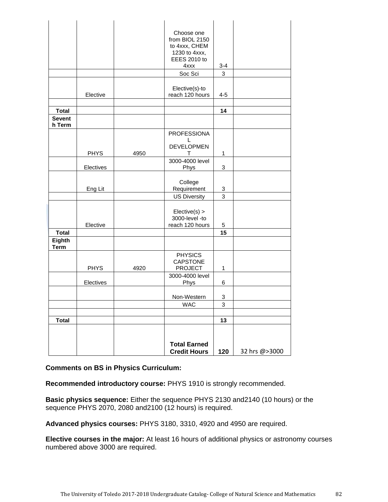|                         |             |      | Choose one<br>from BIOL 2150<br>to 4xxx, CHEM<br>1230 to 4xxx,<br><b>EEES 2010 to</b><br>4xxx | $3 - 4$                   |               |
|-------------------------|-------------|------|-----------------------------------------------------------------------------------------------|---------------------------|---------------|
|                         |             |      | Soc Sci                                                                                       | 3                         |               |
|                         | Elective    |      | Elective(s)-to<br>reach 120 hours                                                             | $4 - 5$                   |               |
| <b>Total</b>            |             |      |                                                                                               | 14                        |               |
| <b>Sevent</b><br>h Term |             |      |                                                                                               |                           |               |
|                         |             |      | <b>PROFESSIONA</b>                                                                            |                           |               |
|                         | <b>PHYS</b> | 4950 | L<br><b>DEVELOPMEN</b><br>т                                                                   | $\mathbf{1}$              |               |
|                         | Electives   |      | 3000-4000 level<br>Phys                                                                       | 3                         |               |
|                         | Eng Lit     |      | College<br>Requirement                                                                        | $\ensuremath{\mathsf{3}}$ |               |
|                         |             |      | <b>US Diversity</b>                                                                           | 3                         |               |
|                         | Elective    |      | Elective(s) ><br>3000-level -to<br>reach 120 hours                                            | 5                         |               |
| <b>Total</b>            |             |      |                                                                                               | 15                        |               |
| Eighth<br><b>Term</b>   |             |      |                                                                                               |                           |               |
|                         | <b>PHYS</b> | 4920 | <b>PHYSICS</b><br><b>CAPSTONE</b><br><b>PROJECT</b>                                           | 1                         |               |
|                         | Electives   |      | 3000-4000 level<br>Phys                                                                       | 6                         |               |
|                         |             |      | Non-Western                                                                                   | 3                         |               |
|                         |             |      | <b>WAC</b>                                                                                    | 3                         |               |
|                         |             |      |                                                                                               |                           |               |
| <b>Total</b>            |             |      |                                                                                               | 13                        |               |
|                         |             |      |                                                                                               |                           |               |
|                         |             |      | <b>Total Earned</b><br><b>Credit Hours</b>                                                    | 120                       | 32 hrs @>3000 |

# **Comments on BS in Physics Curriculum:**

**Recommended introductory course:** PHYS 1910 is strongly recommended.

**Basic physics sequence:** Either the sequence PHYS 2130 and2140 (10 hours) or the sequence PHYS 2070, 2080 and2100 (12 hours) is required.

**Advanced physics courses:** PHYS 3180, 3310, 4920 and 4950 are required.

**Elective courses in the major:** At least 16 hours of additional physics or astronomy courses numbered above 3000 are required.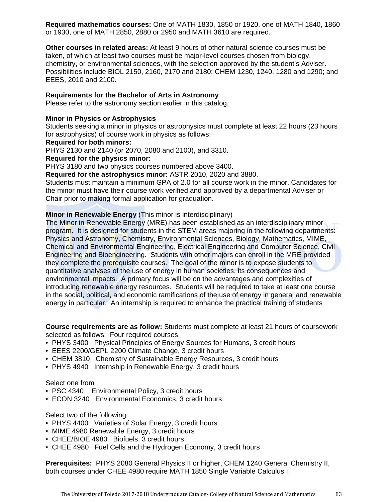**Required mathematics courses:** One of MATH 1830, 1850 or 1920, one of MATH 1840, 1860 or 1930, one of MATH 2850, 2880 or 2950 and MATH 3610 are required.

**Other courses in related areas:** At least 9 hours of other natural science courses must be taken, of which at least two courses must be major-level courses chosen from biology, chemistry, or environmental sciences, with the selection approved by the student's Adviser. Possibilities include BIOL 2150, 2160, 2170 and 2180; CHEM 1230, 1240, 1280 and 1290; and EEES, 2010 and 2100.

### **Requirements for the Bachelor of Arts in Astronomy**

Please refer to the astronomy section earlier in this catalog.

## **Minor in Physics or Astrophysics**

Students seeking a minor in physics or astrophysics must complete at least 22 hours (23 hours for astrophysics) of course work in physics as follows:

### **Required for both minors:**

PHYS 2130 and 2140 (or 2070, 2080 and 2100), and 3310.

**Required for the physics minor:**

PHYS 3180 and two physics courses numbered above 3400.

**Required for the astrophysics minor:** ASTR 2010, 2020 and 3880.

Students must maintain a minimum GPA of 2.0 for all course work in the minor. Candidates for the minor must have their course work verified and approved by a departmental Adviser or Chair prior to making formal application for graduation.

## **Minor in Renewable Energy** (This minor is interdisciplinary)

The Minor in Renewable Energy (MRE) has been established as an interdisciplinary minor program. It is designed for students in the STEM areas majoring in the following departments: Physics and Astronomy, Chemistry, Environmental Sciences, Biology, Mathematics, MIME, Chemical and Environmental Engineering, Electrical Engineering and Computer Science, Civil Engineering and Bioengineering. Students with other majors can enroll in the MRE provided they complete the prerequisite courses. The goal of the minor is to expose students to quantitative analyses of the use of energy in human societies, its consequences and environmental impacts. A primary focus will be on the advantages and complexities of introducing renewable energy resources. Students will be required to take at least one course in the social, political, and economic ramifications of the use of energy in general and renewable energy in particular. An internship is required to enhance the practical training of students

**Course requirements are as follow:** Students must complete at least 21 hours of coursework selected as follows: Four required courses

- PHYS 3400 Physical Principles of Energy Sources for Humans, 3 credit hours
- EEES 2200/GEPL 2200 Climate Change, 3 credit hours
- CHEM 3810 Chemistry of Sustainable Energy Resources, 3 credit hours
- PHYS 4940 Internship in Renewable Energy, 3 credit hours

#### Select one from

- PSC 4340 Environmental Policy, 3 credit hours
- ECON 3240 Environmental Economics, 3 credit hours

### Select two of the following

- PHYS 4400 Varieties of Solar Energy, 3 credit hours
- MIME 4980 Renewable Energy, 3 credit hours
- CHEE/BIOE 4980 Biofuels, 3 credit hours
- CHEE 4980 Fuel Cells and the Hydrogen Economy, 3 credit hours

**Prerequisites:** PHYS 2080 General Physics II or higher, CHEM 1240 General Chemistry II, both courses under CHEE 4980 require MATH 1850 Single Variable Calculus I.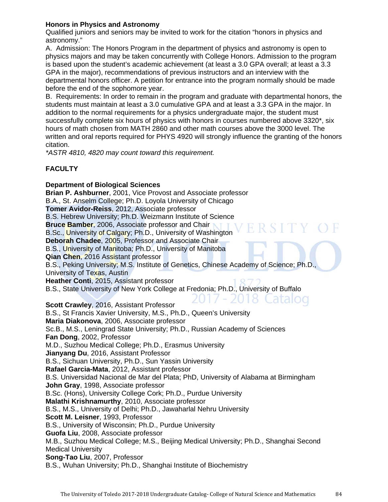# **Honors in Physics and Astronomy**

Qualified juniors and seniors may be invited to work for the citation "honors in physics and astronomy."

A. Admission: The Honors Program in the department of physics and astronomy is open to physics majors and may be taken concurrently with College Honors. Admission to the program is based upon the student's academic achievement (at least a 3.0 GPA overall; at least a 3.3 GPA in the major), recommendations of previous instructors and an interview with the departmental honors officer. A petition for entrance into the program normally should be made before the end of the sophomore year.

B. Requirements: In order to remain in the program and graduate with departmental honors, the students must maintain at least a 3.0 cumulative GPA and at least a 3.3 GPA in the major. In addition to the normal requirements for a physics undergraduate major, the student must successfully complete six hours of physics with honors in courses numbered above 3320\*, six hours of math chosen from MATH 2860 and other math courses above the 3000 level. The written and oral reports required for PHYS 4920 will strongly influence the granting of the honors citation.

*\*ASTR 4810, 4820 may count toward this requirement.* 

# **FACULTY**

# **Department of Biological Sciences**

**Brian P. Ashburner**, 2001, Vice Provost and Associate professor B.A., St. Anselm College; Ph.D. Loyola University of Chicago **Tomer Avidor-Reiss**, 2012, Associate professor B.S. Hebrew University; Ph.D. Weizmann Institute of Science **Bruce Bamber**, 2006, Associate professor and Chair B.Sc., University of Calgary; Ph.D., University of Washington **Deborah Chadee**, 2005, Professor and Associate Chair B.S., University of Manitoba; Ph.D., University of Manitoba **Qian Chen**, 2016 Assistant professor B.S., Peking University; M.S. Institute of Genetics, Chinese Academy of Science; Ph.D., University of Texas, Austin **Heather Conti**, 2015, Assistant professor B.S., State University of New York College at Fredonia; Ph.D., University of Buffalo 8 Catalog **Scott Crawley**, 2016, Assistant Professor B.S., St Francis Xavier University, M.S., Ph.D., Queen's University **Maria Diakonova**, 2006, Associate professor Sc.B., M.S., Leningrad State University; Ph.D., Russian Academy of Sciences **Fan Dong**, 2002, Professor M.D., Suzhou Medical College; Ph.D., Erasmus University **Jianyang Du**, 2016, Assistant Professor B.S., Sichuan University, Ph.D., Sun Yassin University **Rafael Garcia-Mata**, 2012, Assistant professor B.S. Universidad Nacional de Mar del Plata; PhD, University of Alabama at Birmingham **John Gray**, 1998, Associate professor B.Sc. (Hons), University College Cork; Ph.D., Purdue University **Malathi Krishnamurthy**, 2010, Associate professor B.S., M.S., University of Delhi; Ph.D., Jawaharlal Nehru University **Scott M. Leisner**, 1993, Professor B.S., University of Wisconsin; Ph.D., Purdue University **Guofa Liu**, 2008, Associate professor M.B., Suzhou Medical College; M.S., Beijing Medical University; Ph.D., Shanghai Second Medical University **Song-Tao Liu**, 2007, Professor B.S., Wuhan University; Ph.D., Shanghai Institute of Biochemistry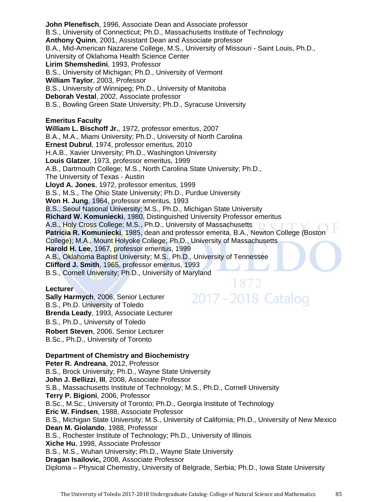**John Plenefisch**, 1996, Associate Dean and Associate professor B.S., University of Connecticut; Ph.D., Massachusetts Institute of Technology **Anthony Quinn**, 2001, Assistant Dean and Associate professor B.A., Mid-American Nazarene College, M.S., University of Missouri - Saint Louis, Ph.D., University of Oklahoma Health Science Center **Lirim Shemshedini**, 1993, Professor B.S., University of Michigan; Ph.D., University of Vermont **William Taylor**, 2003, Professor B.S., University of Winnipeg; Ph.D., University of Manitoba **Deborah Vestal**, 2002, Associate professor B.S., Bowling Green State University; Ph.D., Syracuse University **Emeritus Faculty William L. Bischoff Jr.**, 1972, professor emeritus, 2007 B.A., M.A., Miami University; Ph.D., University of North Carolina **Ernest Dubrul**, 1974, professor emeritus, 2010 H.A.B., Xavier University; Ph.D., Washington University **Louis Glatzer**, 1973, professor emeritus, 1999 A.B., Dartmouth College; M.S., North Carolina State University; Ph.D., The University of Texas - Austin **Lloyd A. Jones**, 1972, professor emeritus, 1999 B.S., M.S., The Ohio State University; Ph.D., Purdue University **Won H. Jung**, 1964, professor emeritus, 1993 B.S., Seoul National University; M.S., Ph.D., Michigan State University **Richard W. Komuniecki**, 1980, Distinguished University Professor emeritus A.B., Holy Cross College; M.S., Ph.D., University of Massachusetts **Patricia R. Komuniecki**, 1985, dean and professor emerita, B.A., Newton College (Boston College); M.A., Mount Holyoke College; Ph.D., University of Massachusetts **Harold H. Lee**, 1967, professor emeritus, 1999 A.B., Oklahoma Baptist University; M.S., Ph.D., University of Tennessee **Clifford J. Smith**, 1965, professor emeritus, 1993 B.S., Cornell University; Ph.D., University of Maryland 1872

### **Lecturer**

**Sally Harmych**, 2006, Senior Lecturer B.S., Ph.D. University of Toledo **Brenda Leady**, 1993, Associate Lecturer B.S., Ph.D., University of Toledo **Robert Steven**, 2006, Senior Lecturer B.Sc., Ph.D., University of Toronto

# **Department of Chemistry and Biochemistry**

**Peter R. Andreana**, 2012, Professor B.S., Brock University; Ph.D., Wayne State University **John J. Bellizzi**, **III**, 2008, Associate Professor S.B., Massachusetts Institute of Technology; M.S., Ph.D., Cornell University **Terry P. Bigioni**, 2006, Professor B.Sc., M.Sc., University of Toronto; Ph.D., Georgia Institute of Technology **Eric W. Findsen**, 1988, Associate Professor B.S., Michigan State University; M.S., University of California; Ph.D., University of New Mexico **Dean M. Giolando**, 1988, Professor B.S., Rochester Institute of Technology; Ph.D., University of Illinois **Xiche Hu**, 1998, Associate Professor B.S., M.S., Wuhan University; Ph.D., Wayne State University **Dragan Isailovic,** 2008, Associate Professor Diploma – Physical Chemistry, University of Belgrade, Serbia; Ph.D., Iowa State University

2017 - 2018 Catalog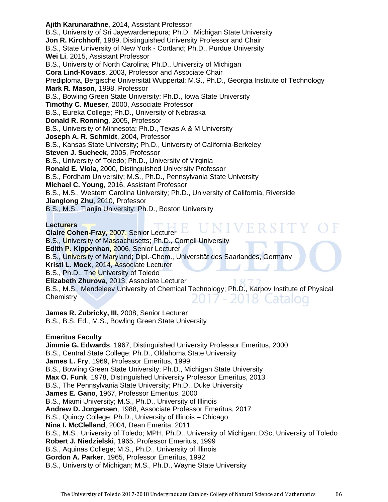**Ajith Karunarathne**, 2014, Assistant Professor B.S., University of Sri Jayewardenepura; Ph.D., Michigan State University **Jon R. Kirchhoff**, 1989, Distinguished University Professor and Chair B.S., State University of New York - Cortland; Ph.D., Purdue University **Wei Li**, 2015, Assistant Professor B.S., University of North Carolina; Ph.D., University of Michigan **Cora Lind-Kovacs**, 2003, Professor and Associate Chair Prediploma, Bergische Universität Wuppertal; M.S., Ph.D., Georgia Institute of Technology **Mark R. Mason**, 1998, Professor B.S., Bowling Green State University; Ph.D., Iowa State University **Timothy C. Mueser**, 2000, Associate Professor B.S., Eureka College; Ph.D., University of Nebraska **Donald R. Ronning**, 2005, Professor B.S., University of Minnesota; Ph.D., Texas A & M University **Joseph A. R. Schmidt**, 2004, Professor B.S., Kansas State University; Ph.D., University of California-Berkeley **Steven J. Sucheck**, 2005, Professor B.S., University of Toledo; Ph.D., University of Virginia **Ronald E. Viola**, 2000, Distinguished University Professor B.S., Fordham University; M.S., Ph.D., Pennsylvania State University **Michael C. Young**, 2016, Assistant Professor B.S., M.S., Western Carolina University; Ph.D., University of California, Riverside **Jianglong Zhu**, 2010, Professor B.S., M.S., Tianjin University; Ph.D., Boston University

**Lecturers** 

IVERSIT **Claire Cohen-Fray**, 2007, Senior Lecturer B.S., University of Massachusetts; Ph.D., Cornell University **Edith P. Kippenhan**, 2006, Senior Lecturer B.S., University of Maryland; Dipl.-Chem., Universität des Saarlandes, Germany **Kristi L. Mock**, 2014, Associate Lecturer B.S., Ph.D., The University of Toledo **Elizabeth Zhurova**, 2013, Associate Lecturer B.S., M.S., Mendeleev University of Chemical Technology; Ph.D., Karpov Institute of Physical **Chemistry** 2018 Catalog

**James R. Zubricky, III,** 2008, Senior Lecturer B.S., B.S. Ed., M.S., Bowling Green State University

# **Emeritus Faculty**

**Jimmie G. Edwards**, 1967, Distinguished University Professor Emeritus, 2000 B.S., Central State College; Ph.D., Oklahoma State University **James L. Fry**, 1969, Professor Emeritus, 1999 B.S., Bowling Green State University; Ph.D., Michigan State University **Max O. Funk**, 1978, Distinguished University Professor Emeritus, 2013 B.S., The Pennsylvania State University; Ph.D., Duke University **James E. Gano**, 1967, Professor Emeritus, 2000 B.S., Miami University; M.S., Ph.D., University of Illinois **Andrew D. Jorgensen**, 1988, Associate Professor Emeritus, 2017 B.S., Quincy College; Ph.D., University of Illinois – Chicago **Nina I. McClelland**, 2004, Dean Emerita, 2011 B.S., M.S., University of Toledo; MPH, Ph.D., University of Michigan; DSc, University of Toledo **Robert J. Niedzielski**, 1965, Professor Emeritus, 1999 B.S., Aquinas College; M.S., Ph.D., University of Illinois **Gordon A. Parker**, 1965, Professor Emeritus, 1992 B.S., University of Michigan; M.S., Ph.D., Wayne State University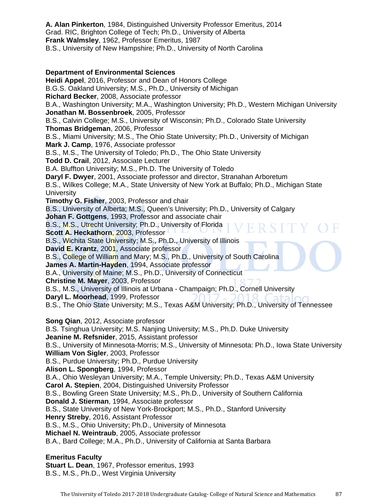**A. Alan Pinkerton**, 1984, Distinguished University Professor Emeritus, 2014 Grad. RIC, Brighton College of Tech; Ph.D., University of Alberta **Frank Walmsley**, 1962, Professor Emeritus, 1987 B.S., University of New Hampshire; Ph.D., University of North Carolina

# **Department of Environmental Sciences**

**Heidi Appel**, 2016, Professor and Dean of Honors College B.G.S. Oakland University; M.S., Ph.D., University of Michigan **Richard Becker**, 2008, Associate professor B.A., Washington University; M.A., Washington University; Ph.D., Western Michigan University **Jonathan M. Bossenbroek**, 2005, Professor B.S., Calvin College; M.S., University of Wisconsin; Ph.D., Colorado State University **Thomas Bridgeman**, 2006, Professor B.S., Miami University; M.S., The Ohio State University; Ph.D., University of Michigan **Mark J. Camp**, 1976, Associate professor B.S., M.S., The University of Toledo; Ph.D., The Ohio State University **Todd D. Crail**, 2012, Associate Lecturer B.A. Bluffton University; M.S., Ph.D. The University of Toledo **Daryl F. Dwyer**, 2001, Associate professor and director, Stranahan Arboretum B.S., Wilkes College; M.A., State University of New York at Buffalo; Ph.D., Michigan State **University Timothy G. Fisher**, 2003, Professor and chair B.S., University of Alberta; M.S., Queen's University; Ph.D., University of Calgary **Johan F. Gottgens**, 1993, Professor and associate chair B.S., M.S., Utrecht University; Ph.D., University of Florida **Scott A. Heckathorn**, 2003, Professor B.S., Wichita State University; M.S., Ph.D., University of Illinois **David E. Krantz**, 2001, Associate professor B.S., College of William and Mary; M.S., Ph.D., University of South Carolina **James A. Martin-Hayden**, 1994, Associate professor B.A., University of Maine; M.S., Ph.D., University of Connecticut **Christine M. Mayer**, 2003, Professor B.S., M.S., University of Illinois at Urbana - Champaign; Ph.D., Cornell University **Daryl L. Moorhead**, 1999, Professor B.S., The Ohio State University; M.S., Texas A&M University; Ph.D., University of Tennessee **Song Qian**, 2012, Associate professor B.S. Tsinghua University; M.S. Nanjing University; M.S., Ph.D. Duke University **Jeanine M. Refsnider**, 2015, Assistant professor B.S., University of Minnesota-Morris; M.S., University of Minnesota: Ph.D., Iowa State University **William Von Sigler**, 2003, Professor B.S., Purdue University; Ph.D., Purdue University **Alison L. Spongberg**, 1994, Professor B.A., Ohio Wesleyan University; M.A., Temple University; Ph.D., Texas A&M University **Carol A. Stepien**, 2004, Distinguished University Professor B.S., Bowling Green State University; M.S., Ph.D., University of Southern California **Donald J. Stierman**, 1994, Associate professor B.S., State University of New York-Brockport; M.S., Ph.D., Stanford University **Henry Streby**, 2016, Assistant Professor B.S., M.S., Ohio University; Ph.D., University of Minnesota **Michael N. Weintraub**, 2005, Associate professor B.A., Bard College; M.A., Ph.D., University of California at Santa Barbara **Emeritus Faculty** 

**Stuart L. Dean**, 1967, Professor emeritus, 1993 B.S., M.S., Ph.D., West Virginia University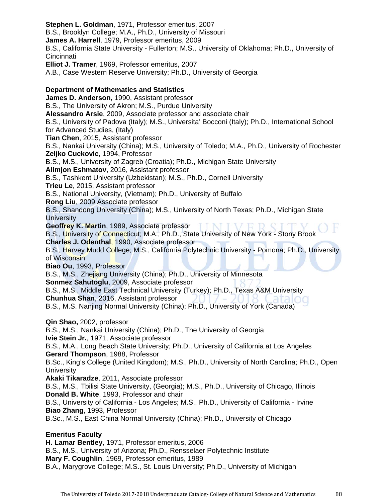**Stephen L. Goldman**, 1971, Professor emeritus, 2007 B.S., Brooklyn College; M.A., Ph.D., University of Missouri **James A. Harrell**, 1979, Professor emeritus, 2009 B.S., California State University - Fullerton; M.S., University of Oklahoma; Ph.D., University of Cincinnati

**Elliot J. Tramer**, 1969, Professor emeritus, 2007

A.B., Case Western Reserve University; Ph.D., University of Georgia

# **Department of Mathematics and Statistics**

**James D. Anderson,** 1990, Assistant professor B.S., The University of Akron; M.S., Purdue University **Alessandro Arsie**, 2009, Associate professor and associate chair B.S., University of Padova (Italy); M.S., Universita' Bocconi (Italy); Ph.D., International School for Advanced Studies, (Italy) **Tian Chen**, 2015, Assistant professor B.S., Nankai University (China); M.S., University of Toledo; M.A., Ph.D., University of Rochester **Zeljko Cuckovic**, 1994, Professor B.S., M.S., University of Zagreb (Croatia); Ph.D., Michigan State University **Alimjon Eshmatov**, 2016, Assistant professor B.S., Tashkent University (Uzbekistan); M.S., Ph.D., Cornell University **Trieu Le**, 2015, Assistant professor B.S., National University, (Vietnam); Ph.D., University of Buffalo **Rong Liu**, 2009 Associate professor B.S., Shandong University (China); M.S., University of North Texas; Ph.D., Michigan State **University Geoffrey K. Martin**, 1989, Associate professor **TINIIVE** B.S., University of Connecticut; M.A., Ph.D., State University of New York - Stony Brook **Charles J. Odenthal**, 1990, Associate professor B.S., Harvey Mudd College; M.S., California Polytechnic University - Pomona; Ph.D., University of Wisconsin **Biao Ou**, 1993, Professor B.S., M.S., Zhejiang University (China); Ph.D., University of Minnesota **Sonmez Sahutoglu**, 2009, Associate professor B.S., M.S., Middle East Technical University (Turkey); Ph.D., Texas A&M University **Chunhua Shan**, 2016, Assistant professor B.S., M.S. Nanjing Normal University (China); Ph.D., University of York (Canada) **Qin Shao,** 2002, professor B.S., M.S., Nankai University (China); Ph.D., The University of Georgia **Ivie Stein Jr.**, 1971, Associate professor

B.S., M.A., Long Beach State University; Ph.D., University of California at Los Angeles **Gerard Thompson**, 1988, Professor

B.Sc., King's College (United Kingdom); M.S., Ph.D., University of North Carolina; Ph.D., Open **University** 

**Akaki Tikaradze**, 2011, Associate professor

B.S., M.S., Tbilisi State University, (Georgia); M.S., Ph.D., University of Chicago, Illinois **Donald B. White**, 1993, Professor and chair

B.S., University of California - Los Angeles; M.S., Ph.D., University of California - Irvine **Biao Zhang**, 1993, Professor

B.Sc., M.S., East China Normal University (China); Ph.D., University of Chicago

# **Emeritus Faculty**

**H. Lamar Bentley**, 1971, Professor emeritus, 2006 B.S., M.S., University of Arizona; Ph.D., Rensselaer Polytechnic Institute **Mary F. Coughlin**, 1969, Professor emeritus, 1989 B.A., Marygrove College; M.S., St. Louis University; Ph.D., University of Michigan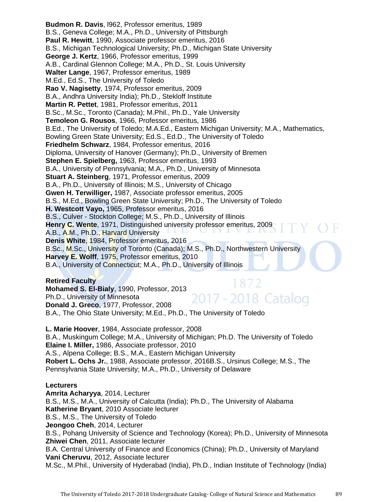**Budmon R. Davis**, l962, Professor emeritus, 1989 B.S., Geneva College; M.A., Ph.D., University of Pittsburgh **Paul R. Hewitt**, 1990, Associate professor emeritus, 2016 B.S., Michigan Technological University; Ph.D., Michigan State University **George J. Kertz**, 1966, Professor emeritus, 1999 A.B., Cardinal Glennon College; M.A., Ph.D., St. Louis University **Walter Lange**, 1967, Professor emeritus, 1989 M.Ed., Ed.S., The University of Toledo **Rao V. Nagisetty**, 1974, Professor emeritus, 2009 B.A., Andhra University India); Ph.D., Stekloff Institute **Martin R. Pettet**, 1981, Professor emeritus, 2011 B.Sc., M.Sc., Toronto (Canada); M.Phil., Ph.D., Yale University **Temoleon G. Rousos**, 1966, Professor emeritus, 1986 B.Ed., The University of Toledo; M.A.Ed., Eastern Michigan University; M.A., Mathematics, Bowling Green State University; Ed.S., Ed.D., The University of Toledo **Friedhelm Schwarz**, 1984, Professor emeritus, 2016 Diploma, University of Hanover (Germany); Ph.D., University of Bremen **Stephen E. Spielberg,** 1963, Professor emeritus, 1993 B.A., University of Pennsylvania; M.A., Ph.D., University of Minnesota **Stuart A. Steinberg**, 1971, Professor emeritus, 2009 B.A., Ph.D., University of Illinois; M.S., University of Chicago **Gwen H. Terwilliger,** 1987, Associate professor emeritus, 2005 B.S., M.Ed., Bowling Green State University; Ph.D., The University of Toledo **H. Westcott Vayo,** 1965, Professor emeritus, 2016 B.S., Culver - Stockton College; M.S., Ph.D., University of Illinois **Henry C. Wente**, 1971, Distinguished university professor emeritus, 2009 A.B., A.M., Ph.D., Harvard University **Denis White**, 1984, Professor emeritus, 2016 B.Sc., M.Sc., University of Toronto (Canada); M.S., Ph.D., Northwestern University **Harvey E. Wolff**, 1975, Professor emeritus, 2010 B.A., University of Connecticut; M.A., Ph.D., University of Illinois

## **Retired Faculty**

1872 **Mohamed S. El-Bialy**, 1990, Professor, 2013 2017 - 2018 Catalog Ph.D., University of Minnesota **Donald J. Greco**, 1977, Professor, 2008 B.A., The Ohio State University; M.Ed., Ph.D., The University of Toledo

**L. Marie Hoover**, 1984, Associate professor, 2008 B.A., Muskingum College; M.A., University of Michigan; Ph.D. The University of Toledo **Elaine I. Miller,** 1986, Associate professor, 2010 A.S., Alpena College; B.S., M.A., Eastern Michigan University **Robert L. Ochs Jr.**, 1988, Associate professor, 2016B.S., Ursinus College; M.S., The Pennsylvania State University; M.A., Ph.D., University of Delaware

# **Lecturers**

**Amrita Acharyya**, 2014, Lecturer B.S., M.S., M.A., University of Calcutta (India); Ph.D., The University of Alabama **Katherine Bryant**, 2010 Associate lecturer B.S., M.S., The University of Toledo **Jeongoo Cheh**, 2014, Lecturer B.S., Pohang University of Science and Technology (Korea); Ph.D., University of Minnesota **Zhiwei Chen**, 2011, Associate lecturer B.A. Central University of Finance and Economics (China); Ph.D., University of Maryland **Vani Cheruvu**, 2012, Associate lecturer M.Sc., M.Phil., University of Hyderabad (India), Ph.D., Indian Institute of Technology (India)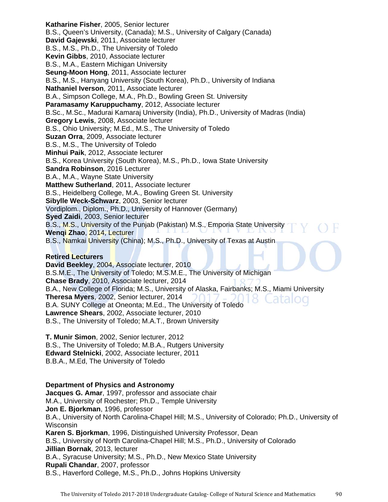**Katharine Fisher**, 2005, Senior lecturer B.S., Queen's University, (Canada); M.S., University of Calgary (Canada) **David Gajewski**, 2011, Associate lecturer B.S., M.S., Ph.D., The University of Toledo **Kevin Gibbs**, 2010, Associate lecturer B.S., M.A., Eastern Michigan University **Seung-Moon Hong**, 2011, Associate lecturer B.S., M.S., Hanyang University (South Korea), Ph.D., University of Indiana **Nathaniel Iverson**, 2011, Associate lecturer B.A., Simpson College, M.A., Ph.D., Bowling Green St. University **Paramasamy Karuppuchamy**, 2012, Associate lecturer B.Sc., M.Sc., Madurai Kamaraj University (India), Ph.D., University of Madras (India) **Gregory Lewis**, 2008, Associate lecturer B.S., Ohio University; M.Ed., M.S., The University of Toledo **Suzan Orra**, 2009, Associate lecturer B.S., M.S., The University of Toledo **Minhui Paik**, 2012, Associate lecturer B.S., Korea University (South Korea), M.S., Ph.D., Iowa State University **Sandra Robinson**, 2016 Lecturer B.A., M.A., Wayne State University **Matthew Sutherland**, 2011, Associate lecturer B.S., Heidelberg College, M.A., Bowling Green St. University **Sibylle Weck-Schwarz**, 2003, Senior lecturer Vordiplom., Diplom., Ph.D., University of Hannover (Germany) **Syed Zaidi**, 2003, Senior lecturer B.S., M.S., University of the Punjab (Pakistan) M.S., Emporia State University **Wenqi Zhao**, 2014, Lecturer B.S., Namkai University (China); M.S., Ph.D., University of Texas at Austin

## **Retired Lecturers**

**David Beekley**, 2004, Associate lecturer, 2010 B.S.M.E., The University of Toledo; M.S.M.E., The University of Michigan **Chase Brady**, 2010, Associate lecturer, 2014 B.A., New College of Florida; M.S., University of Alaska, Fairbanks; M.S., Miami University **Theresa Myers**, 2002, Senior lecturer, 2014 Latalog B.A. SUNY College at Oneonta; M.Ed., The University of Toledo **Lawrence Shears**, 2002, Associate lecturer, 2010 B.S., The University of Toledo; M.A.T., Brown University

**T. Munir Simon**, 2002, Senior lecturer, 2012 B.S., The University of Toledo; M.B.A., Rutgers University **Edward Stelnicki**, 2002, Associate lecturer, 2011 B.B.A., M.Ed, The University of Toledo

# **Department of Physics and Astronomy**

**Jacques G. Amar**, 1997, professor and associate chair M.A., University of Rochester; Ph.D., Temple University **Jon E. Bjorkman**, 1996, professor B.A., University of North Carolina-Chapel Hill; M.S., University of Colorado; Ph.D., University of **Wisconsin Karen S. Bjorkman**, 1996, Distinguished University Professor, Dean B.S., University of North Carolina-Chapel Hill; M.S., Ph.D., University of Colorado **Jillian Bornak**, 2013, lecturer B.A., Syracuse University; M.S., Ph.D., New Mexico State University **Rupali Chandar**, 2007, professor

B.S., Haverford College, M.S., Ph.D., Johns Hopkins University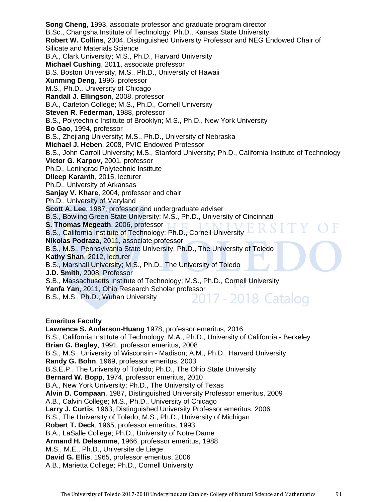**Song Cheng**, 1993, associate professor and graduate program director B.Sc., Changsha Institute of Technology; Ph.D., Kansas State University **Robert W. Collins**, 2004, Distinguished University Professor and NEG Endowed Chair of Silicate and Materials Science B.A., Clark University; M.S., Ph.D., Harvard University **Michael Cushing**, 2011, associate professor B.S. Boston University, M.S., Ph.D., University of Hawaii **Xunming Deng**, 1996, professor M.S., Ph.D., University of Chicago **Randall J. Ellingson**, 2008, professor B.A., Carleton College; M.S., Ph.D., Cornell University **Steven R. Federman**, 1988, professor B.S., Polytechnic Institute of Brooklyn; M.S., Ph.D., New York University **Bo Gao**, 1994, professor B.S., Zhejiang University; M.S., Ph.D., University of Nebraska **Michael J. Heben**, 2008, PVIC Endowed Professor B.S., John Carroll University; M.S., Stanford University; Ph.D., California Institute of Technology **Victor G. Karpov**, 2001, professor Ph.D., Leningrad Polytechnic Institute **Dileep Karanth**, 2015, lecturer Ph.D., University of Arkansas **Sanjay V. Khare**, 2004, professor and chair Ph.D., University of Maryland **Scott A. Lee**, 1987, professor and undergraduate adviser B.S., Bowling Green State University; M.S., Ph.D., University of Cincinnati **S. Thomas Megeath, 2006, professor LT LT** B.S., California Institute of Technology; Ph.D., Cornell University **Nikolas Podraza**, 2011, associate professor B.S., M.S., Pennsylvania State University, Ph.D., The University of Toledo **Kathy Shan**, 2012, lecturer B.S., Marshall University; M.S., Ph.D., The University of Toledo **J.D. Smith**, 2008, Professor S.B., Massachusetts Institute of Technology; M.S., Ph.D., Cornell University **Yanfa Yan**, 2011, Ohio Research Scholar professor<br>B.S., M.S., Ph.D., Wuhan University 2017 - 2018 Catalog B.S., M.S., Ph.D., Wuhan University

## **Emeritus Faculty**

**Lawrence S. Anderson**-**Huang** 1978, professor emeritus, 2016 B.S., California Institute of Technology; M.A., Ph.D., University of California - Berkeley **Brian G. Bagley**, 1991, professor emeritus, 2008 B.S., M.S., University of Wisconsin - Madison; A.M., Ph.D., Harvard University **Randy G. Bohn**, 1969, professor emeritus, 2003 B.S.E.P., The University of Toledo; Ph.D., The Ohio State University **Bernard W. Bopp**, 1974, professor emeritus, 2010 B.A., New York University; Ph.D., The University of Texas **Alvin D. Compaan**, 1987, Distinguished University Professor emeritus, 2009 A.B., Calvin College; M.S., Ph.D., University of Chicago **Larry J. Curtis**, 1963, Distinguished University Professor emeritus, 2006 B.S., The University of Toledo; M.S., Ph.D., University of Michigan **Robert T. Deck**, 1965, professor emeritus, 1993 B.A., LaSalle College; Ph.D., University of Notre Dame **Armand H. Delsemme**, 1966, professor emeritus, 1988 M.S., M.E., Ph.D., Universite de Liege **David G. Ellis**, 1965, professor emeritus, 2006 A.B., Marietta College; Ph.D., Cornell University